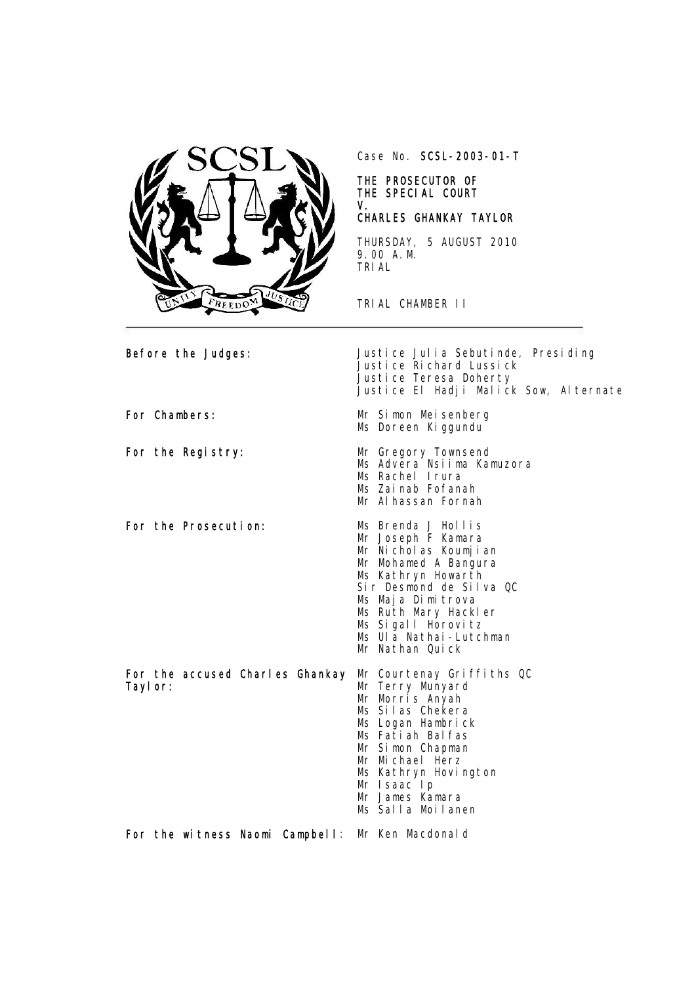

Case No. SCSL-2003-01-T

#### THE PROSECUTOR OF THE SPECIAL COURT V.

# CHARLES GHANKAY TAYLOR

THURSDAY, 5 AUGUST 2010 9.00 A.M. TRIAL

TRIAL CHAMBER II

| Before the Judges:                                                    | Justice Julia Sebutinde, Presiding<br>Justice Richard Lussick<br>Justice Teresa Doherty<br>Justice El Hadji Malick Sow, Alternate                                                                                                                         |
|-----------------------------------------------------------------------|-----------------------------------------------------------------------------------------------------------------------------------------------------------------------------------------------------------------------------------------------------------|
| For Chambers:                                                         | Mr Simon Meisenberg<br>Ms Doreen Kiggundu                                                                                                                                                                                                                 |
| For the Registry:                                                     | Mr Gregory Townsend<br>Ms Advera Nsiima Kamuzora<br>Ms Rachel Irura<br>Ms Zainab Fofanah<br>Mr Al hassan Fornah                                                                                                                                           |
| For the Prosecution:                                                  | Ms Brenda J Hollis<br>Mr Joseph F Kamara<br>Mr Nicholas Koumjian<br>Mr Mohamed A Bangura<br>Ms Kathryn Howarth<br>Sir Desmond de Silva QC<br>Ms Maja Dimitrova<br>Ms Ruth Mary Hackler<br>Ms Sigall Horovitz<br>Ms Ula Nathai-Lutchman<br>Mr Nathan Quick |
| For the accused Charles Ghankay Mr Courtenay Griffiths QC<br>Tayl or: | Mr Terry Munyard<br>Mr Morris Anyah<br>Ms Silas Chekera<br>Ms Logan Hambrick<br>Ms Fatiah Balfas<br>Mr Simon Chapman<br>Mr Michael Herz<br>Ms Kathryn Hovington<br>Mr Isaac Ip<br>Mr James Kamara<br>Ms Salla Moilanen                                    |
| For the witness Naomi Campbell: Mr Ken Macdonald                      |                                                                                                                                                                                                                                                           |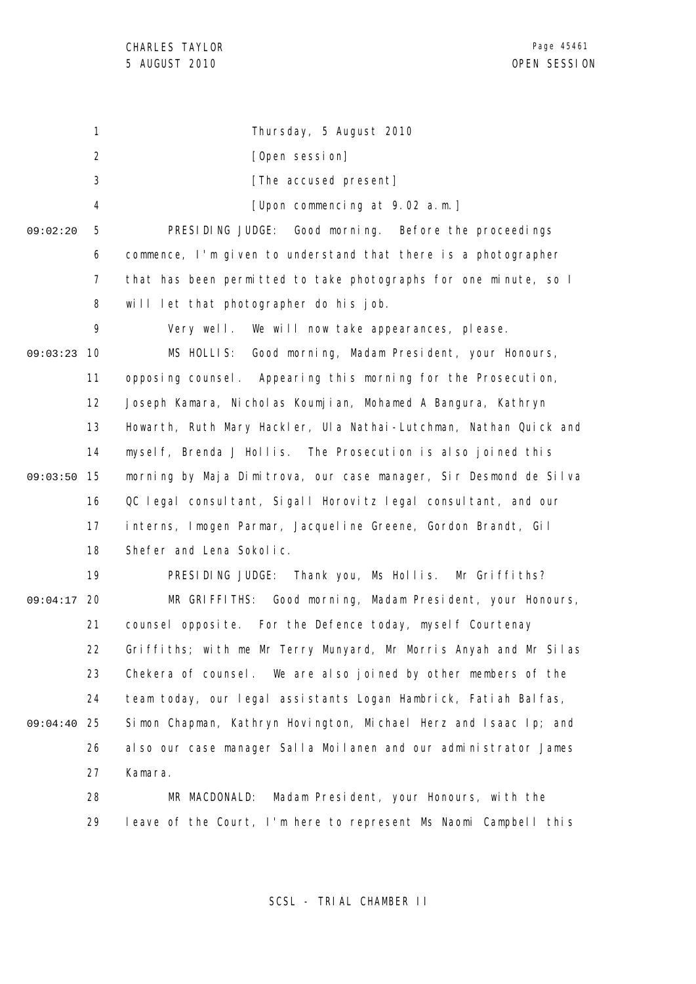1 2 3 4 5 6 7 8 9 09:03:23 10 11 12 13 14 09:03:50 15 16 17 18 19 09:04:17 20 21 22 23 24 25 09:04:40 26 27 28 29 09:02:20 Thursday, 5 August 2010 [Open session] [The accused present] [Upon commencing at 9.02 a.m.] PRESIDING JUDGE: Good morning. Before the proceedings commence, I'm given to understand that there is a photographer that has been permitted to take photographs for one minute, so I will let that photographer do his job. Very well. We will now take appearances, please. MS HOLLIS: Good morning, Madam President, your Honours, opposing counsel. Appearing this morning for the Prosecution, Joseph Kamara, Nicholas Koumjian, Mohamed A Bangura, Kathryn Howarth, Ruth Mary Hackler, Ula Nathai-Lutchman, Nathan Quick and myself, Brenda J Hollis. The Prosecution is also joined this morning by Maja Dimitrova, our case manager, Sir Desmond de Silva QC legal consultant, Sigall Horovitz legal consultant, and our interns, Imogen Parmar, Jacqueline Greene, Gordon Brandt, Gil Shefer and Lena Sokolic. PRESIDING JUDGE: Thank you, Ms Hollis. Mr Griffiths? MR GRIFFITHS: Good morning, Madam President, your Honours, counsel opposite. For the Defence today, myself Courtenay Griffiths; with me Mr Terry Munyard, Mr Morris Anyah and Mr Silas Chekera of counsel. We are also joined by other members of the team today, our legal assistants Logan Hambrick, Fatiah Balfas, Simon Chapman, Kathryn Hovington, Michael Herz and Isaac Ip; and also our case manager Salla Moilanen and our administrator James Kamara. MR MACDONALD: Madam President, your Honours, with the leave of the Court, I'm here to represent Ms Naomi Campbell this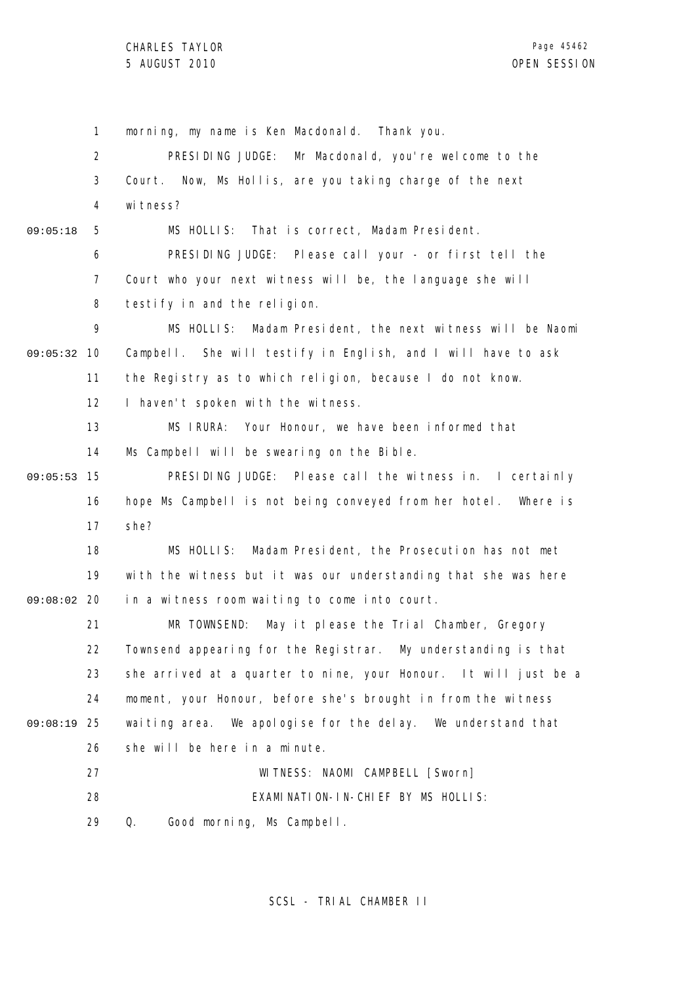1 2 3 4 5 6 7 8 9 09:05:32 10 11 12 13 14 15 09:05:53 16 17 18 19 09:08:02 20 21 22 23 24 25 09:08:19 26 27 28 29 09:05:18 morning, my name is Ken Macdonald. Thank you. PRESIDING JUDGE: Mr Macdonald, you're welcome to the Court. Now, Ms Hollis, are you taking charge of the next witness? MS HOLLIS: That is correct, Madam President. PRESIDING JUDGE: Please call your - or first tell the Court who your next witness will be, the language she will testify in and the religion. MS HOLLIS: Madam President, the next witness will be Naomi Campbell. She will testify in English, and I will have to ask the Registry as to which religion, because I do not know. I haven't spoken with the witness. MS IRURA: Your Honour, we have been informed that Ms Campbell will be swearing on the Bible. PRESIDING JUDGE: Please call the witness in. I certainly hope Ms Campbell is not being conveyed from her hotel. Where is she? MS HOLLIS: Madam President, the Prosecution has not met with the witness but it was our understanding that she was here in a witness room waiting to come into court. MR TOWNSEND: May it please the Trial Chamber, Gregory Townsend appearing for the Registrar. My understanding is that she arrived at a quarter to nine, your Honour. It will just be a moment, your Honour, before she's brought in from the witness waiting area. We apologise for the delay. We understand that she will be here in a minute. WITNESS: NAOMI CAMPBELL [Sworn] EXAMINATION-IN-CHIEF BY MS HOLLIS: Q. Good morning, Ms Campbell.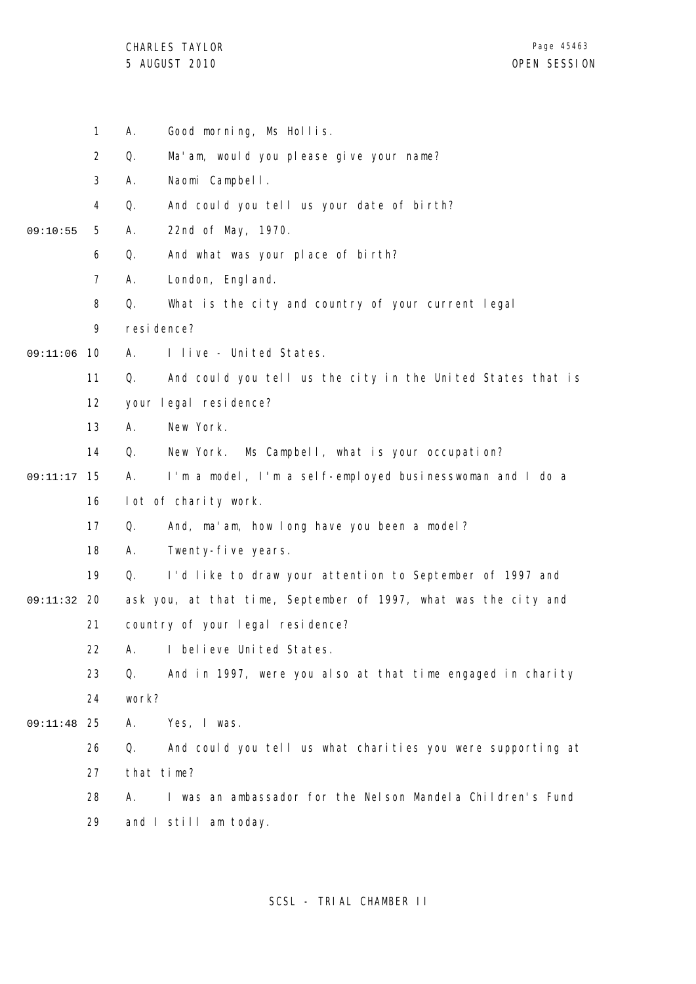CHARLES TAYLOR

|          | $\mathbf{1}$   | Good morning, Ms Hollis.<br>А.                                    |
|----------|----------------|-------------------------------------------------------------------|
|          | $\overline{2}$ | Q.<br>Ma'am, would you please give your name?                     |
|          | 3              | Naomi Campbell.<br>Α.                                             |
|          | 4              | And could you tell us your date of birth?<br>Q.                   |
| 09:10:55 | 5              | 22nd of May, 1970.<br>Α.                                          |
|          | 6              | And what was your place of birth?<br>Q.                           |
|          | $\overline{7}$ | Α.<br>London, Engl and.                                           |
|          | 8              | Q.<br>What is the city and country of your current legal          |
|          | 9              | resi dence?                                                       |
| 09:11:06 | 10             | I live - United States.<br>А.                                     |
|          | 11             | Q.<br>And could you tell us the city in the United States that is |
|          | 12             | your legal residence?                                             |
|          | 13             | New York.<br>А.                                                   |
|          | 14             | Q.<br>Ms Campbell, what is your occupation?<br>New York.          |
| 09:11:17 | 15             | I'm a model, I'm a self-employed businesswoman and I do a<br>А.   |
|          | 16             | lot of charity work.                                              |
|          | 17             | Q.<br>And, ma'am, how long have you been a model?                 |
|          | 18             | Α.<br>Twenty-five years.                                          |
|          | 19             | Q.<br>I'd like to draw your attention to September of 1997 and    |
| 09:11:32 | -20            | ask you, at that time, September of 1997, what was the city and   |
|          | 21             | country of your legal residence?                                  |
|          | 22             | I believe United States.<br>Α.                                    |
|          | 23             | Q.<br>And in 1997, were you also at that time engaged in charity  |
|          | 24             | work?                                                             |
| 09:11:48 | -25            | Yes, I was.<br>Α.                                                 |
|          | 26             | And could you tell us what charities you were supporting at<br>Q. |
|          | 27             | that time?                                                        |
|          | 28             | I was an ambassador for the Nelson Mandela Children's Fund<br>А.  |
|          | 29             | and I still am today.                                             |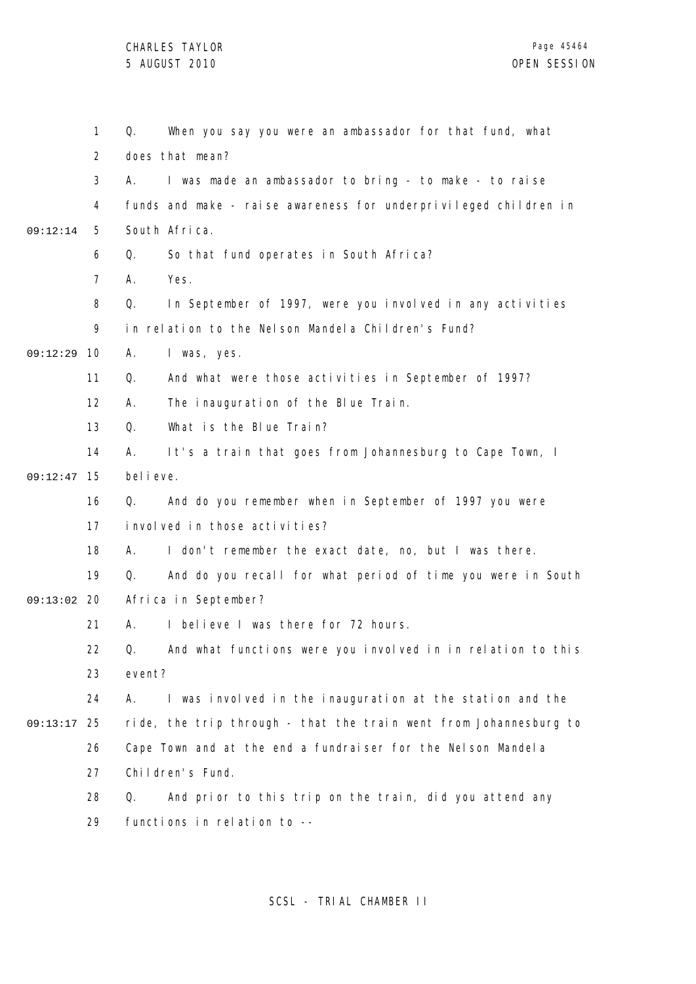|          | 1              | Q.         | When you say you were an ambassador for that fund, what           |
|----------|----------------|------------|-------------------------------------------------------------------|
|          | 2              |            | does that mean?                                                   |
|          | 3              | А.         | I was made an ambassador to bring - to make - to raise            |
|          | 4              |            | funds and make - raise awareness for underprivileged children in  |
| 09:12:14 | 5              |            | South Africa.                                                     |
|          | 6              | Q.         | So that fund operates in South Africa?                            |
|          | $\overline{7}$ | А.         | Yes.                                                              |
|          | 8              | Q.         | In September of 1997, were you involved in any activities         |
|          | 9              |            | in relation to the Nelson Mandela Children's Fund?                |
| 09:12:29 | 10             | Α.         | I was, yes.                                                       |
|          | 11             | Q.         | And what were those activities in September of 1997?              |
|          | 12             | А.         | The inauguration of the Blue Train.                               |
|          | 13             | Q.         | What is the Blue Train?                                           |
|          | 14             | А.         | It's a train that goes from Johannesburg to Cape Town, I          |
| 09:12:47 | 15             | bel i eve. |                                                                   |
|          | 16             | Q.         | And do you remember when in September of 1997 you were            |
|          | 17             |            | involved in those activities?                                     |
|          | 18             | А.         | I don't remember the exact date, no, but I was there.             |
|          | 19             | Q.         | And do you recall for what period of time you were in South       |
| 09:13:02 | - 20           |            | Africa in September?                                              |
|          | 21             | А.         | I believe I was there for 72 hours.                               |
|          | 22             |            | Q. And what functions were you involved in in relation to this    |
|          | 23             | event?     |                                                                   |
|          | 24             | А.         | I was involved in the inauguration at the station and the         |
| 09:13:17 | 25             |            | ride, the trip through - that the train went from Johannesburg to |
|          | 26             |            | Cape Town and at the end a fundraiser for the Nelson Mandela      |
|          | 27             |            | Children's Fund.                                                  |
|          | 28             | Q.         | And prior to this trip on the train, did you attend any           |
|          | 29             |            | functions in relation to --                                       |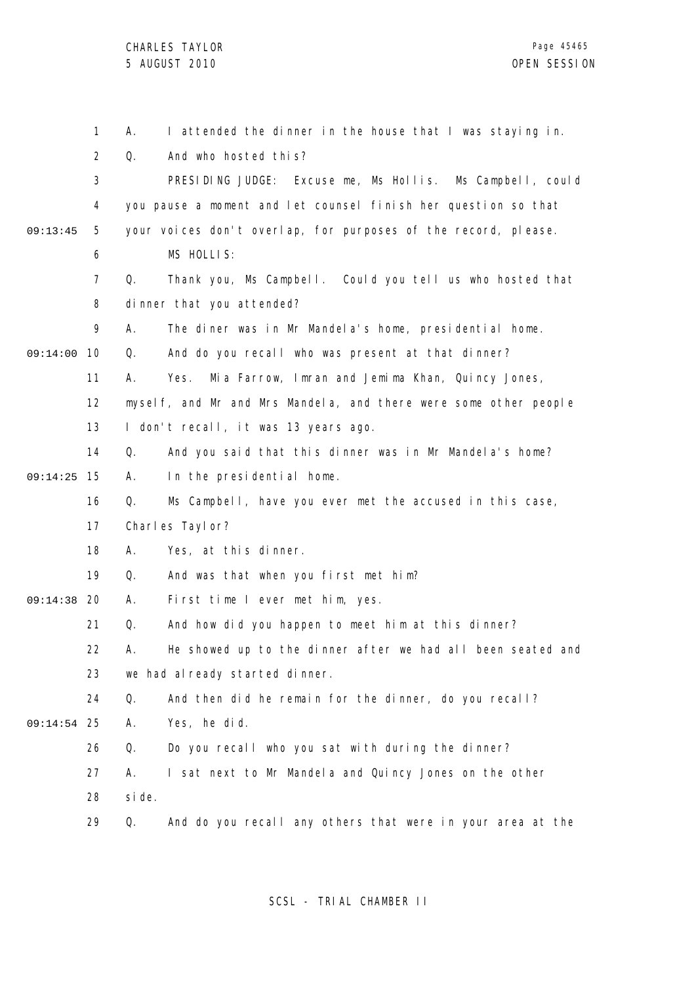|          | 1              | А.     | I attended the dinner in the house that I was staying in.        |
|----------|----------------|--------|------------------------------------------------------------------|
|          | $\overline{2}$ | Q.     | And who hosted this?                                             |
|          | 3              |        | PRESIDING JUDGE: Excuse me, Ms Hollis. Ms Campbell, could        |
|          | 4              |        | you pause a moment and let counsel finish her question so that   |
| 09:13:45 | 5              |        | your voices don't overlap, for purposes of the record, please.   |
|          | 6              |        | MS HOLLIS:                                                       |
|          | 7              | Q.     | Thank you, Ms Campbell. Could you tell us who hosted that        |
|          | 8              |        | dinner that you attended?                                        |
|          | 9              | А.     | The diner was in Mr Mandela's home, presidential home.           |
| 09:14:00 | 10             | Q.     | And do you recall who was present at that dinner?                |
|          | 11             | А.     | Mia Farrow, Imran and Jemima Khan, Quincy Jones,<br>Yes.         |
|          | 12             |        | myself, and Mr and Mrs Mandela, and there were some other people |
|          | 13             |        | I don't recall, it was 13 years ago.                             |
|          | 14             | Q.     | And you said that this dinner was in Mr Mandela's home?          |
| 09:14:25 | 15             | А.     | In the presidential home.                                        |
|          | 16             | Q.     | Ms Campbell, have you ever met the accused in this case,         |
|          | 17             |        | Charles Taylor?                                                  |
|          | 18             | А.     | Yes, at this dinner.                                             |
|          | 19             | Q.     | And was that when you first met him?                             |
| 09:14:38 | 20             | Α.     | First time I ever met him, yes.                                  |
|          | 21             | Q.     | And how did you happen to meet him at this dinner?               |
|          | 22             | А.     | He showed up to the dinner after we had all been seated and      |
|          | 23             |        | we had already started dinner.                                   |
|          | 24             | Q.     | And then did he remain for the dinner, do you recall?            |
| 09:14:54 | 25             | Α.     | Yes, he did.                                                     |
|          | 26             | Q.     | Do you recall who you sat with during the dinner?                |
|          | 27             | А.     | I sat next to Mr Mandel a and Quincy Jones on the other          |
|          | 28             | si de. |                                                                  |
|          | 29             | Q.     | And do you recall any others that were in your area at the       |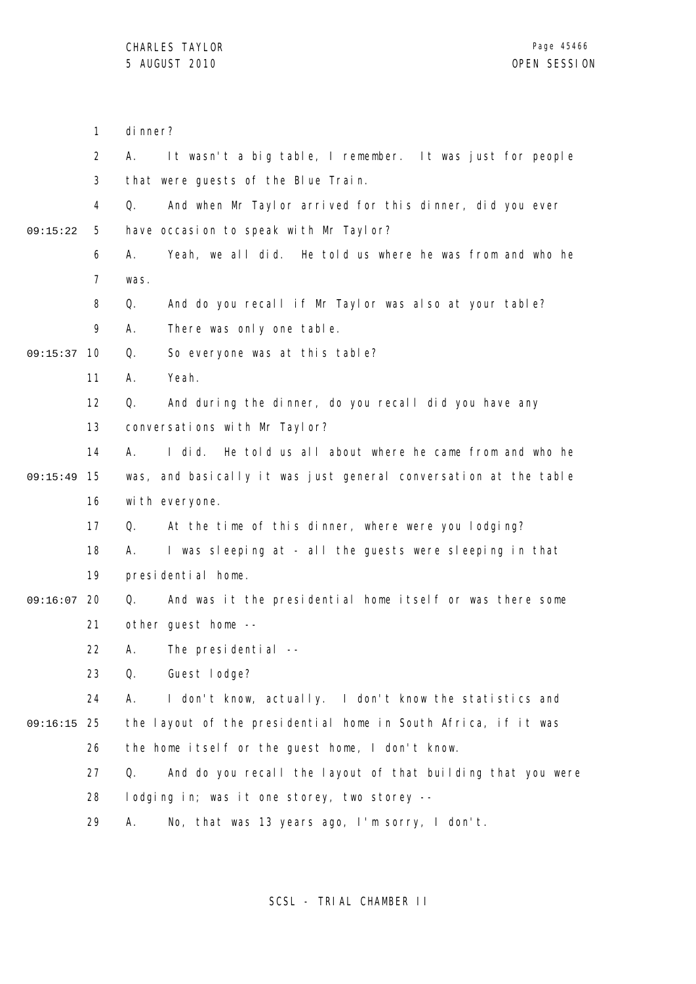|          | $\mathbf{1}$   | di nner?                                                            |
|----------|----------------|---------------------------------------------------------------------|
|          | 2              | It wasn't a big table, I remember. It was just for people<br>Α.     |
|          | 3              | that were guests of the Blue Train.                                 |
|          | 4              | And when Mr Taylor arrived for this dinner, did you ever<br>Q.      |
| 09:15:22 | 5              | have occasion to speak with Mr Taylor?                              |
|          | 6              | Yeah, we all did. He told us where he was from and who he<br>А.     |
|          | $\overline{7}$ | was.                                                                |
|          | 8              | And do you recall if Mr Taylor was also at your table?<br>Q.        |
|          | 9              | There was only one table.<br>А.                                     |
| 09:15:37 | 10             | So everyone was at this table?<br>Q.                                |
|          | 11             | Yeah.<br>А.                                                         |
|          | 12             | Q.<br>And during the dinner, do you recall did you have any         |
|          | 13             | conversations with Mr Taylor?                                       |
|          | 14             | He told us all about where he came from and who he<br>А.<br>I di d. |
| 09:15:49 | 15             | was, and basically it was just general conversation at the table    |
|          | 16             | with everyone.                                                      |
|          | 17             | At the time of this dinner, where were you lodging?<br>Q.           |
|          | 18             | I was sleeping at - all the guests were sleeping in that<br>А.      |
|          | 19             | presidential home.                                                  |
| 09:16:07 | 20             | And was it the presidential home itself or was there some<br>Q.     |
|          | 21             | other guest home --                                                 |
|          | 22             | A. The presidential --                                              |
|          | 23             | Guest lodge?<br>Q.                                                  |
|          | 24             | I don't know, actually. I don't know the statistics and<br>А.       |
| 09:16:15 | 25             | the layout of the presidential home in South Africa, if it was      |
|          | 26             | the home itself or the guest home, I don't know.                    |
|          | 27             | And do you recall the layout of that building that you were<br>Q.   |
|          | 28             | lodging in; was it one storey, two storey --                        |
|          | 29             | No, that was 13 years ago, I'm sorry, I don't.<br>А.                |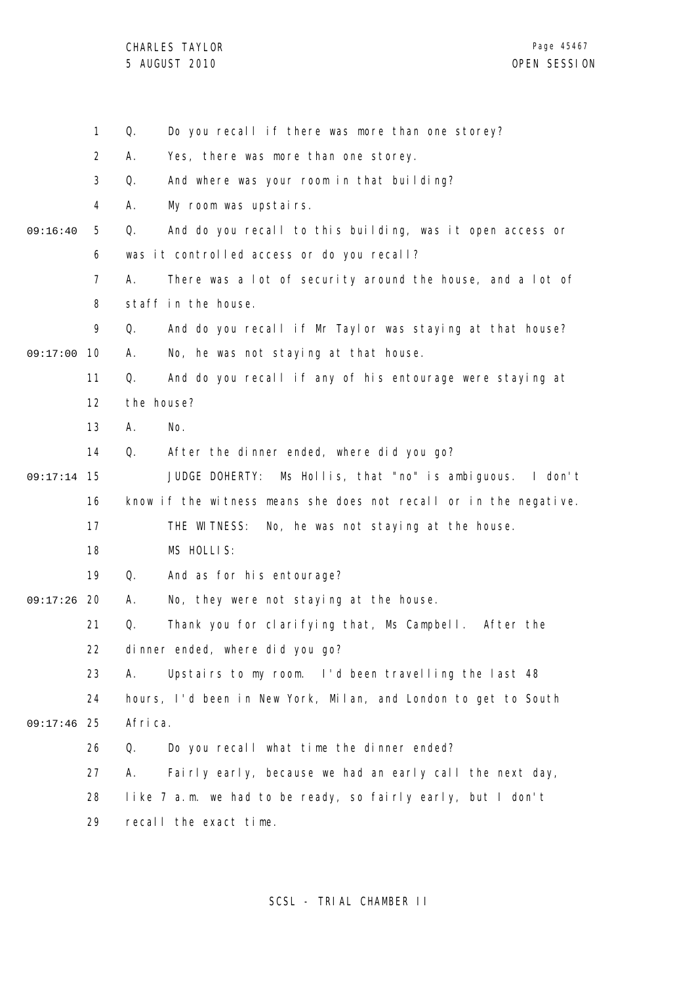CHARLES TAYLOR

|          | $\mathbf{1}$   | Q.      | Do you recall if there was more than one storey?                  |
|----------|----------------|---------|-------------------------------------------------------------------|
|          | $\overline{2}$ | А.      | Yes, there was more than one storey.                              |
|          | 3              | Q.      | And where was your room in that building?                         |
|          | 4              | А.      | My room was upstairs.                                             |
| 09:16:40 | 5              | Q.      | And do you recall to this building, was it open access or         |
|          | 6              |         | was it controlled access or do you recall?                        |
|          | 7              | А.      | There was a lot of security around the house, and a lot of        |
|          | 8              |         | staff in the house.                                               |
|          | 9              | Q.      | And do you recall if Mr Taylor was staying at that house?         |
| 09:17:00 | 10             | А.      | No, he was not staying at that house.                             |
|          | 11             | Q.      | And do you recall if any of his entourage were staying at         |
|          | 12             |         | the house?                                                        |
|          | 13             | Α.      | No.                                                               |
|          | 14             | Q.      | After the dinner ended, where did you go?                         |
| 09:17:14 | 15             |         | Ms Hollis, that "no" is ambiguous. I don't<br>JUDGE DOHERTY:      |
|          | 16             |         | know if the witness means she does not recall or in the negative. |
|          | 17             |         | THE WITNESS:<br>No, he was not staying at the house.              |
|          | 18             |         | MS HOLLIS:                                                        |
|          | 19             | Q.      | And as for his entourage?                                         |
| 09:17:26 | 20             | А.      | No, they were not staying at the house.                           |
|          | 21             | Q.      | Thank you for clarifying that, Ms Campbell. After the             |
|          | 22             |         | dinner ended, where did you go?                                   |
|          | 23             | А.      | Upstairs to my room. I'd been travelling the last 48              |
|          | 24             |         | hours, I'd been in New York, Milan, and London to get to South    |
| 09:17:46 | 25             | Africa. |                                                                   |
|          | 26             | Q.      | Do you recall what time the dinner ended?                         |
|          | 27             | А.      | Fairly early, because we had an early call the next day,          |
|          | 28             |         | like 7 a.m. we had to be ready, so fairly early, but I don't      |
|          | 29             |         | recall the exact time.                                            |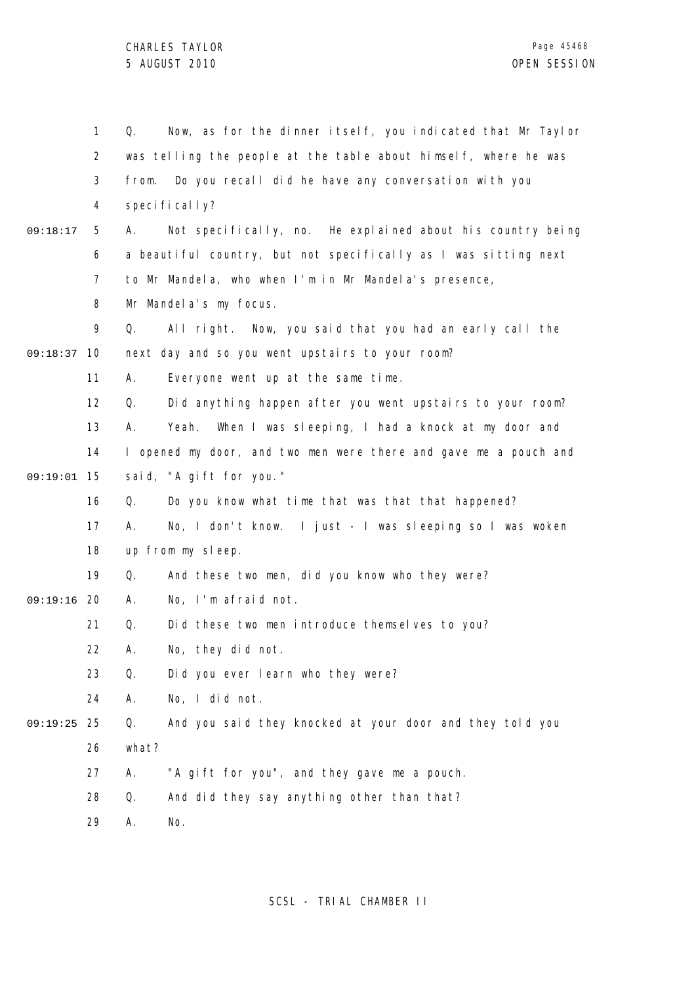|          | $\mathbf{1}$   | Now, as for the dinner itself, you indicated that Mr Taylor<br>Q. |
|----------|----------------|-------------------------------------------------------------------|
|          | $\overline{2}$ | was telling the people at the table about himself, where he was   |
|          | 3              | Do you recall did he have any conversation with you<br>from.      |
|          | 4              | specifically?                                                     |
| 09:18:17 | 5              | А.<br>Not specifically, no. He explained about his country being  |
|          | 6              | a beautiful country, but not specifically as I was sitting next   |
|          | $\overline{7}$ | to Mr Mandela, who when I'm in Mr Mandela's presence,             |
|          | 8              | Mr Mandel a's my focus.                                           |
|          | 9              | Q.<br>All right. Now, you said that you had an early call the     |
| 09:18:37 | 10             | next day and so you went upstairs to your room?                   |
|          | 11             | Α.<br>Everyone went up at the same time.                          |
|          | 12             | Did anything happen after you went upstairs to your room?<br>Q.   |
|          | 13             | Α.<br>When I was sleeping, I had a knock at my door and<br>Yeah.  |
|          | 14             | I opened my door, and two men were there and gave me a pouch and  |
| 09:19:01 | 15             | said, "A gift for you."                                           |
|          | 16             | Do you know what time that was that that happened?<br>Q.          |
|          | 17             | No, I don't know. I just - I was sleeping so I was woken<br>А.    |
|          | 18             | up from my sleep.                                                 |
|          | 19             | And these two men, did you know who they were?<br>Q.              |
| 09:19:16 | 20             | No, I'm afraid not.<br>Α.                                         |
|          | 21             | Did these two men introduce themselves to you?<br>Q.              |
|          | 22             | No, they did not.<br>А.                                           |
|          | 23             | Q.<br>Did you ever learn who they were?                           |
|          | 24             | А.<br>No, I did not.                                              |
| 09:19:25 | 25             | And you said they knocked at your door and they told you<br>Q.    |
|          | 26             | what?                                                             |
|          | 27             | "A gift for you", and they gave me a pouch.<br>Α.                 |
|          | 28             | And did they say anything other than that?<br>Q.                  |
|          | 29             | No.<br>А.                                                         |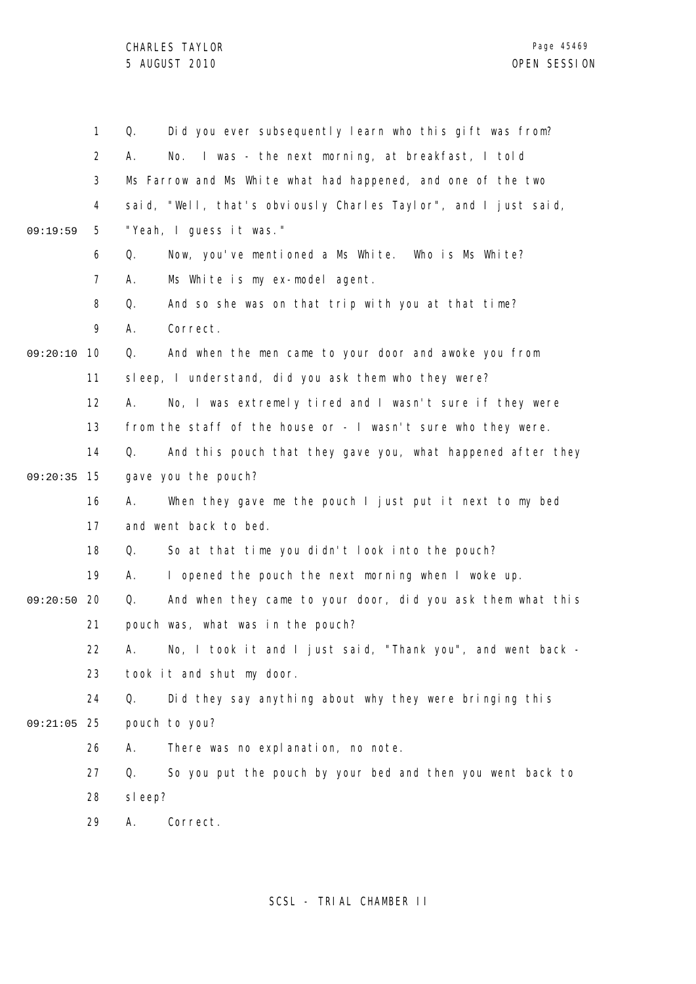CHARLES TAYLOR

|          | 1              | Did you ever subsequently learn who this gift was from?<br>Q.     |
|----------|----------------|-------------------------------------------------------------------|
|          | $\overline{2}$ | I was - the next morning, at breakfast, I told<br>А.<br>No.       |
|          | 3              | Ms Farrow and Ms White what had happened, and one of the two      |
|          | 4              | said, "Well, that's obviously Charles Taylor", and I just said,   |
| 09:19:59 | 5              | "Yeah, I guess it was."                                           |
|          | 6              | Q.<br>Now, you've mentioned a Ms White. Who is Ms White?          |
|          | 7              | А.<br>Ms White is my ex-model agent.                              |
|          | 8              | And so she was on that trip with you at that time?<br>Q.          |
|          | 9              | Correct.<br>А.                                                    |
| 09:20:10 | 10             | And when the men came to your door and awoke you from<br>Q.       |
|          | 11             | sleep, I understand, did you ask them who they were?              |
|          | 12             | No, I was extremely tired and I wasn't sure if they were<br>А.    |
|          | 13             | from the staff of the house or - I wasn't sure who they were.     |
|          | 14             | Q.<br>And this pouch that they gave you, what happened after they |
| 09:20:35 | 15             | gave you the pouch?                                               |
|          | 16             | When they gave me the pouch I just put it next to my bed<br>А.    |
|          | 17             | and went back to bed.                                             |
|          | 18             | So at that time you didn't look into the pouch?<br>Q.             |
|          | 19             | I opened the pouch the next morning when I woke up.<br>А.         |
| 09:20:50 | 20             | And when they came to your door, did you ask them what this<br>Q. |
|          | 21             | pouch was, what was in the pouch?                                 |
|          | 22             | No, I took it and I just said, "Thank you", and went back -       |
|          | 23             | took it and shut my door.                                         |
|          | 24             | Did they say anything about why they were bringing this<br>Q.     |
| 09:21:05 | 25             | pouch to you?                                                     |
|          | 26             | There was no explanation, no note.<br>А.                          |
|          | 27             | Q.<br>So you put the pouch by your bed and then you went back to  |
|          | 28             | sleep?                                                            |
|          | 29             | Correct.<br>Α.                                                    |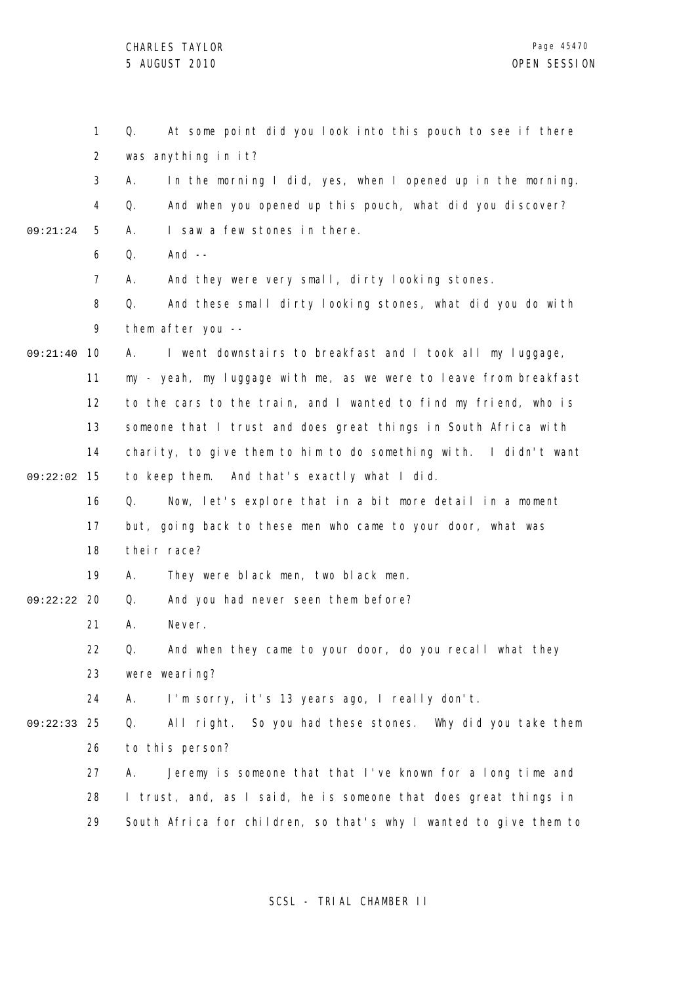|          | $\mathbf{1}$ | At some point did you look into this pouch to see if there<br>Q.  |
|----------|--------------|-------------------------------------------------------------------|
|          | 2            | was anything in it?                                               |
|          | 3            | In the morning I did, yes, when I opened up in the morning.<br>А. |
|          | 4            | And when you opened up this pouch, what did you discover?<br>Q.   |
| 09:21:24 | 5            | I saw a few stones in there.<br>Α.                                |
|          | 6            | And $--$<br>Q.                                                    |
|          | 7            | And they were very small, dirty looking stones.<br>А.             |
|          | 8            | And these small dirty looking stones, what did you do with<br>Q.  |
|          | 9            | them after you --                                                 |
| 09:21:40 | 10           | I went downstairs to breakfast and I took all my luggage,<br>А.   |
|          | 11           | my - yeah, my luggage with me, as we were to leave from breakfast |
|          | 12           | to the cars to the train, and I wanted to find my friend, who is  |
|          | 13           | someone that I trust and does great things in South Africa with   |
|          | 14           | charity, to give them to him to do something with. I didn't want  |
| 09:22:02 | 15           | to keep them. And that's exactly what I did.                      |
|          | 16           | Now, let's explore that in a bit more detail in a moment<br>Q.    |
|          | 17           | but, going back to these men who came to your door, what was      |
|          | 18           | their race?                                                       |
|          | 19           | They were black men, two black men.<br>А.                         |
| 09:22:22 | 20           | And you had never seen them before?<br>Q.                         |
|          | 21           | А.<br>Never.                                                      |
|          | 22           | And when they came to your door, do you recall what they<br>Q.    |
|          | 23           | were wearing?                                                     |
|          | 24           | I'm sorry, it's 13 years ago, I really don't.<br>А.               |
| 09:22:33 | 25           | All right. So you had these stones. Why did you take them<br>Q.   |
|          | 26           | to this person?                                                   |
|          | 27           | Jeremy is someone that that I've known for a long time and<br>А.  |
|          | 28           | I trust, and, as I said, he is someone that does great things in  |
|          | 29           | South Africa for children, so that's why I wanted to give them to |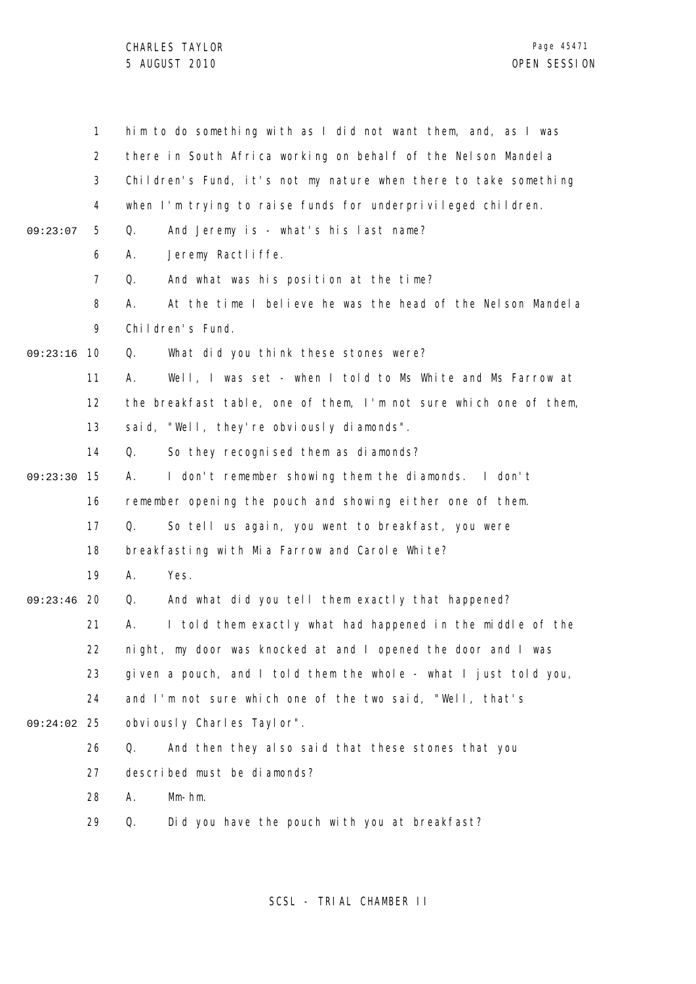|               | $\mathbf{1}$   | him to do something with as I did not want them, and, as I was    |
|---------------|----------------|-------------------------------------------------------------------|
|               | $\overline{2}$ | there in South Africa working on behalf of the Nelson Mandela     |
|               | 3              | Children's Fund, it's not my nature when there to take something  |
|               | 4              | when I'm trying to raise funds for underprivileged children.      |
| 09:23:07      | 5              | Q.<br>And Jeremy is - what's his last name?                       |
|               | 6              | Jeremy Ractliffe.<br>Α.                                           |
|               | $\overline{7}$ | And what was his position at the time?<br>Q.                      |
|               | 8              | At the time I believe he was the head of the Nelson Mandela<br>А. |
|               | 9              | Children's Fund.                                                  |
| 09:23:16      | 10             | Q.<br>What did you think these stones were?                       |
|               | 11             | Well, I was set - when I told to Ms White and Ms Farrow at<br>А.  |
|               | 12             | the breakfast table, one of them, I'm not sure which one of them, |
|               | 13             | said, "Well, they're obviously diamonds".                         |
|               | 14             | Q.<br>So they recognised them as diamonds?                        |
| 09:23:30      | 15             | I don't remember showing them the diamonds. I don't<br>А.         |
|               | 16             | remember opening the pouch and showing either one of them.        |
|               | 17             | So tell us again, you went to breakfast, you were<br>Q.           |
|               | 18             | breakfasting with Mia Farrow and Carole White?                    |
|               | 19             | Yes.<br>Α.                                                        |
| 09:23:46      | -20            | And what did you tell them exactly that happened?<br>Q.           |
|               | 21             | I told them exactly what had happened in the middle of the<br>Α.  |
|               | 22             | night, my door was knocked at and I opened the door and I was     |
|               | 23             | given a pouch, and I told them the whole - what I just told you,  |
|               | 24             | and I'm not sure which one of the two said, "Well, that's         |
| $09:24:02$ 25 |                | obviously Charles Taylor".                                        |
|               | 26             | And then they also said that these stones that you<br>Q.          |
|               | 27             | described must be diamonds?                                       |
|               | 28             | Α.<br>$Mm-hm.$                                                    |
|               | 29             | Did you have the pouch with you at breakfast?<br>Q.               |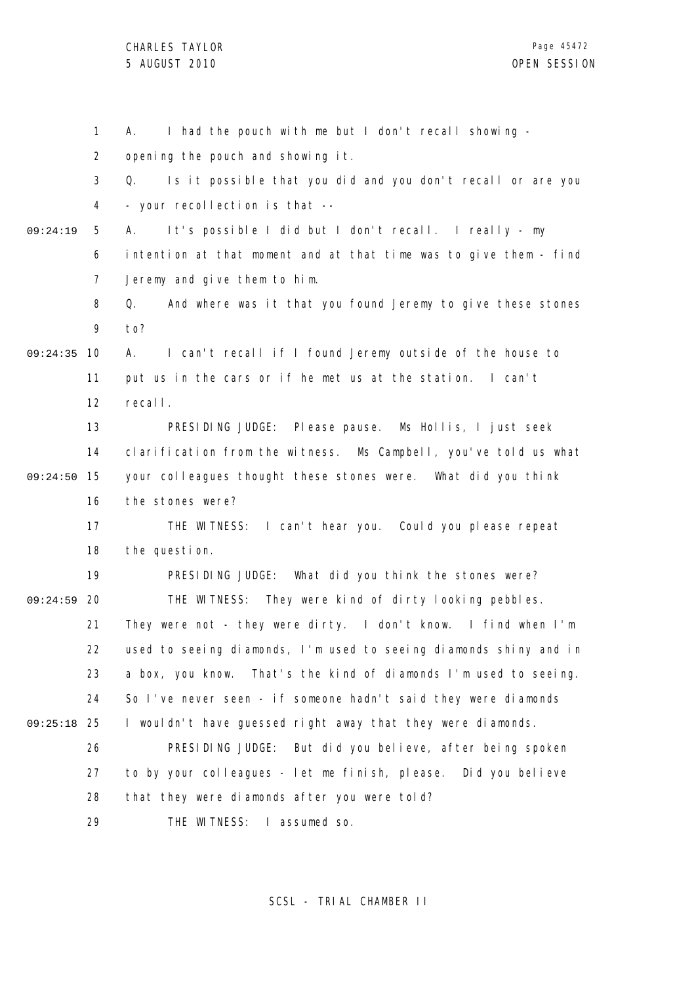1 2 3 4 5 6 7 8 9 09:24:35 10 11 12 13 14 15 09:24:50 16 17 18 19 09:24:59 20 21 22 23 24 25 09:25:18 26 27 28 29 09:24:19 A. I had the pouch with me but I don't recall showing opening the pouch and showing it. Q. Is it possible that you did and you don't recall or are you - your recollection is that -- A. It's possible I did but I don't recall. I really - my intention at that moment and at that time was to give them - find Jeremy and give them to him. Q. And where was it that you found Jeremy to give these stones to? A. I can't recall if I found Jeremy outside of the house to put us in the cars or if he met us at the station. I can't recall. PRESIDING JUDGE: Please pause. Ms Hollis, I just seek clarification from the witness. Ms Campbell, you've told us what your colleagues thought these stones were. What did you think the stones were? THE WITNESS: I can't hear you. Could you please repeat the question. PRESIDING JUDGE: What did you think the stones were? THE WITNESS: They were kind of dirty looking pebbles. They were not - they were dirty. I don't know. I find when I'm used to seeing diamonds, I'm used to seeing diamonds shiny and in a box, you know. That's the kind of diamonds I'm used to seeing. So I've never seen - if someone hadn't said they were diamonds I wouldn't have guessed right away that they were diamonds. PRESIDING JUDGE: But did you believe, after being spoken to by your colleagues - let me finish, please. Did you believe that they were diamonds after you were told? THE WITNESS: I assumed so.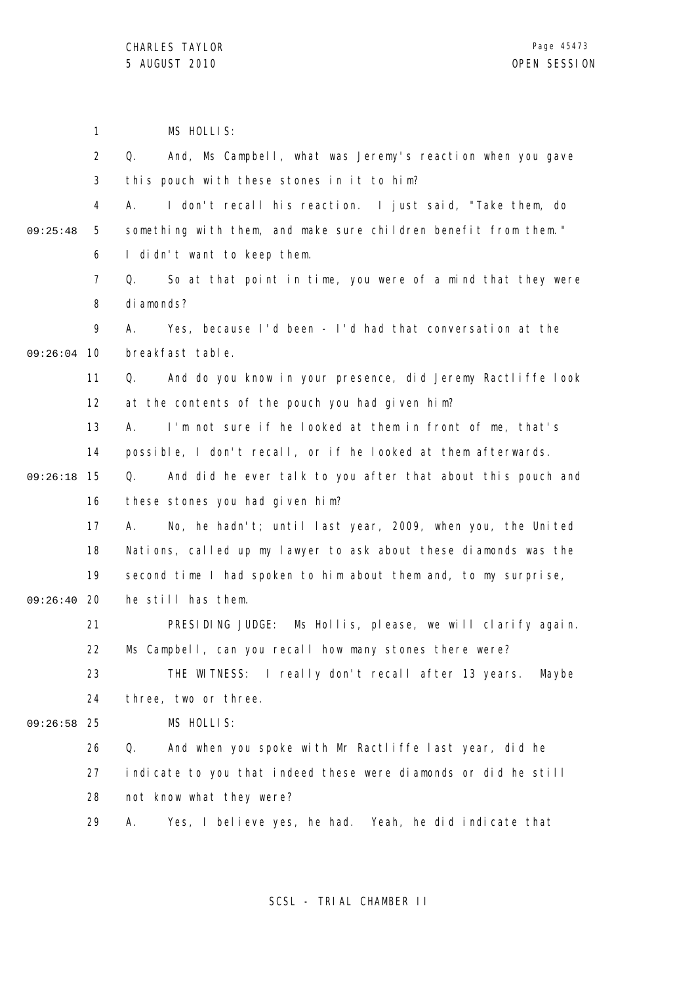|          | 1              | MS HOLLIS:                                                        |
|----------|----------------|-------------------------------------------------------------------|
|          | $\overline{2}$ | And, Ms Campbell, what was Jeremy's reaction when you gave<br>Q.  |
|          | 3              | this pouch with these stones in it to him?                        |
|          | 4              | I don't recall his reaction. I just said, "Take them, do<br>А.    |
| 09:25:48 | 5              | something with them, and make sure children benefit from them."   |
|          | 6              | I didn't want to keep them.                                       |
|          | $\overline{7}$ | So at that point in time, you were of a mind that they were<br>Q. |
|          | 8              | di amonds?                                                        |
|          | 9              | Yes, because I'd been - I'd had that conversation at the<br>А.    |
| 09:26:04 | 10             | breakfast table.                                                  |
|          | 11             | And do you know in your presence, did Jeremy Ractliffe look<br>Q. |
|          | 12             | at the contents of the pouch you had given him?                   |
|          | 13             | I'm not sure if he looked at them in front of me, that's<br>А.    |
|          | 14             | possible, I don't recall, or if he looked at them afterwards.     |
| 09:26:18 | 15             | And did he ever talk to you after that about this pouch and<br>Q. |
|          | 16             | these stones you had given him?                                   |
|          | 17             | No, he hadn't; until last year, 2009, when you, the United<br>А.  |
|          | 18             | Nations, called up my lawyer to ask about these diamonds was the  |
|          | 19             | second time I had spoken to him about them and, to my surprise,   |
| 09:26:40 | 20             | he still has them.                                                |
|          | 21             | PRESIDING JUDGE: Ms Hollis, please, we will clarify again.        |
|          | 22             | Ms Campbell, can you recall how many stones there were?           |
|          | 23             | THE WITNESS: I really don't recall after 13 years. Maybe          |
|          | 24             | three, two or three.                                              |
| 09:26:58 | 25             | MS HOLLIS:                                                        |
|          | 26             | Q.<br>And when you spoke with Mr Ractliffe last year, did he      |
|          | 27             | indicate to you that indeed these were diamonds or did he still   |
|          | 28             | not know what they were?                                          |
|          | 29             | Yes, I believe yes, he had. Yeah, he did indicate that<br>Α.      |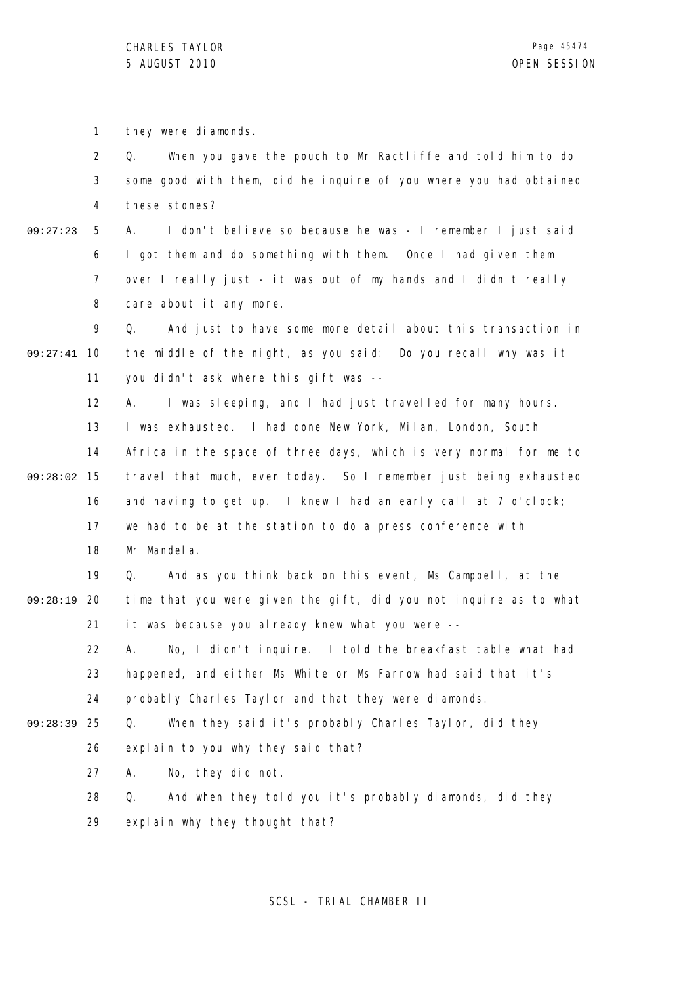1 they were diamonds.

2 3 4 Q. When you gave the pouch to Mr Ractliffe and told him to do some good with them, did he inquire of you where you had obtained these stones?

5 6 7 8 09:27:23 A. I don't believe so because he was - I remember I just said I got them and do something with them. Once I had given them over I really just - it was out of my hands and I didn't really care about it any more.

9 09:27:41 10 11 Q. And just to have some more detail about this transaction in the middle of the night, as you said: Do you recall why was it you didn't ask where this gift was --

12 13 14 15 09:28:02 16 17 18 A. I was sleeping, and I had just travelled for many hours. I was exhausted. I had done New York, Milan, London, South Africa in the space of three days, which is very normal for me to travel that much, even today. So I remember just being exhausted and having to get up. I knew I had an early call at 7 o'clock; we had to be at the station to do a press conference with Mr Mandela.

19 09:28:19 20 21 Q. And as you think back on this event, Ms Campbell, at the time that you were given the gift, did you not inquire as to what it was because you already knew what you were --

22 23 24 A. No, I didn't inquire. I told the breakfast table what had happened, and either Ms White or Ms Farrow had said that it's probably Charles Taylor and that they were diamonds.

Q. When they said it's probably Charles Taylor, did they

25 09:28:39

26 explain to you why they said that?

27 A. No, they did not.

28 29 Q. And when they told you it's probably diamonds, did they explain why they thought that?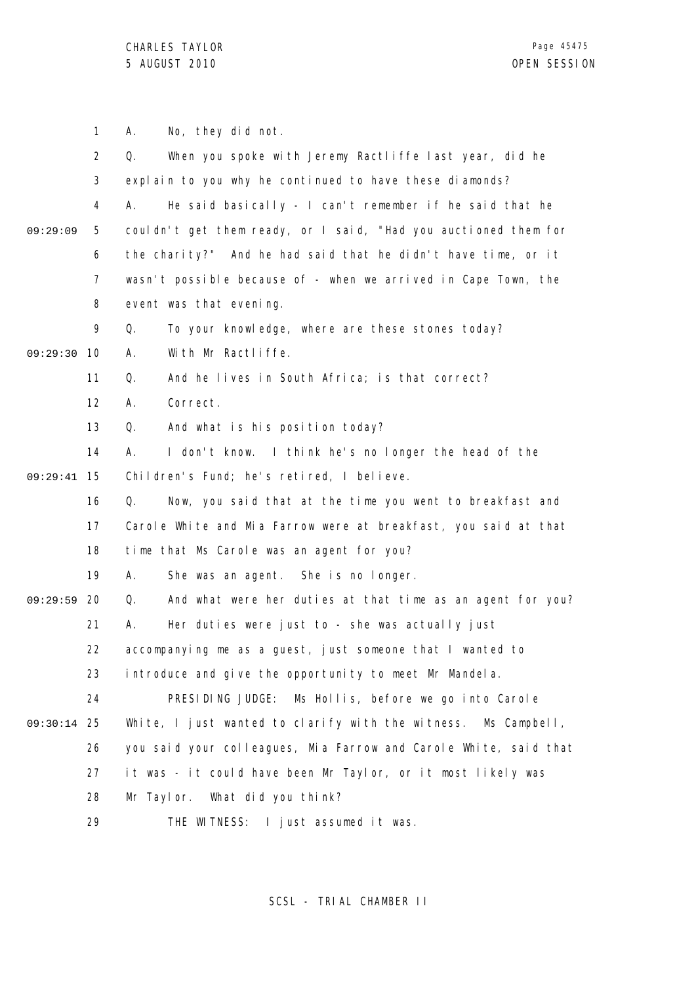1 2 3 4 5 6 7 8 9 09:29:30 10 11 12 13 14 15 09:29:41 16 17 18 19 09:29:59 20 21 22 23 24 25 09:30:14 26 27 28 29 09:29:09 A. No, they did not. Q. When you spoke with Jeremy Ractliffe last year, did he explain to you why he continued to have these diamonds? A. He said basically - I can't remember if he said that he couldn't get them ready, or I said, "Had you auctioned them for the charity?" And he had said that he didn't have time, or it wasn't possible because of - when we arrived in Cape Town, the event was that evening. Q. To your knowledge, where are these stones today? A. With Mr Ractliffe. Q. And he lives in South Africa; is that correct? A. Correct. Q. And what is his position today? A. I don't know. I think he's no longer the head of the Children's Fund; he's retired, I believe. Q. Now, you said that at the time you went to breakfast and Carole White and Mia Farrow were at breakfast, you said at that time that Ms Carole was an agent for you? A. She was an agent. She is no longer. Q. And what were her duties at that time as an agent for you? A. Her duties were just to - she was actually just accompanying me as a guest, just someone that I wanted to introduce and give the opportunity to meet Mr Mandela. PRESIDING JUDGE: Ms Hollis, before we go into Carole White, I just wanted to clarify with the witness. Ms Campbell, you said your colleagues, Mia Farrow and Carole White, said that it was - it could have been Mr Taylor, or it most likely was Mr Taylor. What did you think? THE WITNESS: I just assumed it was.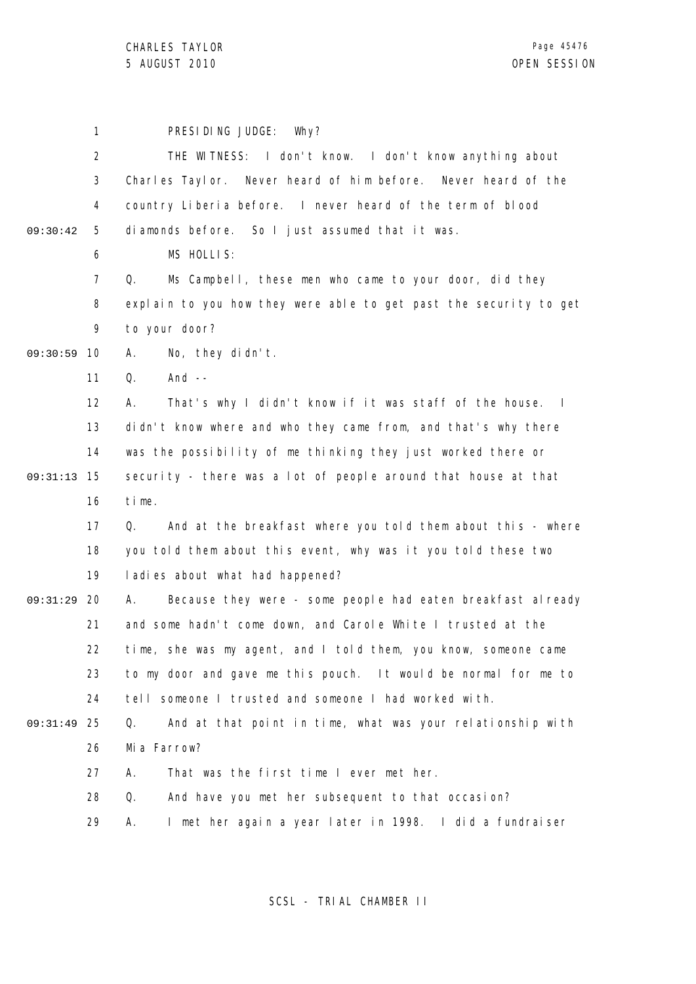|          | 1              | PRESIDING JUDGE:<br>Why?                                          |
|----------|----------------|-------------------------------------------------------------------|
|          | $\overline{2}$ | THE WITNESS: I don't know. I don't know anything about            |
|          | 3              | Charles Taylor. Never heard of him before. Never heard of the     |
|          | 4              | country Liberia before. I never heard of the term of blood        |
| 09:30:42 | 5              | diamonds before. So I just assumed that it was.                   |
|          | 6              | MS HOLLIS:                                                        |
|          | $\overline{7}$ | Ms Campbell, these men who came to your door, did they<br>Q.      |
|          | 8              | explain to you how they were able to get past the security to get |
|          | 9              | to your door?                                                     |
| 09:30:59 | 10             | No, they didn't.<br>Α.                                            |
|          | 11             | Q.<br>And $--$                                                    |
|          | 12             | That's why I didn't know if it was staff of the house. I<br>А.    |
|          | 13             | didn't know where and who they came from, and that's why there    |
|          | 14             | was the possibility of me thinking they just worked there or      |
| 09:31:13 | 15             | security - there was a lot of people around that house at that    |
|          | 16             | time.                                                             |
|          | 17             | And at the breakfast where you told them about this - where<br>Q. |
|          | 18             | you told them about this event, why was it you told these two     |
|          | 19             | ladies about what had happened?                                   |
| 09:31:29 | 20             | Because they were - some people had eaten breakfast already<br>А. |
|          | 21             | and some hadn't come down, and Carole White I trusted at the      |
|          | 22             | time, she was my agent, and I told them, you know, someone came   |
|          | 23             | to my door and gave me this pouch. It would be normal for me to   |
|          | 24             | tell someone I trusted and someone I had worked with.             |
| 09:31:49 | 25             | And at that point in time, what was your relationship with<br>Q.  |
|          | 26             | Mia Farrow?                                                       |
|          | 27             | That was the first time I ever met her.<br>А.                     |
|          | 28             | Q.<br>And have you met her subsequent to that occasion?           |
|          | 29             | I met her again a year later in 1998. I did a fundraiser<br>А.    |
|          |                |                                                                   |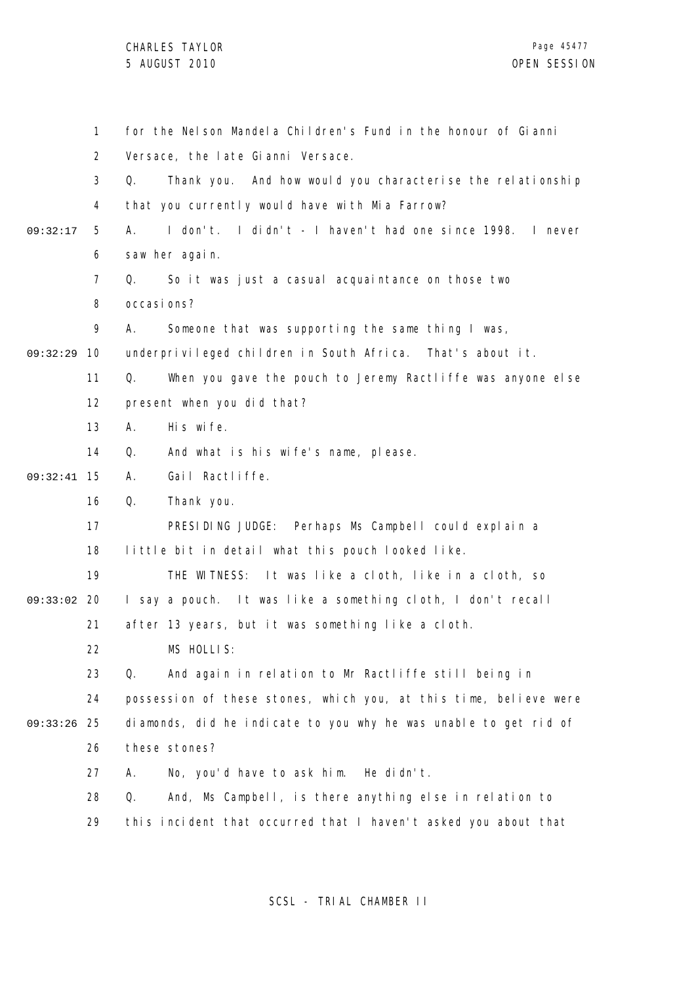CHARLES TAYLOR

|          | 1              | for the Nelson Mandela Children's Fund in the honour of Gianni    |  |  |
|----------|----------------|-------------------------------------------------------------------|--|--|
|          | $\overline{2}$ | Versace, the late Gianni Versace.                                 |  |  |
|          | 3              | Thank you. And how would you characterise the relationship<br>Q.  |  |  |
|          | 4              | that you currently would have with Mia Farrow?                    |  |  |
| 09:32:17 | 5              | I don't. I didn't - I haven't had one since 1998. I never<br>А.   |  |  |
|          | 6              | saw her again.                                                    |  |  |
|          | 7              | So it was just a casual acquaintance on those two<br>Q.           |  |  |
|          | 8              | occasi ons?                                                       |  |  |
|          | 9              | Someone that was supporting the same thing I was,<br>А.           |  |  |
| 09:32:29 | 10             | underprivileged children in South Africa. That's about it.        |  |  |
|          | 11             | Q.<br>When you gave the pouch to Jeremy Ractliffe was anyone else |  |  |
|          | 12             | present when you did that?                                        |  |  |
|          | 13             | His wife.<br>Α.                                                   |  |  |
|          | 14             | And what is his wife's name, please.<br>Q.                        |  |  |
| 09:32:41 | 15             | Gail Ractliffe.<br>Α.                                             |  |  |
|          | 16             | Q.<br>Thank you.                                                  |  |  |
|          | 17             | PRESIDING JUDGE: Perhaps Ms Campbell could explain a              |  |  |
|          | 18             | little bit in detail what this pouch looked like.                 |  |  |
|          | 19             | THE WITNESS: It was like a cloth, like in a cloth, so             |  |  |
| 09:33:02 | -20            | I say a pouch. It was like a something cloth, I don't recall      |  |  |
|          | 21             | after 13 years, but it was something like a cloth.                |  |  |
|          | 22             | MS HOLLIS:                                                        |  |  |
|          | 23             | Q.<br>And again in relation to Mr Ractliffe still being in        |  |  |
|          | 24             | possession of these stones, which you, at this time, believe were |  |  |
| 09:33:26 | 25             | diamonds, did he indicate to you why he was unable to get rid of  |  |  |
|          | 26             | these stones?                                                     |  |  |
|          | 27             | No, you'd have to ask him. He didn't.<br>А.                       |  |  |
|          | 28             | And, Ms Campbell, is there anything else in relation to<br>Q.     |  |  |
|          | 29             | this incident that occurred that I haven't asked you about that   |  |  |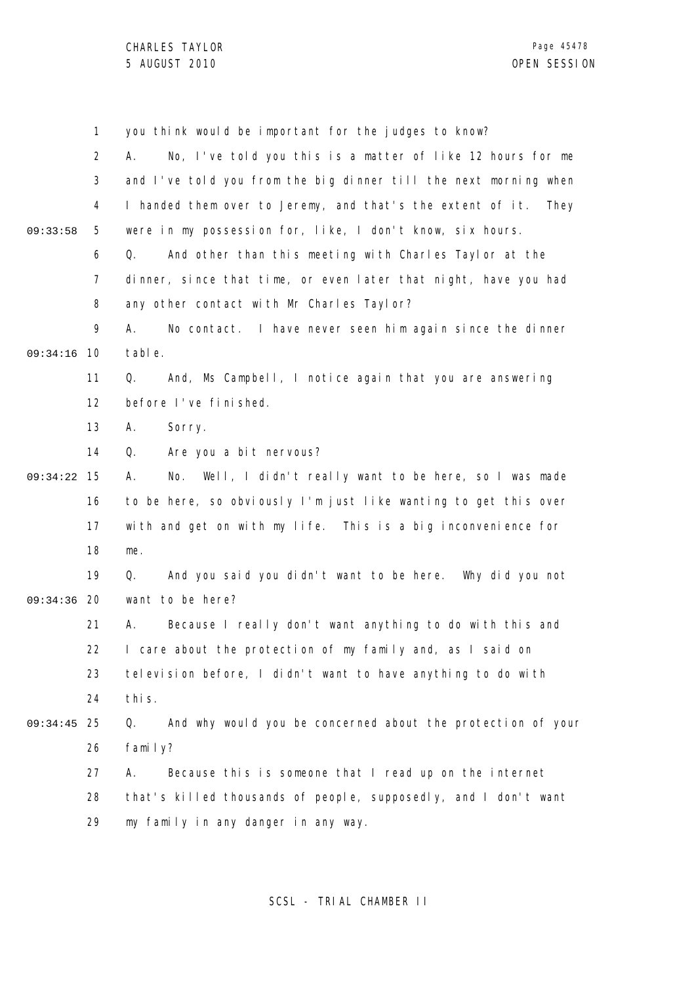1 2 3 4 5 6 7 8 9 09:34:16 10 11 12 13 14 15 09:34:22 16 17 18 19 09:34:36 20 21 22 23 24 25 09:34:45 26 27 28 29 09:33:58 you think would be important for the judges to know? A. No, I've told you this is a matter of like 12 hours for me and I've told you from the big dinner till the next morning when I handed them over to Jeremy, and that's the extent of it. They were in my possession for, like, I don't know, six hours. Q. And other than this meeting with Charles Taylor at the dinner, since that time, or even later that night, have you had any other contact with Mr Charles Taylor? A. No contact. I have never seen him again since the dinner table. Q. And, Ms Campbell, I notice again that you are answering before I've finished. A. Sorry. Q. Are you a bit nervous? A. No. Well, I didn't really want to be here, so I was made to be here, so obviously I'm just like wanting to get this over with and get on with my life. This is a big inconvenience for me. Q. And you said you didn't want to be here. Why did you not want to be here? A. Because I really don't want anything to do with this and I care about the protection of my family and, as I said on television before, I didn't want to have anything to do with this. Q. And why would you be concerned about the protection of your family? A. Because this is someone that I read up on the internet that's killed thousands of people, supposedly, and I don't want my family in any danger in any way.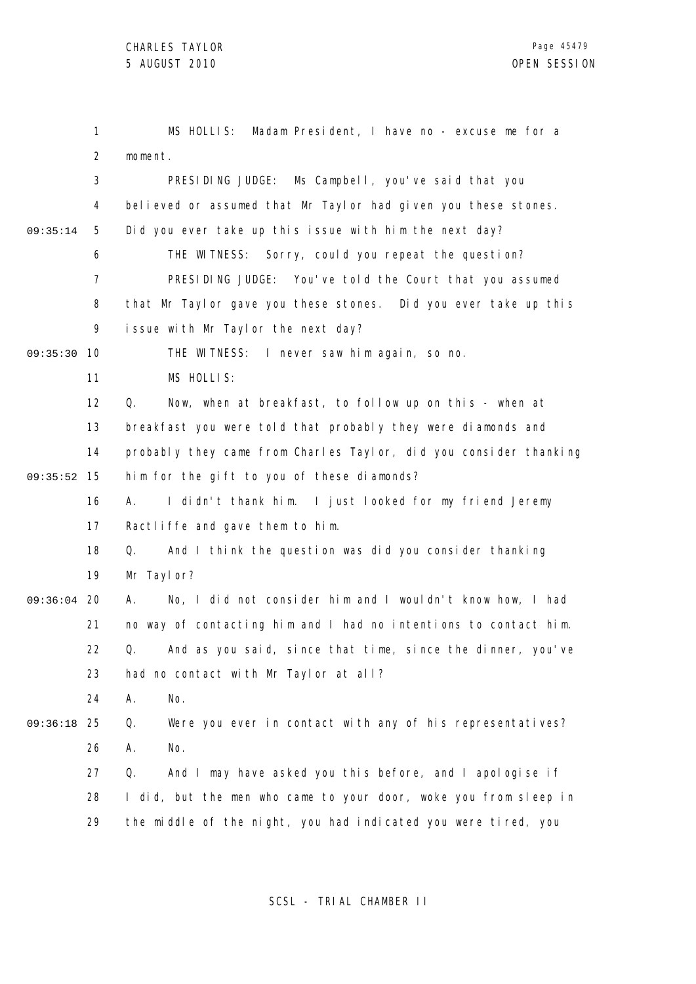|          | 1              | Madam President, I have no - excuse me for a<br>MS HOLLIS:        |
|----------|----------------|-------------------------------------------------------------------|
|          | $\overline{2}$ | moment.                                                           |
|          | $\mathfrak{Z}$ | PRESIDING JUDGE: Ms Campbell, you've said that you                |
|          | 4              | believed or assumed that Mr Taylor had given you these stones.    |
| 09:35:14 | 5              | Did you ever take up this issue with him the next day?            |
|          | 6              | THE WITNESS: Sorry, could you repeat the question?                |
|          | $\overline{7}$ | PRESIDING JUDGE: You've told the Court that you assumed           |
|          | 8              | that Mr Taylor gave you these stones. Did you ever take up this   |
|          | 9              | issue with Mr Taylor the next day?                                |
| 09:35:30 | 10             | THE WITNESS: I never saw him again, so no.                        |
|          | 11             | MS HOLLIS:                                                        |
|          | 12             | Now, when at breakfast, to follow up on this - when at<br>Q.      |
|          | 13             | breakfast you were told that probably they were diamonds and      |
|          | 14             | probably they came from Charles Taylor, did you consider thanking |
| 09:35:52 | 15             | him for the gift to you of these diamonds?                        |
|          | 16             | I didn't thank him. I just looked for my friend Jeremy<br>А.      |
|          | 17             | Ractliffe and gave them to him.                                   |
|          | 18             | Q.<br>And I think the question was did you consider thanking      |
|          | 19             | Mr Taylor?                                                        |
| 09:36:04 | 20             | No, I did not consider him and I wouldn't know how, I had<br>Α.   |
|          | 21             | no way of contacting him and I had no intentions to contact him.  |
|          | 22             | Q. And as you said, since that time, since the dinner, you've     |
|          | 23             | had no contact with Mr Taylor at all?                             |
|          | 24             | Α.<br>No.                                                         |
| 09:36:18 | 25             | Were you ever in contact with any of his representatives?<br>Q.   |
|          | 26             | Α.<br>No.                                                         |
|          | 27             | And I may have asked you this before, and I apologise if<br>Q.    |
|          | 28             | I did, but the men who came to your door, woke you from sleep in  |
|          | 29             | the middle of the night, you had indicated you were tired, you    |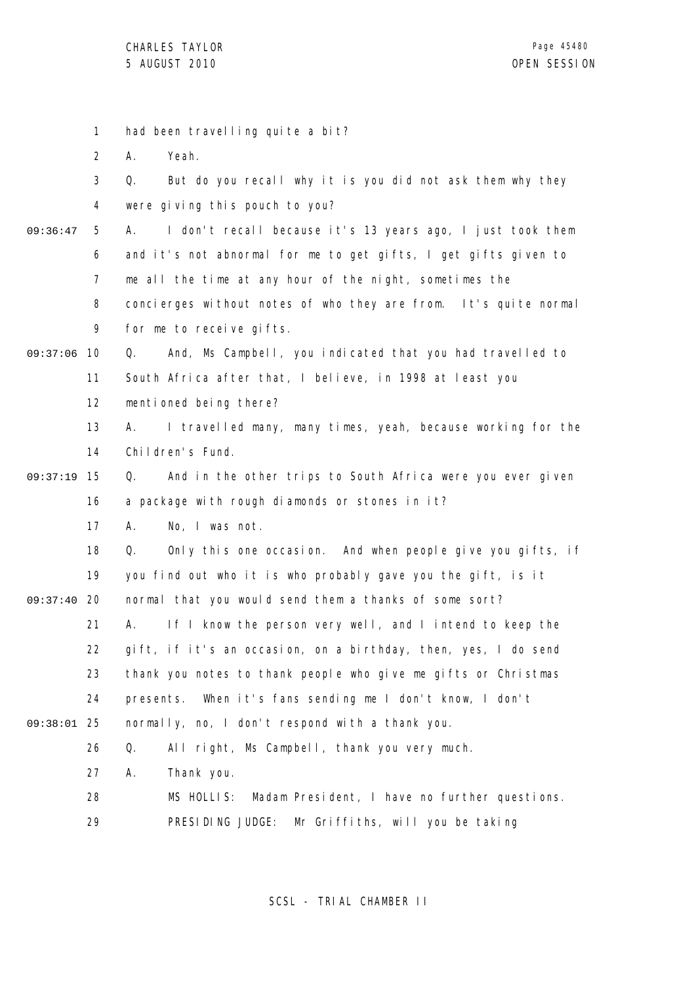| $\mathbf{1}$   | had been travelling quite a bit?                                  |
|----------------|-------------------------------------------------------------------|
| $\overline{2}$ | Yeah.<br>Α.                                                       |
| 3              | But do you recall why it is you did not ask them why they<br>Q.   |
| 4              | were giving this pouch to you?                                    |
| 5              | I don't recall because it's 13 years ago, I just took them<br>А.  |
| 6              | and it's not abnormal for me to get gifts, I get gifts given to   |
| $\overline{7}$ | me all the time at any hour of the night, sometimes the           |
| 8              | concierges without notes of who they are from. It's quite normal  |
| 9              | for me to receive gifts.                                          |
| 10             | And, Ms Campbell, you indicated that you had travelled to<br>Q.   |
| 11             | South Africa after that, I believe, in 1998 at least you          |
| 12             | mentioned being there?                                            |
| 13             | I travelled many, many times, yeah, because working for the<br>А. |
| 14             | Children's Fund.                                                  |
| 15             | And in the other trips to South Africa were you ever given<br>Q.  |
| 16             | a package with rough diamonds or stones in it?                    |
| 17             | No, I was not.<br>А.                                              |
| 18             | Only this one occasion. And when people give you gifts, if<br>Q.  |
| 19             | you find out who it is who probably gave you the gift, is it      |
| 20             | normal that you would send them a thanks of some sort?            |
| 21             | If I know the person very well, and I intend to keep the<br>А.    |
| 22             | gift, if it's an occasion, on a birthday, then, yes, I do send    |
| 23             | thank you notes to thank people who give me gifts or Christmas    |
| 24             | When it's fans sending me I don't know, I don't<br>presents.      |
| 25             | normally, no, I don't respond with a thank you.                   |
| 26             | All right, Ms Campbell, thank you very much.<br>Q.                |
| 27             | Thank you.<br>А.                                                  |
| 28             | Madam President, I have no further questions.<br>MS HOLLIS:       |
| 29             | Mr Griffiths, will you be taking<br>PRESIDING JUDGE:              |
|                |                                                                   |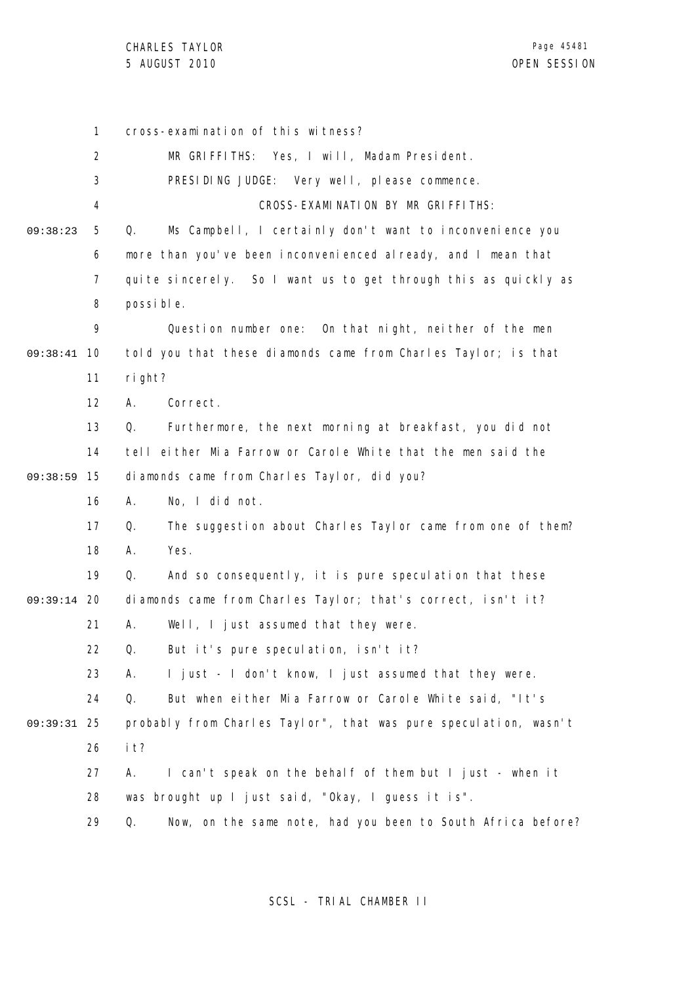1 2 3 4 5 6 7 8 9 09:38:41 10 11 12 13 14 15 09:38:59 16 17 18 19 09:39:14 20 21 22 23 24 25 09:39:31 26 27 28 29 09:38:23 cross-examination of this witness? MR GRIFFITHS: Yes, I will, Madam President. PRESIDING JUDGE: Very well, please commence. CROSS-EXAMINATION BY MR GRIFFITHS: Q. Ms Campbell, I certainly don't want to inconvenience you more than you've been inconvenienced already, and I mean that quite sincerely. So I want us to get through this as quickly as possible. Question number one: On that night, neither of the men told you that these diamonds came from Charles Taylor; is that right? A. Correct. Q. Furthermore, the next morning at breakfast, you did not tell either Mia Farrow or Carole White that the men said the diamonds came from Charles Taylor, did you? A. No, I did not. Q. The suggestion about Charles Taylor came from one of them? A. Yes. Q. And so consequently, it is pure speculation that these diamonds came from Charles Taylor; that's correct, isn't it? A. Well, I just assumed that they were. Q. But it's pure speculation, isn't it? A. I just - I don't know, I just assumed that they were. Q. But when either Mia Farrow or Carole White said, "It's probably from Charles Taylor", that was pure speculation, wasn't it? A. I can't speak on the behalf of them but I just - when it was brought up I just said, "Okay, I guess it is". Q. Now, on the same note, had you been to South Africa before?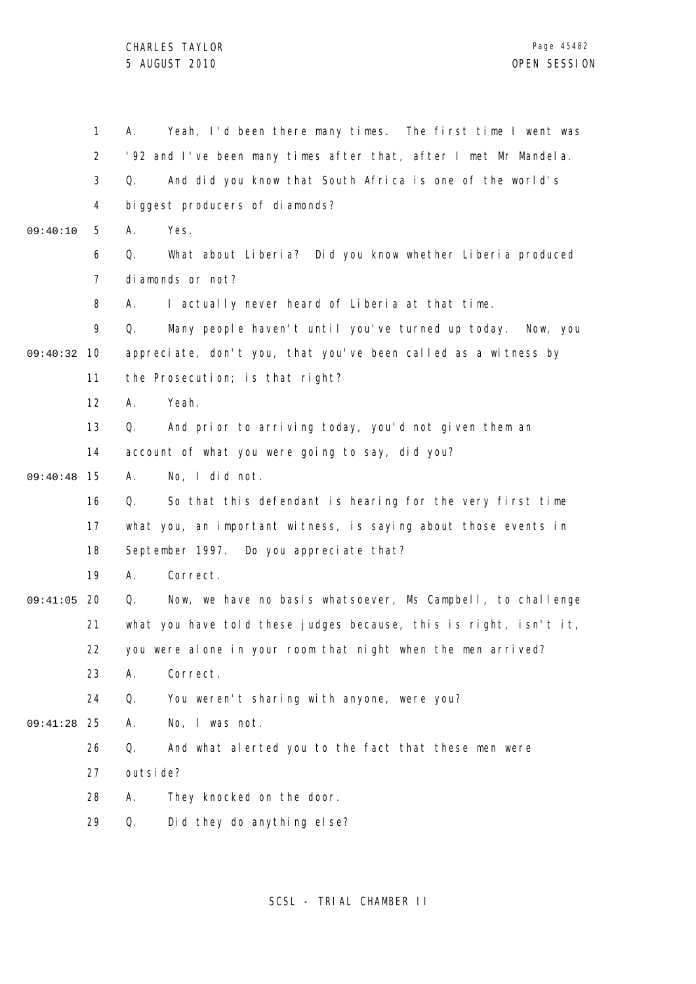|               | 1              | Yeah, I'd been there many times. The first time I went was<br>А.    |
|---------------|----------------|---------------------------------------------------------------------|
|               | $\overline{2}$ | '92 and I've been many times after that, after I met Mr Mandela.    |
|               | 3              | And did you know that South Africa is one of the world's<br>Q.      |
|               | 4              | biggest producers of diamonds?                                      |
| 09:40:10      | 5              | Yes.<br>А.                                                          |
|               | 6              | What about Liberia? Did you know whether Liberia produced<br>Q.     |
|               | $\overline{7}$ | diamonds or not?                                                    |
|               | 8              | I actually never heard of Liberia at that time.<br>А.               |
|               | 9              | Many people haven't until you've turned up today.<br>Q.<br>Now, you |
| 09:40:32      | -10            | appreciate, don't you, that you've been called as a witness by      |
|               | 11             | the Prosecution; is that right?                                     |
|               | 12             | Yeah.<br>А.                                                         |
|               | 13             | And prior to arriving today, you'd not given them an<br>Q.          |
|               | 14             | account of what you were going to say, did you?                     |
| 09:40:48      | 15             | No, I did not.<br>А.                                                |
|               | 16             | So that this defendant is hearing for the very first time<br>Q.     |
|               | 17             | what you, an important witness, is saying about those events in     |
|               | 18             | September 1997. Do you appreciate that?                             |
|               | 19             | Correct.<br>А.                                                      |
| 09:41:05      | -20            | Now, we have no basis whatsoever, Ms Campbell, to challenge<br>Q.   |
|               | 21             | what you have told these judges because, this is right, isn't it,   |
|               | 22             | you were alone in your room that night when the men arrived?        |
|               | 23             | Correct.<br>Α.                                                      |
|               | 24             | You weren't sharing with anyone, were you?<br>Q.                    |
| $09:41:28$ 25 |                | No, I was not.<br>Α.                                                |
|               | 26             | Q.<br>And what alerted you to the fact that these men were          |
|               | 27             | outsi de?                                                           |
|               | 28             | They knocked on the door.<br>Α.                                     |
|               | 29             | Did they do anything else?<br>Q.                                    |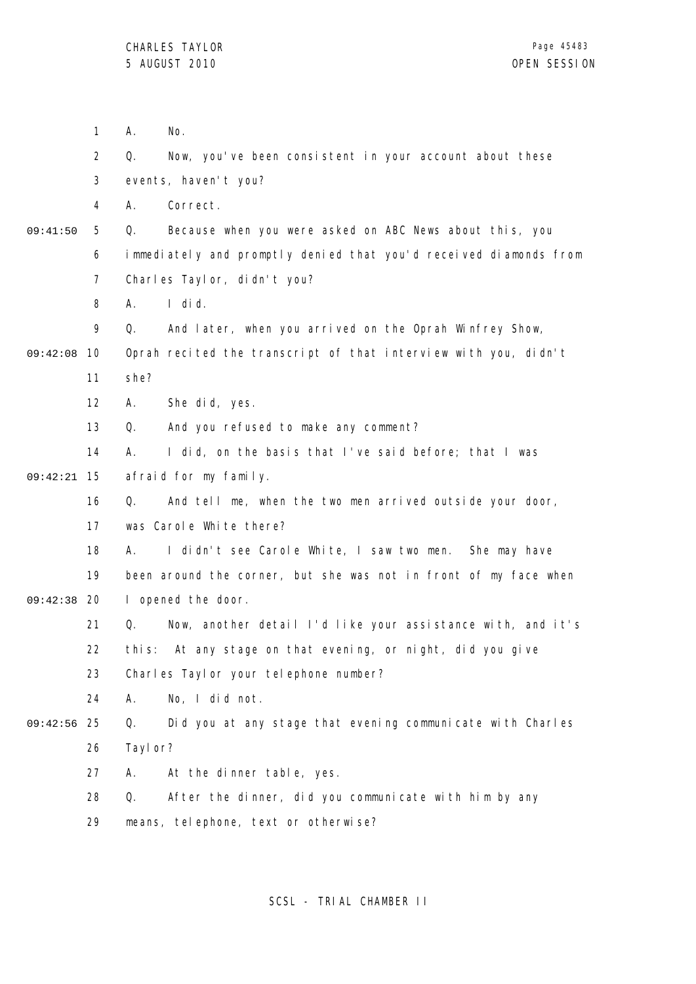|          | $\mathbf{1}$   | Α.<br>No.                                                         |  |  |
|----------|----------------|-------------------------------------------------------------------|--|--|
|          | $\overline{2}$ | Q.<br>Now, you've been consistent in your account about these     |  |  |
|          | 3              | events, haven't you?                                              |  |  |
|          | 4              | Correct.<br>А.                                                    |  |  |
| 09:41:50 | 5              | Q.<br>Because when you were asked on ABC News about this, you     |  |  |
|          | 6              | immediately and promptly denied that you'd received diamonds from |  |  |
|          | 7              | Charles Taylor, didn't you?                                       |  |  |
|          | 8              | $I$ did.<br>А.                                                    |  |  |
|          | 9              | And later, when you arrived on the Oprah Winfrey Show,<br>Q.      |  |  |
| 09:42:08 | 10             | Oprah recited the transcript of that interview with you, didn't   |  |  |
|          | 11             | she?                                                              |  |  |
|          | 12             | She did, yes.<br>А.                                               |  |  |
|          | 13             | And you refused to make any comment?<br>Q.                        |  |  |
|          | 14             | I did, on the basis that I've said before; that I was<br>А.       |  |  |
| 09:42:21 | 15             | afraid for my family.                                             |  |  |
|          | 16             | Q.<br>And tell me, when the two men arrived outside your door,    |  |  |
|          | 17             | was Carole White there?                                           |  |  |
|          | 18             | I didn't see Carole White, I saw two men. She may have<br>А.      |  |  |
|          | 19             | been around the corner, but she was not in front of my face when  |  |  |
| 09:42:38 | 20             | I opened the door.                                                |  |  |
|          | 21             | Q.<br>Now, another detail I'd like your assistance with, and it's |  |  |
|          | 22             | this: At any stage on that evening, or night, did you give        |  |  |
|          | 23             | Charles Taylor your telephone number?                             |  |  |
|          | 24             | No, I did not.<br>А.                                              |  |  |
| 09:42:56 | 25             | Did you at any stage that evening communicate with Charles<br>Q.  |  |  |
|          | 26             | Tayl or?                                                          |  |  |
|          | 27             | At the dinner table, yes.<br>А.                                   |  |  |
|          | 28             | After the dinner, did you communicate with him by any<br>Q.       |  |  |
|          | 29             | means, telephone, text or otherwise?                              |  |  |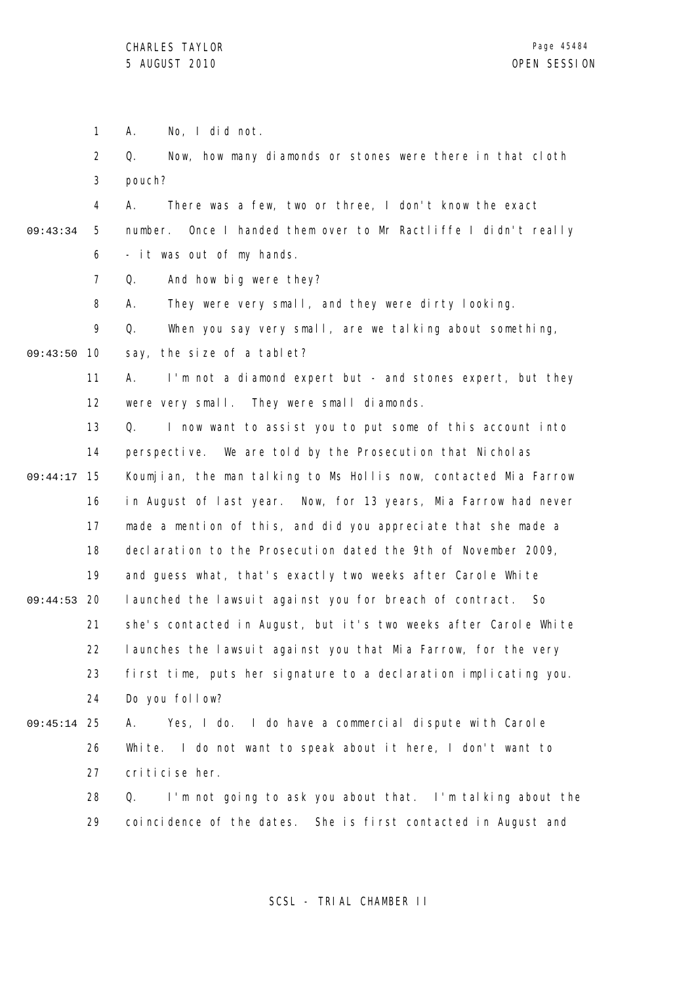1 A. No, I did not.

2 3 Q. Now, how many diamonds or stones were there in that cloth pouch?

- 4 5 6 09:43:34 A. There was a few, two or three, I don't know the exact number. Once I handed them over to Mr Ractliffe I didn't really - it was out of my hands.
	- 7 Q. And how big were they?
	- 8 A. They were very small, and they were dirty looking.
	- 9 Q. When you say very small, are we talking about something,

09:43:50 10 say, the size of a tablet?

> 11 12 A. I'm not a diamond expert but - and stones expert, but they were very small. They were small diamonds.

13 14 15 09:44:17 16 17 18 19 09:44:53 20 21 22 23 24 Q. I now want to assist you to put some of this account into perspective. We are told by the Prosecution that Nicholas Koumjian, the man talking to Ms Hollis now, contacted Mia Farrow in August of last year. Now, for 13 years, Mia Farrow had never made a mention of this, and did you appreciate that she made a declaration to the Prosecution dated the 9th of November 2009, and quess what, that's exactly two weeks after Carole White launched the lawsuit against you for breach of contract. So she's contacted in August, but it's two weeks after Carole White launches the lawsuit against you that Mia Farrow, for the very first time, puts her signature to a declaration implicating you. Do you follow?

#### 25 09:45:14 26 27 A. Yes, I do. I do have a commercial dispute with Carole White. I do not want to speak about it here, I don't want to criticise her.

28 29 Q. I'm not going to ask you about that. I'm talking about the coincidence of the dates. She is first contacted in August and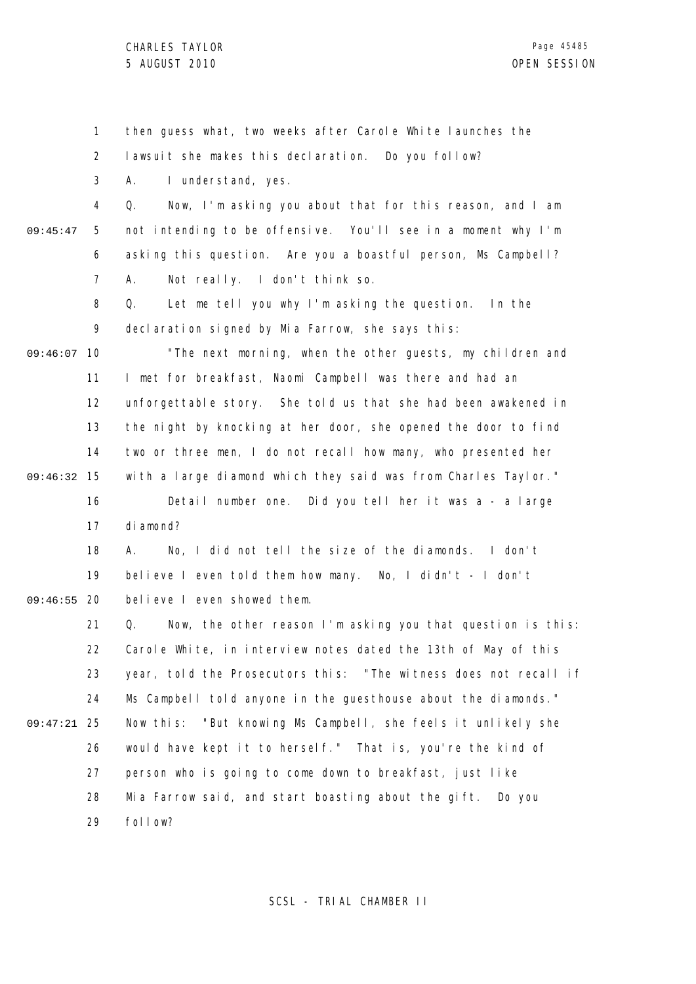1 2 3 4 5 6 7 8 9 09:46:07 10 11 12 13 14 15 09:46:32 16 17 18 19 09:46:55 20 21 22 23 24 25 09:47:21 26 27 28 29 09:45:47 then guess what, two weeks after Carole White launches the lawsuit she makes this declaration. Do you follow? A. I understand, yes. Q. Now, I'm asking you about that for this reason, and I am not intending to be offensive. You'll see in a moment why I'm asking this question. Are you a boastful person, Ms Campbell? A. Not really. I don't think so. Q. Let me tell you why I'm asking the question. In the declaration signed by Mia Farrow, she says this: "The next morning, when the other guests, my children and I met for breakfast, Naomi Campbell was there and had an unforgettable story. She told us that she had been awakened in the night by knocking at her door, she opened the door to find two or three men, I do not recall how many, who presented her with a large diamond which they said was from Charles Taylor." Detail number one. Did you tell her it was a - a large diamond? A. No, I did not tell the size of the diamonds. I don't believe I even told them how many. No, I didn't - I don't believe I even showed them. Q. Now, the other reason I'm asking you that question is this: Carole White, in interview notes dated the 13th of May of this year, told the Prosecutors this: "The witness does not recall if Ms Campbell told anyone in the guesthouse about the diamonds." Now this: "But knowing Ms Campbell, she feels it unlikely she would have kept it to herself." That is, you're the kind of person who is going to come down to breakfast, just like Mia Farrow said, and start boasting about the gift. Do you follow?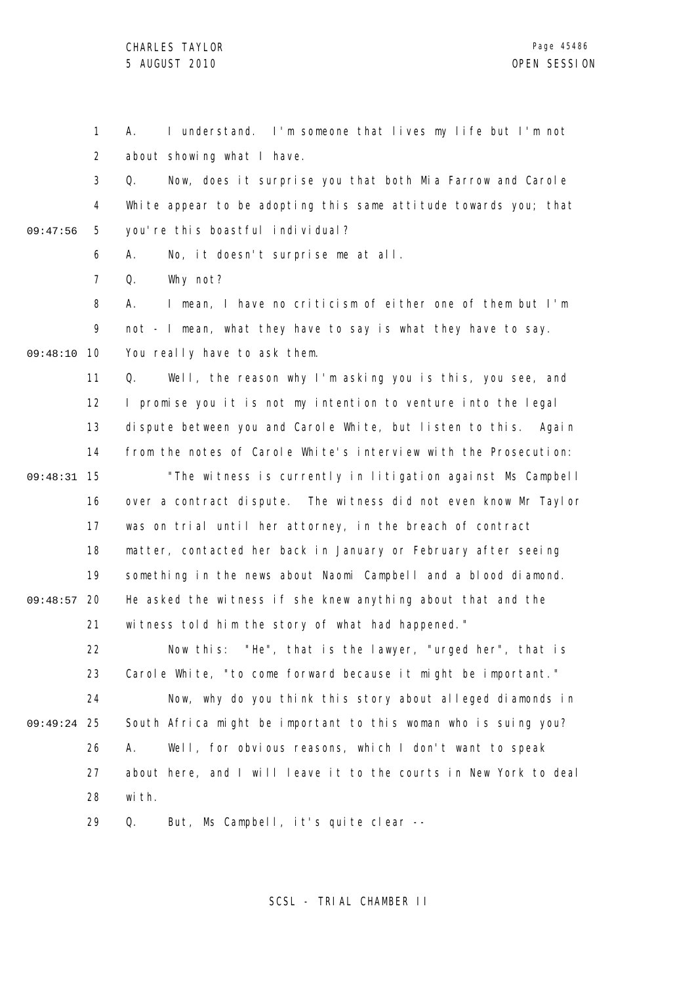1 2 A. I understand. I'm someone that lives my life but I'm not about showing what I have.

3 4 5 09:47:56 Q. Now, does it surprise you that both Mia Farrow and Carole White appear to be adopting this same attitude towards you; that you're this boastful individual?

> 6 A. No, it doesn't surprise me at all.

7 Q. Why not?

8 9 09:48:10 10 A. I mean, I have no criticism of either one of them but I'm not - I mean, what they have to say is what they have to say. You really have to ask them.

11 12 13 14 15 09:48:31 16 17 18 19 09:48:57 20 21 Q. Well, the reason why I'm asking you is this, you see, and I promise you it is not my intention to venture into the legal dispute between you and Carole White, but listen to this. Again from the notes of Carole White's interview with the Prosecution: "The witness is currently in litigation against Ms Campbell over a contract dispute. The witness did not even know Mr Taylor was on trial until her attorney, in the breach of contract matter, contacted her back in January or February after seeing something in the news about Naomi Campbell and a blood diamond. He asked the witness if she knew anything about that and the witness told him the story of what had happened."

22 23 24 25 09:49:24 26 27 28 Now this: "He", that is the lawyer, "urged her", that is Carole White, "to come forward because it might be important." Now, why do you think this story about alleged diamonds in South Africa might be important to this woman who is suing you? A. Well, for obvious reasons, which I don't want to speak about here, and I will leave it to the courts in New York to deal with.

> 29 Q. But, Ms Campbell, it's quite clear --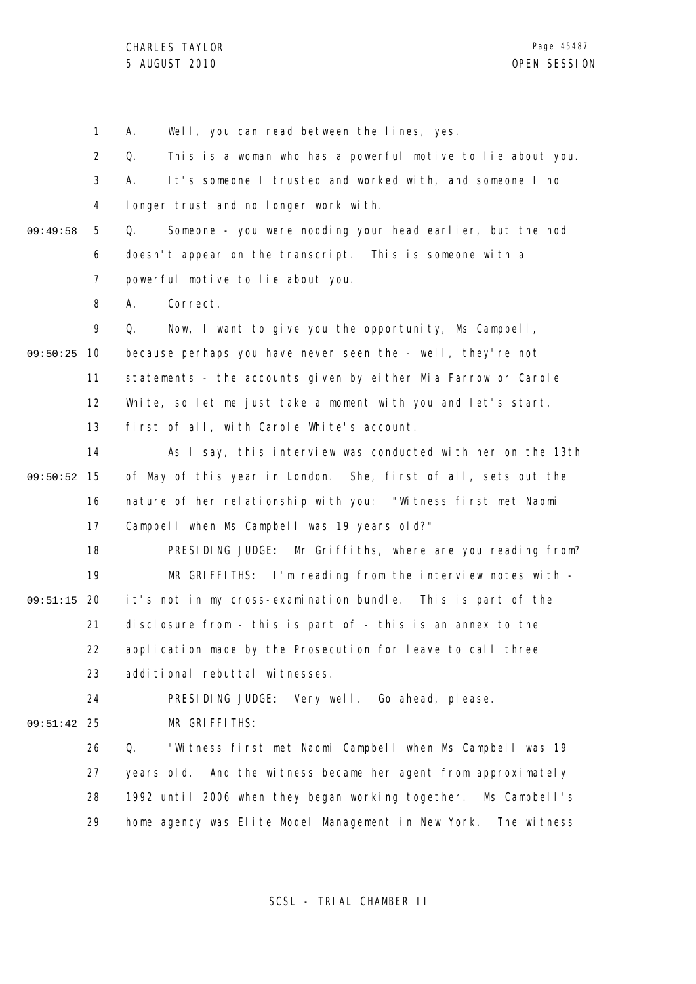1 2 3 4 5 6 7 8 9 09:50:25 10 11 12 13 14 09:50:52 15 16 17 18 19 09:51:15 20 21 22 23 24 25 09:51:42 26 27 28 29 09:49:58 A. Well, you can read between the lines, yes. Q. This is a woman who has a powerful motive to lie about you. A. It's someone I trusted and worked with, and someone I no longer trust and no longer work with. Q. Someone - you were nodding your head earlier, but the nod doesn't appear on the transcript. This is someone with a powerful motive to lie about you. A. Correct. Q. Now, I want to give you the opportunity, Ms Campbell, because perhaps you have never seen the - well, they're not statements - the accounts given by either Mia Farrow or Carole White, so let me just take a moment with you and let's start, first of all, with Carole White's account. As I say, this interview was conducted with her on the 13th of May of this year in London. She, first of all, sets out the nature of her relationship with you: "Witness first met Naomi Campbell when Ms Campbell was 19 years old?" PRESIDING JUDGE: Mr Griffiths, where are you reading from? MR GRIFFITHS: I'm reading from the interview notes with it's not in my cross-examination bundle. This is part of the disclosure from - this is part of - this is an annex to the application made by the Prosecution for leave to call three additional rebuttal witnesses. PRESIDING JUDGE: Very well. Go ahead, please. MR GRIFFITHS: Q. "Witness first met Naomi Campbell when Ms Campbell was 19 years old. And the witness became her agent from approximately 1992 until 2006 when they began working together. Ms Campbell's home agency was Elite Model Management in New York. The witness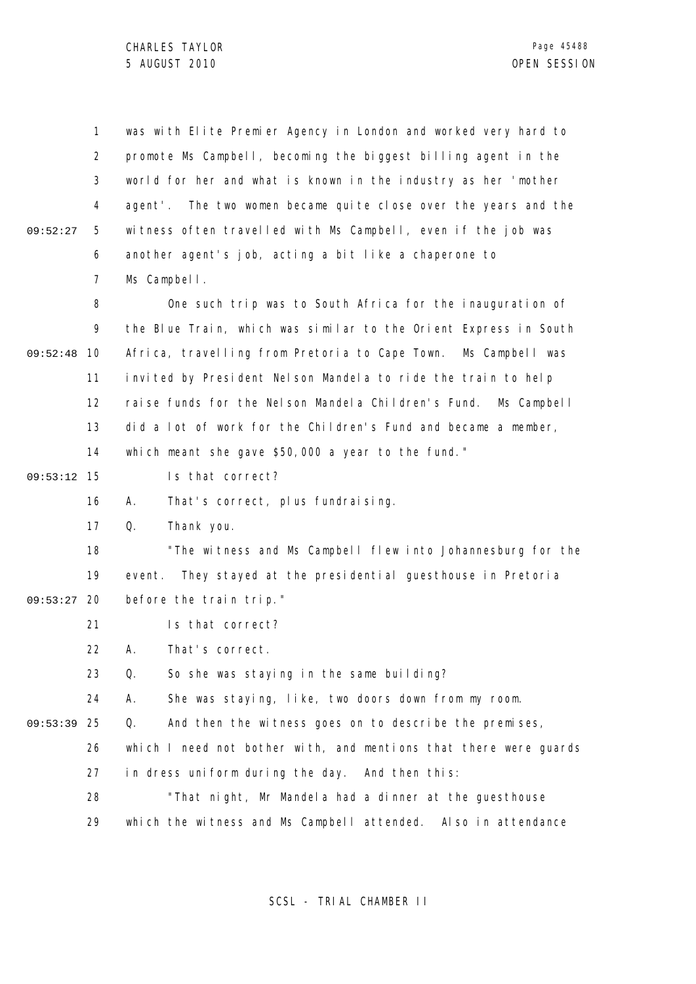1 2 3 4 5 6 7 8 9 09:52:48 10 11 12 13 14 09:53:12 15 16 17 18 19 09:53:27 20 21 22 23 24 09:53:39 25 26 27 28 29 09:52:27 was with Elite Premier Agency in London and worked very hard to promote Ms Campbell, becoming the biggest billing agent in the world for her and what is known in the industry as her 'mother agent'. The two women became quite close over the years and the witness often travelled with Ms Campbell, even if the job was another agent's job, acting a bit like a chaperone to Ms Campbell. One such trip was to South Africa for the inauguration of the Blue Train, which was similar to the Orient Express in South Africa, travelling from Pretoria to Cape Town. Ms Campbell was invited by President Nelson Mandela to ride the train to help raise funds for the Nelson Mandela Children's Fund. Ms Campbell did a lot of work for the Children's Fund and became a member, which meant she gave \$50,000 a year to the fund." Is that correct? A. That's correct, plus fundraising. Q. Thank you. "The witness and Ms Campbell flew into Johannesburg for the event. They stayed at the presidential guesthouse in Pretoria before the train trip." Is that correct? A. That's correct. Q. So she was staying in the same building? A. She was staying, like, two doors down from my room. Q. And then the witness goes on to describe the premises, which I need not bother with, and mentions that there were quards in dress uniform during the day. And then this: "That night, Mr Mandela had a dinner at the guesthouse which the witness and Ms Campbell attended. Also in attendance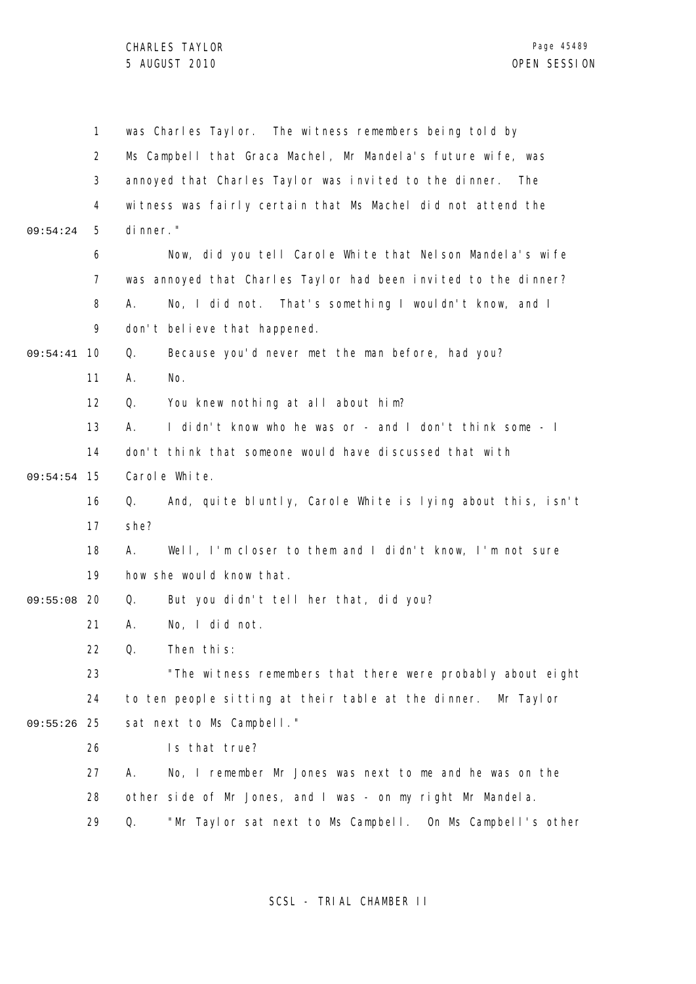|          | 1              | was Charles Taylor. The witness remembers being told by           |
|----------|----------------|-------------------------------------------------------------------|
|          | $\overline{2}$ | Ms Campbell that Graca Machel, Mr Mandela's future wife, was      |
|          | 3              | annoyed that Charles Taylor was invited to the dinner. The        |
|          | 4              | witness was fairly certain that Ms Machel did not attend the      |
| 09:54:24 | 5              | di nner."                                                         |
|          | 6              | Now, did you tell Carole White that Nelson Mandela's wife         |
|          | $\overline{7}$ | was annoyed that Charles Taylor had been invited to the dinner?   |
|          | 8              | No, I did not. That's something I wouldn't know, and I<br>А.      |
|          | 9              | don't believe that happened.                                      |
| 09:54:41 | 10             | Because you'd never met the man before, had you?<br>Q.            |
|          | 11             | No.<br>Α.                                                         |
|          | 12             | You knew nothing at all about him?<br>Q.                          |
|          | 13             | I didn't know who he was or - and I don't think some - I<br>А.    |
|          | 14             | don't think that someone would have discussed that with           |
| 09:54:54 | 15             | Carol e White.                                                    |
|          | 16             | And, quite bluntly, Carole White is lying about this, isn't<br>Q. |
|          | 17             | she?                                                              |
|          | 18             | Well, I'm closer to them and I didn't know, I'm not sure<br>А.    |
|          | 19             | how she would know that.                                          |
| 09:55:08 | 20             | But you didn't tell her that, did you?<br>Q.                      |
|          | 21             | No, I did not.<br>Α.                                              |
|          | 22             | Q.<br>Then this:                                                  |
|          | 23             | "The witness remembers that there were probably about eight       |
|          | 24             | to ten people sitting at their table at the dinner. Mr Taylor     |
| 09:55:26 | 25             | sat next to Ms Campbell."                                         |
|          | 26             | Is that true?                                                     |
|          | 27             | А.<br>No, I remember Mr Jones was next to me and he was on the    |
|          | 28             | other side of Mr Jones, and I was - on my right Mr Mandela.       |
|          | 29             | "Mr Taylor sat next to Ms Campbell. On Ms Campbell's other<br>Q.  |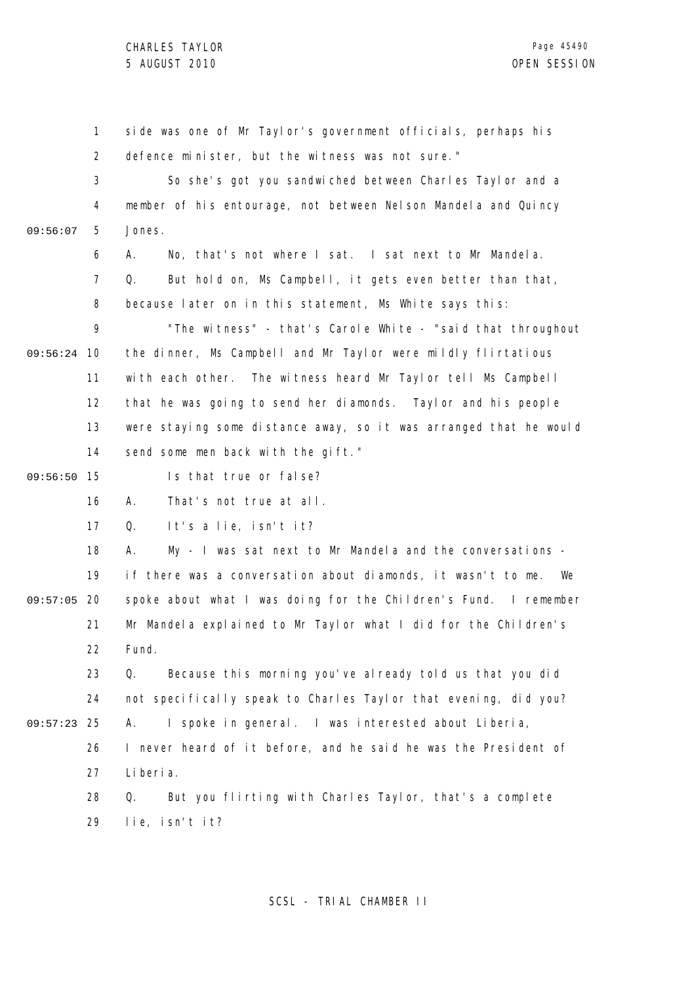1 2 3 4 5 6 7 8 9 09:56:24 10 11 12 13 14 09:56:50 15 16 17 18 19 09:57:05 20 21 22 23 24 25 09:57:23 26 27 28 29 09:56:07 side was one of Mr Taylor's government officials, perhaps his defence minister, but the witness was not sure." So she's got you sandwiched between Charles Taylor and a member of his entourage, not between Nelson Mandela and Quincy Jones. A. No, that's not where I sat. I sat next to Mr Mandela. Q. But hold on, Ms Campbell, it gets even better than that, because later on in this statement, Ms White says this: "The witness" - that's Carole White - "said that throughout the dinner, Ms Campbell and Mr Taylor were mildly flirtatious with each other. The witness heard Mr Taylor tell Ms Campbell that he was going to send her diamonds. Taylor and his people were staying some distance away, so it was arranged that he would send some men back with the gift." Is that true or false? A. That's not true at all. Q. It's a lie, isn't it? A. My - I was sat next to Mr Mandela and the conversations if there was a conversation about diamonds, it wasn't to me. We spoke about what I was doing for the Children's Fund. I remember Mr Mandela explained to Mr Taylor what I did for the Children's Fund. Q. Because this morning you've already told us that you did not specifically speak to Charles Taylor that evening, did you? A. I spoke in general. I was interested about Liberia, I never heard of it before, and he said he was the President of Liberia. Q. But you flirting with Charles Taylor, that's a complete lie, isn't it?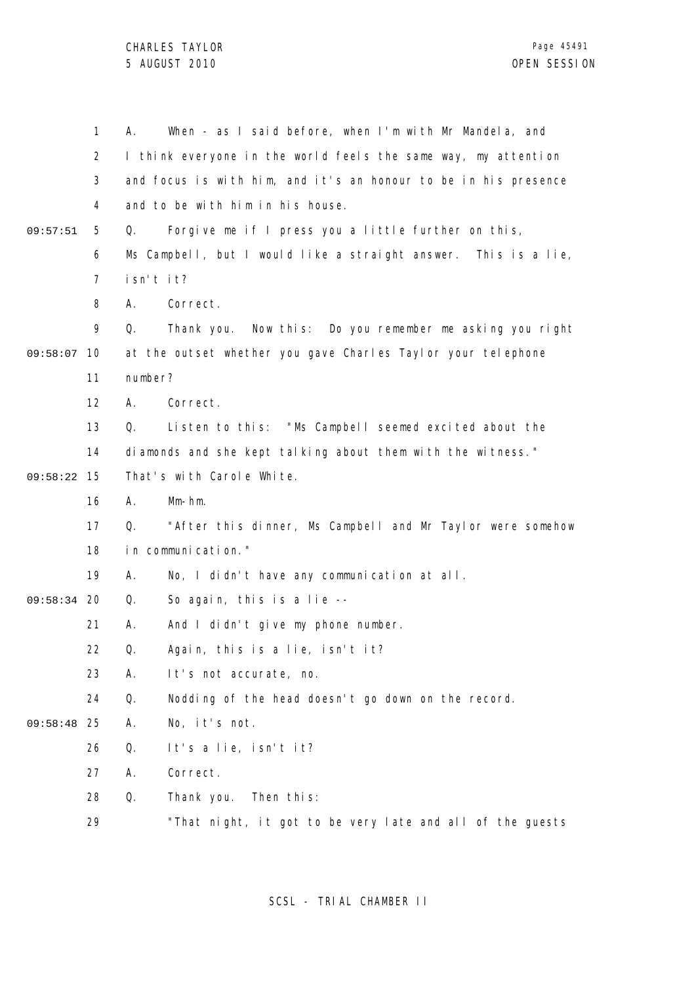|          | $\mathbf{1}$   | Α.                                                          | When - as I said before, when I'm with Mr Mandela, and          |  |
|----------|----------------|-------------------------------------------------------------|-----------------------------------------------------------------|--|
|          | 2              |                                                             | I think everyone in the world feels the same way, my attention  |  |
|          | 3              |                                                             | and focus is with him, and it's an honour to be in his presence |  |
|          | 4              |                                                             | and to be with him in his house.                                |  |
| 09:57:51 | 5              | Q.                                                          | Forgive me if I press you a little further on this,             |  |
|          | 6              |                                                             | Ms Campbell, but I would like a straight answer. This is a lie, |  |
|          | $\overline{7}$ | isn't it?                                                   |                                                                 |  |
|          | 8              | А.                                                          | Correct.                                                        |  |
|          | 9              | Q.                                                          | Thank you.<br>Now this: Do you remember me asking you right     |  |
| 09:58:07 | 10             |                                                             | at the outset whether you gave Charles Taylor your telephone    |  |
|          | 11             | number?                                                     |                                                                 |  |
|          | 12             | А.                                                          | Correct.                                                        |  |
|          | 13             | Q.                                                          | Listen to this: "Ms Campbell seemed excited about the           |  |
|          | 14             | diamonds and she kept talking about them with the witness." |                                                                 |  |
| 09:58:22 | 15             |                                                             | That's with Carole White.                                       |  |
|          | 16             | А.                                                          | $Mm-hm.$                                                        |  |
|          | 17             | Q.                                                          | "After this dinner, Ms Campbell and Mr Taylor were somehow      |  |
|          | 18             | in communication."                                          |                                                                 |  |
|          | 19             | А.                                                          | No, I didn't have any communication at all.                     |  |
| 09:58:34 | 20             | Q.                                                          | So again, this is a lie --                                      |  |
|          | 21             | Α.                                                          | And I didn't give my phone number.                              |  |
|          | 22             | Q.                                                          | Again, this is a lie, isn't it?                                 |  |
|          | 23             | Α.                                                          | It's not accurate, no.                                          |  |
|          | 24             | Q.                                                          | Nodding of the head doesn't go down on the record.              |  |
| 09:58:48 | 25             | Α.                                                          | No, it's not.                                                   |  |
|          | 26             | Q.                                                          | It's a lie, isn't it?                                           |  |
|          | 27             | Α.                                                          | Correct.                                                        |  |
|          | 28             | Q.                                                          | Thank you. Then this:                                           |  |
|          | 29             |                                                             | "That night, it got to be very late and all of the guests       |  |
|          |                |                                                             |                                                                 |  |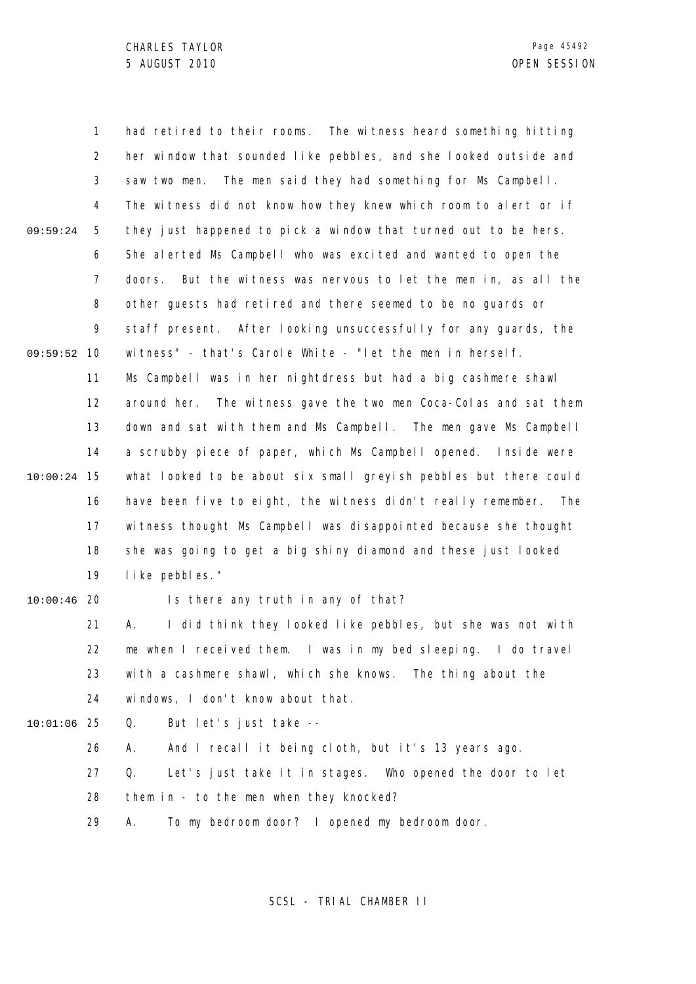1 2 3 4 5 6 7 8 9 09:59:52 10 11 12 13 14 15 10:00:24 16 17 18 19 20 10:00:46 21 22 23 24 25 10:01:06 26 27 28 29 09:59:24 had retired to their rooms. The witness heard something hitting her window that sounded like pebbles, and she looked outside and saw two men. The men said they had something for Ms Campbell. The witness did not know how they knew which room to alert or if they just happened to pick a window that turned out to be hers. She alerted Ms Campbell who was excited and wanted to open the doors. But the witness was nervous to let the men in, as all the other guests had retired and there seemed to be no guards or staff present. After looking unsuccessfully for any guards, the witness" - that's Carole White - "let the men in herself. Ms Campbell was in her nightdress but had a big cashmere shawl around her. The witness gave the two men Coca-Colas and sat them down and sat with them and Ms Campbell. The men gave Ms Campbell a scrubby piece of paper, which Ms Campbell opened. Inside were what looked to be about six small greyish pebbles but there could have been five to eight, the witness didn't really remember. The witness thought Ms Campbell was disappointed because she thought she was going to get a big shiny diamond and these just looked like pebbles." Is there any truth in any of that? A. I did think they looked like pebbles, but she was not with me when I received them. I was in my bed sleeping. I do travel with a cashmere shawl, which she knows. The thing about the windows, I don't know about that. Q. But let's just take -- A. And I recall it being cloth, but it's 13 years ago. Q. Let's just take it in stages. Who opened the door to let them in - to the men when they knocked? A. To my bedroom door? I opened my bedroom door.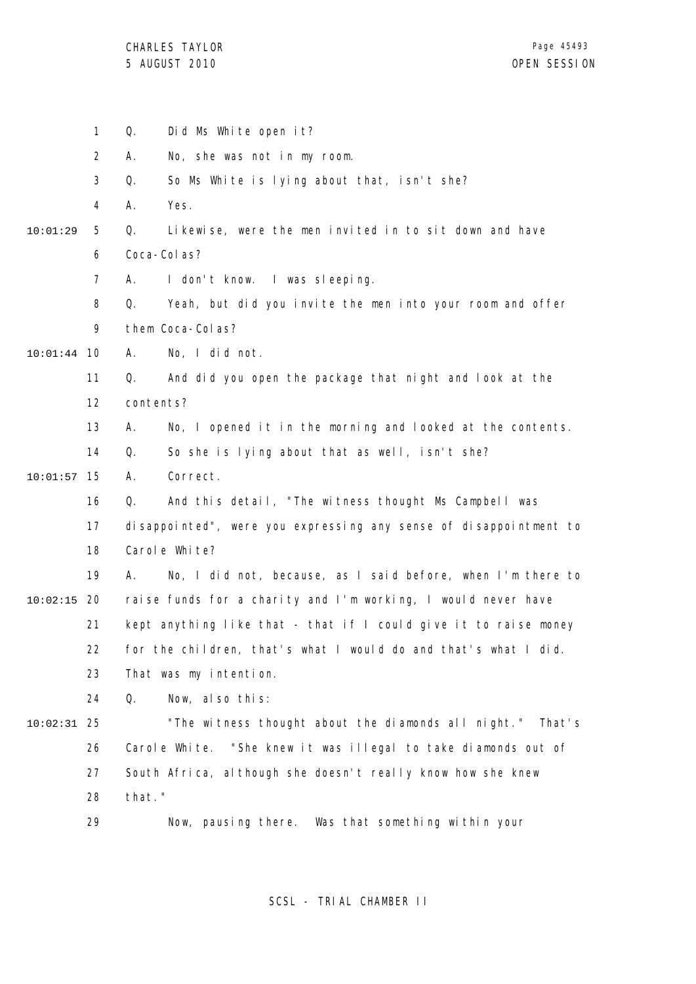|          | $\mathbf{1}$   | Q.               | Did Ms White open it?                                               |
|----------|----------------|------------------|---------------------------------------------------------------------|
|          | $\overline{2}$ | А.               | No, she was not in my room.                                         |
|          | 3              | Q.               | So Ms White is lying about that, isn't she?                         |
|          | 4              | Yes.<br>Α.       |                                                                     |
| 10:01:29 | 5              | Q.               | Likewise, were the men invited in to sit down and have              |
|          | 6              | Coca-Col as?     |                                                                     |
|          | 7              | А.               | I don't know. I was sleeping.                                       |
|          | 8              | Q.               | Yeah, but did you invite the men into your room and offer           |
|          | 9              | them Coca-Colas? |                                                                     |
| 10:01:44 | 10             | А.               | No, I did not.                                                      |
|          | 11             | Q.               | And did you open the package that night and look at the             |
|          | 12             | contents?        |                                                                     |
|          | 13             | А.               | No, I opened it in the morning and looked at the contents.          |
|          | 14             | Q.               | So she is lying about that as well, isn't she?                      |
| 10:01:57 | 15             | Correct.<br>А.   |                                                                     |
|          | 16             | Q.               | And this detail, "The witness thought Ms Campbell was               |
|          | 17             |                  | di sappointed", were you expressing any sense of di sappointment to |
|          | 18             | Carol e White?   |                                                                     |
|          | 19             | А.               | No, I did not, because, as I said before, when I'm there to         |
| 10:02:15 | 20             |                  | raise funds for a charity and I'm working, I would never have       |
|          | 21             |                  | kept anything like that - that if I could give it to raise money    |
|          | 22             |                  | for the children, that's what I would do and that's what I did.     |
|          | 23             |                  | That was my intention.                                              |
|          | 24             | Q.               | Now, also this:                                                     |
| 10:02:31 | 25             |                  | "The witness thought about the diamonds all night." That's          |
|          | 26             |                  | Carole White. "She knew it was illegal to take diamonds out of      |
|          | 27             |                  | South Africa, although she doesn't really know how she knew         |
|          | 28             | that."           |                                                                     |
|          | 29             |                  | Now, pausing there. Was that something within your                  |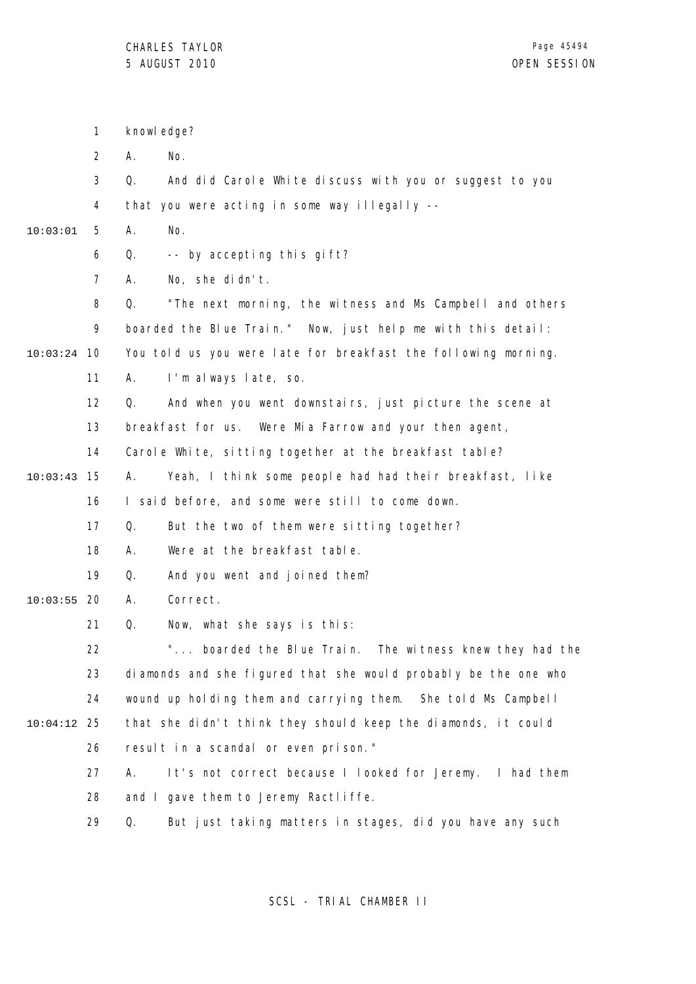|          | $\mathbf{1}$   | knowl edge?                                                     |  |  |
|----------|----------------|-----------------------------------------------------------------|--|--|
|          | $\overline{2}$ | No.<br>А.                                                       |  |  |
|          | 3              | Q.<br>And did Carole White discuss with you or suggest to you   |  |  |
|          | 4              | that you were acting in some way illegally --                   |  |  |
| 10:03:01 | 5              | А.<br>No.                                                       |  |  |
|          | 6              | -- by accepting this gift?<br>Q.                                |  |  |
|          | $\overline{7}$ | No, she didn't.<br>А.                                           |  |  |
|          | 8              | "The next morning, the witness and Ms Campbell and others<br>Q. |  |  |
|          | 9              | boarded the Blue Train." Now, just help me with this detail:    |  |  |
| 10:03:24 | 10             | You told us you were late for breakfast the following morning.  |  |  |
|          | 11             | I'm always late, so.<br>А.                                      |  |  |
|          | 12             | And when you went downstairs, just picture the scene at<br>Q.   |  |  |
|          | 13             | breakfast for us. Were Mia Farrow and your then agent,          |  |  |
|          | 14             | Carole White, sitting together at the breakfast table?          |  |  |
| 10:03:43 | 15             | Yeah, I think some people had had their breakfast, like<br>А.   |  |  |
|          | 16             | I said before, and some were still to come down.                |  |  |
|          | 17             | Q.<br>But the two of them were sitting together?                |  |  |
|          | 18             | Were at the breakfast table.<br>А.                              |  |  |
|          | 19             | And you went and joined them?<br>Q.                             |  |  |
| 10:03:55 | 20             | Correct.<br>А.                                                  |  |  |
|          | 21             | Q.<br>Now, what she says is this:                               |  |  |
|          | 22             | boarded the Blue Train. The witness knew they had the           |  |  |
|          | 23             | diamonds and she figured that she would probably be the one who |  |  |
|          | 24             | wound up holding them and carrying them. She told Ms Campbell   |  |  |
| 10:04:12 | 25             | that she didn't think they should keep the diamonds, it could   |  |  |
|          | 26             | result in a scandal or even prison."                            |  |  |
|          | 27             | It's not correct because I looked for Jeremy. I had them<br>А.  |  |  |
|          | 28             | and I gave them to Jeremy Ractliffe.                            |  |  |
|          | 29             | But just taking matters in stages, did you have any such<br>Q.  |  |  |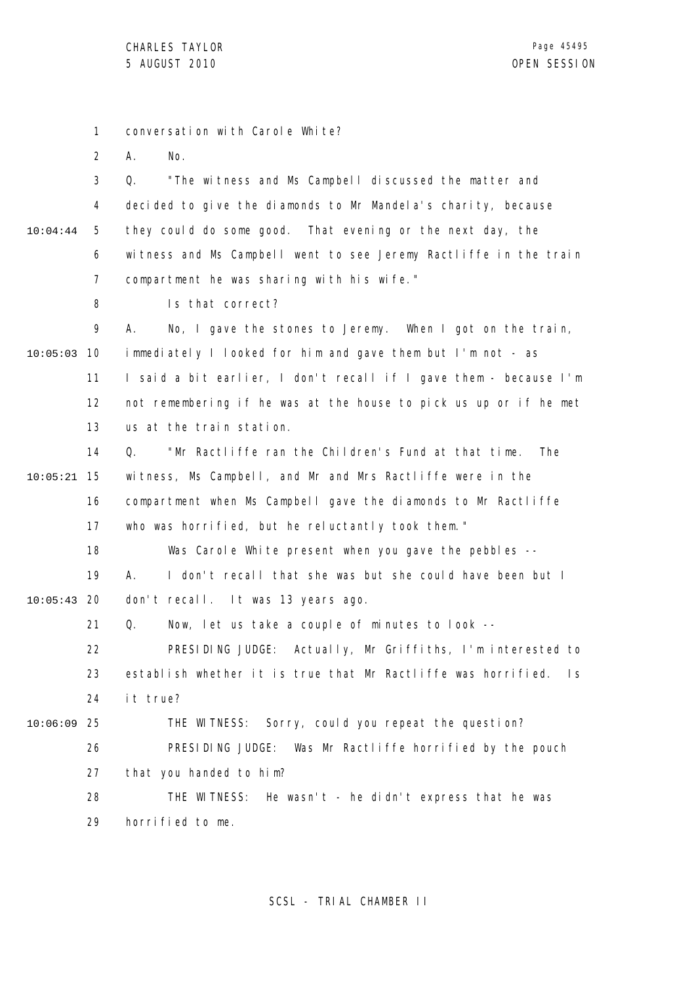1 conversation with Carole White?

2 A. No.

3 4 5 6 7 10:04:44 Q. "The witness and Ms Campbell discussed the matter and decided to give the diamonds to Mr Mandela's charity, because they could do some good. That evening or the next day, the witness and Ms Campbell went to see Jeremy Ractliffe in the train compartment he was sharing with his wife."

> 8 Is that correct?

9 10 10:05:03 11 12 13 A. No, I gave the stones to Jeremy. When I got on the train, immediately I looked for him and gave them but I'm not - as I said a bit earlier, I don't recall if I gave them - because I'm not remembering if he was at the house to pick us up or if he met us at the train station.

14 15 10:05:21 16 17 Q. "Mr Ractliffe ran the Children's Fund at that time. The witness, Ms Campbell, and Mr and Mrs Ractliffe were in the compartment when Ms Campbell gave the diamonds to Mr Ractliffe who was horrified, but he reluctantly took them."

18 19 20 10:05:43 Was Carole White present when you gave the pebbles --A. I don't recall that she was but she could have been but I don't recall. It was 13 years ago.

> 21 Q. Now, let us take a couple of minutes to look --

22 23 24 PRESIDING JUDGE: Actually, Mr Griffiths, I'm interested to establish whether it is true that Mr Ractliffe was horrified. Is it true?

25 10:06:09

26 27 THE WITNESS: Sorry, could you repeat the question? PRESIDING JUDGE: Was Mr Ractliffe horrified by the pouch that you handed to him?

28 29 THE WITNESS: He wasn't - he didn't express that he was horrified to me.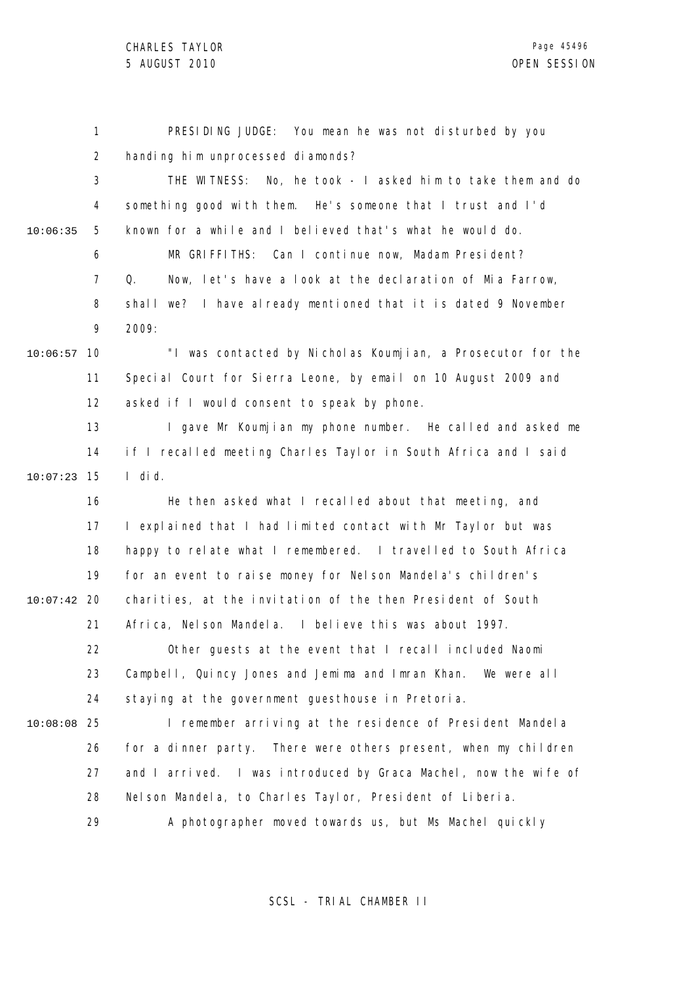CHARLES TAYLOR

|          | 1              | PRESIDING JUDGE: You mean he was not disturbed by you            |
|----------|----------------|------------------------------------------------------------------|
|          | $\overline{2}$ | handing him unprocessed diamonds?                                |
|          | 3              | THE WITNESS: No, he took - I asked him to take them and do       |
|          | 4              | something good with them. He's someone that I trust and I'd      |
| 10:06:35 | 5              | known for a while and I believed that's what he would do.        |
|          | 6              | MR GRIFFITHS: Can I continue now, Madam President?               |
|          | $\overline{7}$ | Now, let's have a look at the declaration of Mia Farrow,<br>Q.   |
|          | 8              | shall we? I have already mentioned that it is dated 9 November   |
|          | 9              | 2009:                                                            |
| 10:06:57 | 10             | "I was contacted by Nicholas Koumjian, a Prosecutor for the      |
|          | 11             | Special Court for Sierra Leone, by email on 10 August 2009 and   |
|          | 12             | asked if I would consent to speak by phone.                      |
|          | 13             | I gave Mr Koumjian my phone number. He called and asked me       |
|          | 14             | if I recalled meeting Charles Taylor in South Africa and I said  |
| 10:07:23 | 15             | I di d.                                                          |
|          | 16             | He then asked what I recalled about that meeting, and            |
|          | 17             | I explained that I had limited contact with Mr Taylor but was    |
|          | 18             | happy to relate what I remembered. I travelled to South Africa   |
|          | 19             | for an event to raise money for Nelson Mandela's children's      |
| 10:07:42 | 20             | charities, at the invitation of the then President of South      |
|          | 21             | Africa, Nelson Mandela. I believe this was about 1997.           |
|          | 22             | Other guests at the event that I recall included Naomi           |
|          | 23             | Campbell, Quincy Jones and Jemima and Imran Khan. We were all    |
|          | 24             | staying at the government guesthouse in Pretoria.                |
| 10:08:08 | 25             | I remember arriving at the residence of President Mandela        |
|          | 26             | for a dinner party. There were others present, when my children  |
|          | 27             | and I arrived. I was introduced by Graca Machel, now the wife of |
|          | 28             | Nel son Mandel a, to Charles Taylor, President of Liberia.       |
|          | 29             | A photographer moved towards us, but Ms Machel quickly           |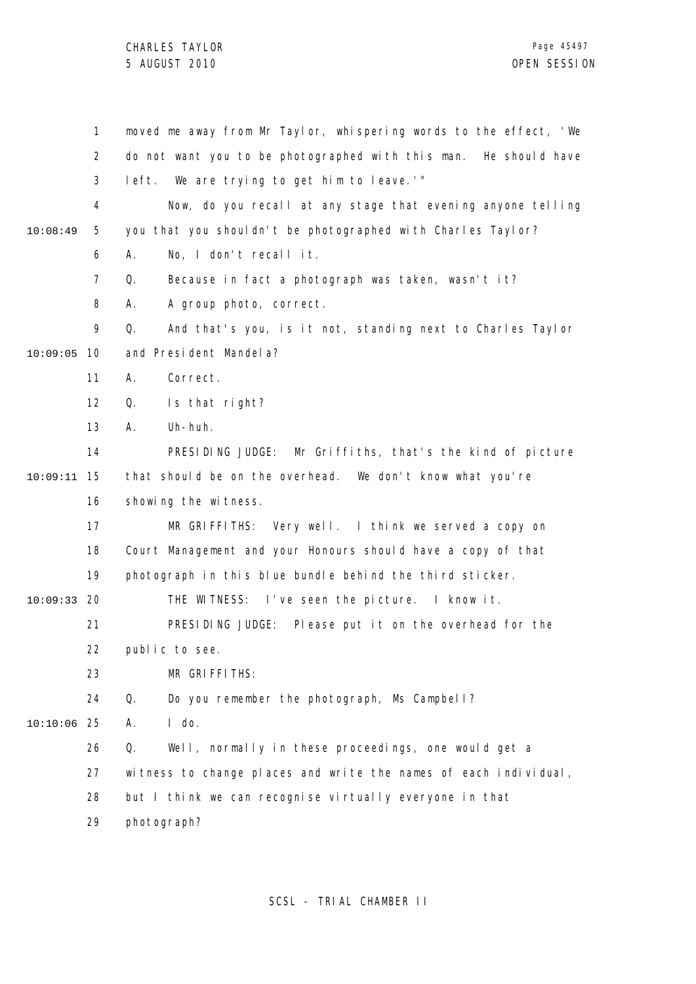|          | 1              | moved me away from Mr Taylor, whispering words to the effect, 'We |
|----------|----------------|-------------------------------------------------------------------|
|          | $\overline{2}$ | do not want you to be photographed with this man. He should have  |
|          | 3              | left. We are trying to get him to leave.'"                        |
|          | 4              | Now, do you recall at any stage that evening anyone telling       |
| 10:08:49 | 5              | you that you shouldn't be photographed with Charles Taylor?       |
|          | 6              | No, I don't recall it.<br>А.                                      |
|          | $\overline{7}$ | Q.<br>Because in fact a photograph was taken, wasn't it?          |
|          | 8              | A group photo, correct.<br>А.                                     |
|          | 9              | Q.<br>And that's you, is it not, standing next to Charles Taylor  |
| 10:09:05 | 10             | and President Mandel a?                                           |
|          | 11             | Correct.<br>Α.                                                    |
|          | 12             | Is that right?<br>Q.                                              |
|          | 13             | Uh-huh.<br>Α.                                                     |
|          | 14             | PRESIDING JUDGE: Mr Griffiths, that's the kind of picture         |
| 10:09:11 | 15             | that should be on the overhead. We don't know what you're         |
|          | 16             | showing the witness.                                              |
|          | 17             | MR GRIFFITHS: Very well. I think we served a copy on              |
|          | 18             | Court Management and your Honours should have a copy of that      |
|          | 19             | photograph in this blue bundle behind the third sticker.          |
| 10:09:33 | -20            | THE WITNESS: I've seen the picture. I know it.                    |
|          | 21             | PRESIDING JUDGE: Please put it on the overhead for the            |
|          | 22             | public to see.                                                    |
|          | 23             | MR GRIFFITHS:                                                     |
|          | 24             | Q.<br>Do you remember the photograph, Ms Campbell?                |
| 10:10:06 | 25             | $I$ do.<br>Α.                                                     |
|          | 26             | Q.<br>Well, normally in these proceedings, one would get a        |
|          | 27             | witness to change places and write the names of each individual,  |
|          | 28             | but I think we can recognise virtually everyone in that           |
|          | 29             | photograph?                                                       |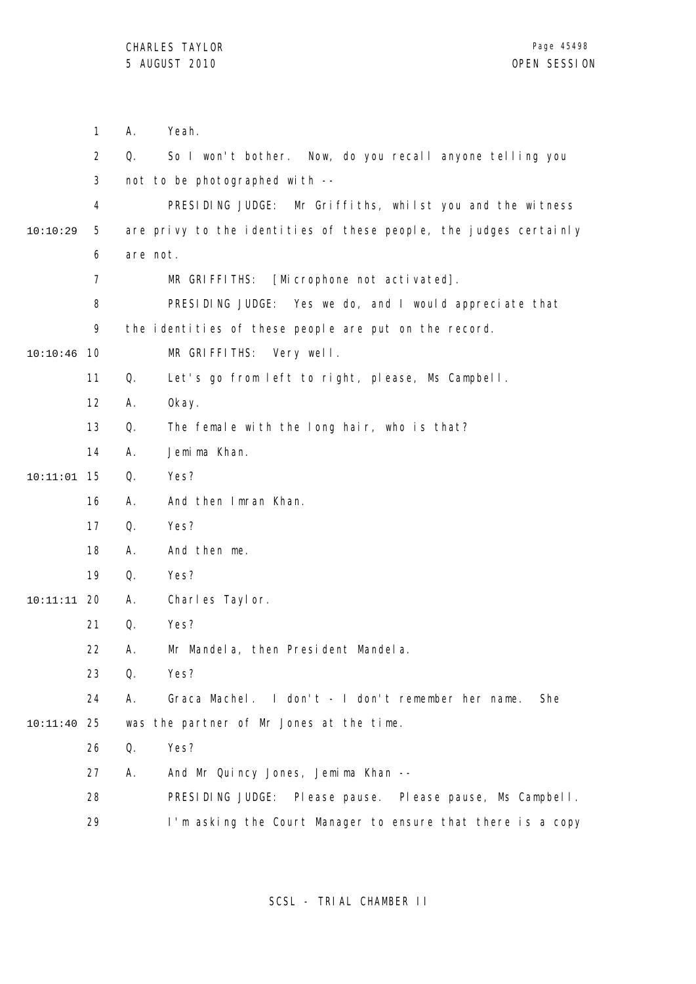|               | $\mathbf{1}$   | А.       | Yeah.                                                             |
|---------------|----------------|----------|-------------------------------------------------------------------|
|               | $\overline{2}$ | Q.       | So I won't bother. Now, do you recall anyone telling you          |
|               | 3              |          | not to be photographed with --                                    |
|               | 4              |          | PRESIDING JUDGE:<br>Mr Griffiths, whilst you and the witness      |
| 10:10:29      | 5              |          | are privy to the identities of these people, the judges certainly |
|               | 6              | are not. |                                                                   |
|               | 7              |          | [Microphone not activated].<br>MR GRIFFITHS:                      |
|               | 8              |          | PRESIDING JUDGE: Yes we do, and I would appreciate that           |
|               | 9              |          | the identities of these people are put on the record.             |
| 10:10:46      | 10             |          | MR GRIFFITHS:<br>Very well.                                       |
|               | 11             | Q.       | Let's go from left to right, please, Ms Campbell.                 |
|               | 12             | Α.       | 0kay.                                                             |
|               | 13             | Q.       | The female with the long hair, who is that?                       |
|               | 14             | Α.       | Jemi ma Khan.                                                     |
| $10:11:01$ 15 |                | Q.       | Yes?                                                              |
|               | 16             | Α.       | And then Imran Khan.                                              |
|               | 17             | Q.       | Yes?                                                              |
|               | 18             | Α.       | And then me.                                                      |
|               | 19             | Q.       | Yes?                                                              |
| $10:11:11$ 20 |                | Α.       | Charles Taylor.                                                   |
|               | 21             | Q.       | Yes?                                                              |
|               | 22             | Α.       | Mr Mandela, then President Mandela.                               |
|               | 23             | Q.       | Yes?                                                              |
|               | 24             | Α.       | Graca Machel. I don't - I don't remember her name.<br>She         |
| 10:11:40      | 25             |          | was the partner of Mr Jones at the time.                          |
|               | 26             | Q.       | Yes?                                                              |
|               | 27             | Α.       | And Mr Quincy Jones, Jemima Khan --                               |
|               | 28             |          | PRESIDING JUDGE:<br>PI ease pause.<br>Please pause, Ms Campbell.  |
|               | 29             |          | I'm asking the Court Manager to ensure that there is a copy       |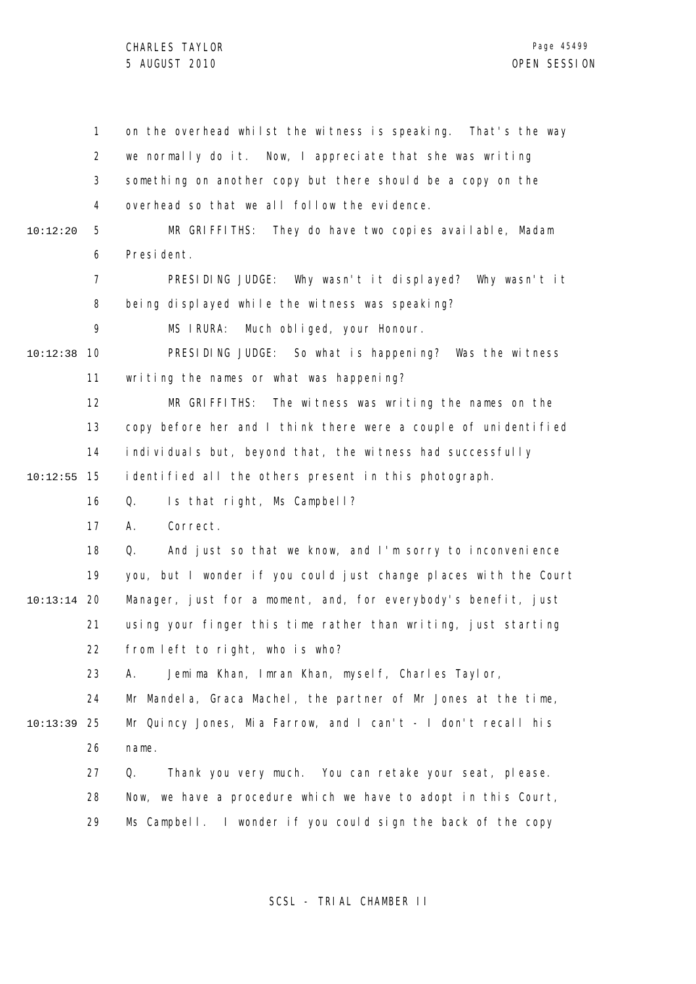1 2 3 4 5 6 7 8 9 10 10:12:38 11 12 13 14 15 10:12:55 16 17 18 19 20 10:13:14 21 22 23 24 25 10:13:39 26 27 28 29 10:12:20 on the overhead whilst the witness is speaking. That's the way we normally do it. Now, I appreciate that she was writing something on another copy but there should be a copy on the overhead so that we all follow the evidence. MR GRIFFITHS: They do have two copies available, Madam President. PRESIDING JUDGE: Why wasn't it displayed? Why wasn't it being displayed while the witness was speaking? MS IRURA: Much obliged, your Honour. PRESIDING JUDGE: So what is happening? Was the witness writing the names or what was happening? MR GRIFFITHS: The witness was writing the names on the copy before her and I think there were a couple of unidentified individuals but, beyond that, the witness had successfully identified all the others present in this photograph. Q. Is that right, Ms Campbell? A. Correct. Q. And just so that we know, and I'm sorry to inconvenience you, but I wonder if you could just change places with the Court Manager, just for a moment, and, for everybody's benefit, just using your finger this time rather than writing, just starting from left to right, who is who? A. Jemima Khan, Imran Khan, myself, Charles Taylor, Mr Mandela, Graca Machel, the partner of Mr Jones at the time, Mr Quincy Jones, Mia Farrow, and I can't - I don't recall his name. Q. Thank you very much. You can retake your seat, please. Now, we have a procedure which we have to adopt in this Court, Ms Campbell. I wonder if you could sign the back of the copy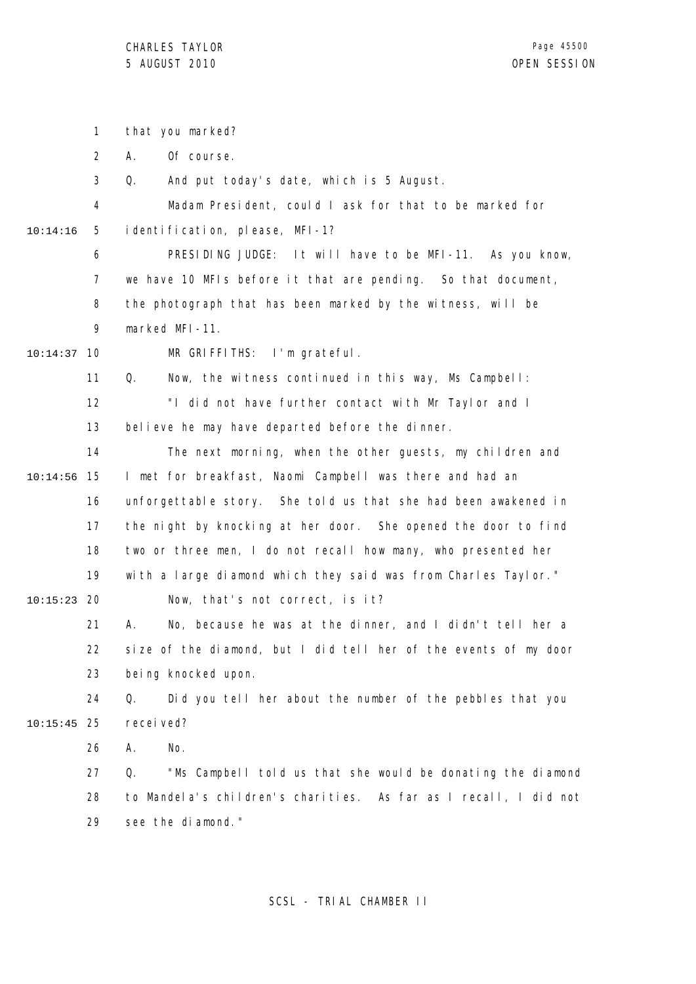|          | 1              | that you marked?                                                  |
|----------|----------------|-------------------------------------------------------------------|
|          | $\overline{2}$ | Of course.<br>А.                                                  |
|          | 3              | And put today's date, which is 5 August.<br>Q.                    |
|          | 4              | Madam President, could I ask for that to be marked for            |
| 10:14:16 | 5              | identification, please, MFI-1?                                    |
|          | 6              | PRESIDING JUDGE: It will have to be MFI-11. As you know,          |
|          | $\overline{7}$ | we have 10 MFIs before it that are pending. So that document,     |
|          | 8              | the photograph that has been marked by the witness, will be       |
|          | 9              | marked MFI-11.                                                    |
| 10:14:37 | 10             | MR GRIFFITHS: I'm grateful.                                       |
|          | 11             | Now, the witness continued in this way, Ms Campbell:<br>Q.        |
|          | 12             | "I did not have further contact with Mr Taylor and I              |
|          | 13             | believe he may have departed before the dinner.                   |
|          | 14             | The next morning, when the other guests, my children and          |
| 10:14:56 | 15             | I met for breakfast, Naomi Campbell was there and had an          |
|          | 16             | unforgettable story. She told us that she had been awakened in    |
|          | 17             | the night by knocking at her door. She opened the door to find    |
|          | 18             | two or three men, I do not recall how many, who presented her     |
|          | 19             | with a large diamond which they said was from Charles Taylor."    |
| 10:15:23 | -20            | Now, that's not correct, is it?                                   |
|          | 21             | А.<br>No, because he was at the dinner, and I didn't tell her a   |
|          | 22             | size of the diamond, but I did tell her of the events of my door  |
|          | 23             | being knocked upon.                                               |
|          | 24             | Did you tell her about the number of the pebbles that you<br>Q.   |
| 10:15:45 | -25            | recei ved?                                                        |
|          | 26             | No.<br>А.                                                         |
|          | 27             | "Ms Campbell told us that she would be donating the diamond<br>Q. |
|          | 28             | to Mandela's children's charities. As far as I recall, I did not  |
|          | 29             | see the diamond."                                                 |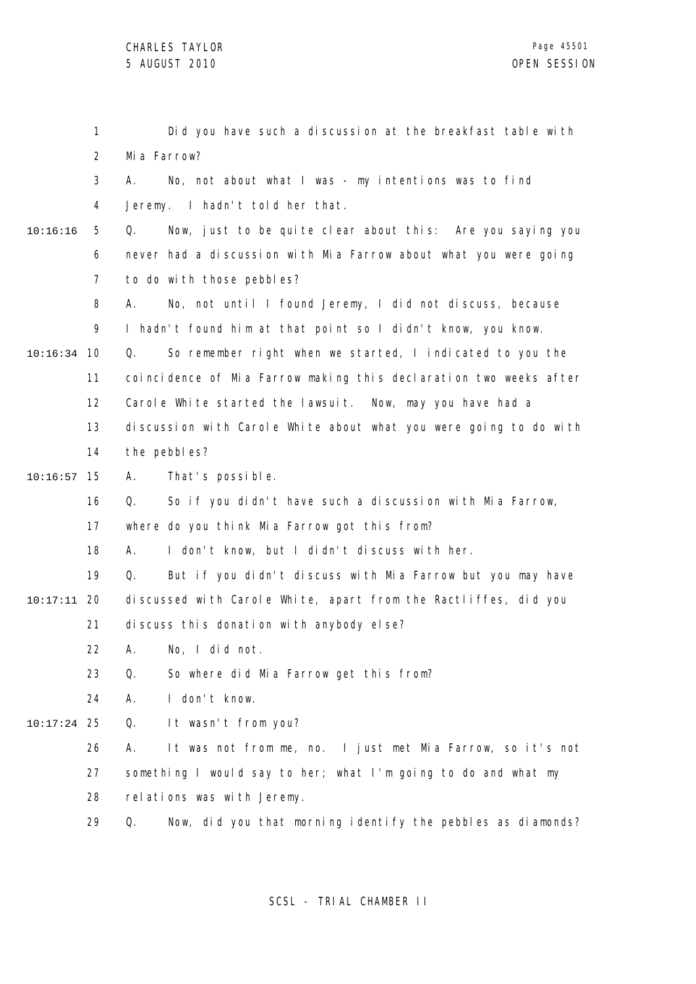|               | 1              | Did you have such a discussion at the breakfast table with        |
|---------------|----------------|-------------------------------------------------------------------|
|               | $\overline{2}$ | Mia Farrow?                                                       |
|               | 3              | No, not about what I was - my intentions was to find<br>А.        |
|               | 4              | Jeremy. I hadn't told her that.                                   |
| 10:16:16      | 5              | Now, just to be quite clear about this: Are you saying you<br>Q.  |
|               | 6              | never had a discussion with Mia Farrow about what you were going  |
|               | $\overline{7}$ | to do with those pebbles?                                         |
|               | 8              | No, not until I found Jeremy, I did not discuss, because<br>А.    |
|               | 9              | I hadn't found him at that point so I didn't know, you know.      |
| 10:16:34      | - 10           | So remember right when we started, I indicated to you the<br>Q.   |
|               | 11             | coincidence of Mia Farrow making this declaration two weeks after |
|               | 12             | Carole White started the lawsuit. Now, may you have had a         |
|               | 13             | discussion with Carole White about what you were going to do with |
|               | 14             | the pebbles?                                                      |
| 10:16:57      | 15             | That's possible.<br>А.                                            |
|               | 16             | So if you didn't have such a discussion with Mia Farrow,<br>Q.    |
|               | 17             | where do you think Mia Farrow got this from?                      |
|               | 18             | I don't know, but I didn't discuss with her.<br>А.                |
|               | 19             | But if you didn't discuss with Mia Farrow but you may have<br>Q.  |
| 10:17:11      | 20             | discussed with Carole White, apart from the Ractliffes, did you   |
|               | 21             | discuss this donation with anybody else?                          |
|               | 22             | A. No, I did not.                                                 |
|               | 23             | So where did Mia Farrow get this from?<br>Q.                      |
|               | 24             | I don't know.<br>А.                                               |
| $10:17:24$ 25 |                | It wasn't from you?<br>Q.                                         |
|               | 26             | It was not from me, no. I just met Mia Farrow, so it's not<br>А.  |
|               | 27             | something I would say to her; what I'm going to do and what my    |
|               | 28             | relations was with Jeremy.                                        |
|               | 29             | Now, did you that morning identify the pebbles as diamonds?<br>Q. |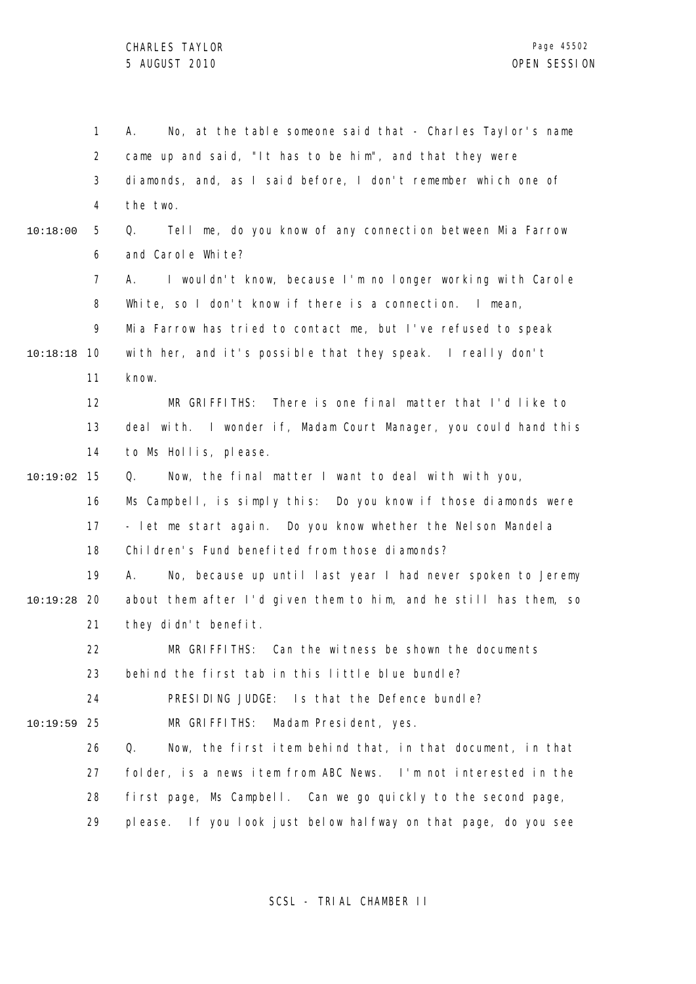1 2 3 4 5 6 7 8  $\mathsf{o}$ 10 10:18:18 11 12 13 14 15 10:19:02 16 17 18 19 20 10:19:28 21 22 23 24 25 10:19:59 26 27 28 29 10:18:00 A. No, at the table someone said that - Charles Taylor's name came up and said, "It has to be him", and that they were diamonds, and, as I said before, I don't remember which one of the two. Q. Tell me, do you know of any connection between Mia Farrow and Carole White? A. I wouldn't know, because I'm no longer working with Carole White, so I don't know if there is a connection. I mean, Mia Farrow has tried to contact me, but I've refused to speak with her, and it's possible that they speak. I really don't know. MR GRIFFITHS: There is one final matter that I'd like to deal with. I wonder if, Madam Court Manager, you could hand this to Ms Hollis, please. Q. Now, the final matter I want to deal with with you, Ms Campbell, is simply this: Do you know if those diamonds were - let me start again. Do you know whether the Nelson Mandela Children's Fund benefited from those diamonds? A. No, because up until last year I had never spoken to Jeremy about them after I'd given them to him, and he still has them, so they didn't benefit. MR GRIFFITHS: Can the witness be shown the documents behind the first tab in this little blue bundle? PRESIDING JUDGE: Is that the Defence bundle? MR GRIFFITHS: Madam President, yes. Q. Now, the first item behind that, in that document, in that folder, is a news item from ABC News. I'm not interested in the first page, Ms Campbell. Can we go quickly to the second page, please. If you look just below halfway on that page, do you see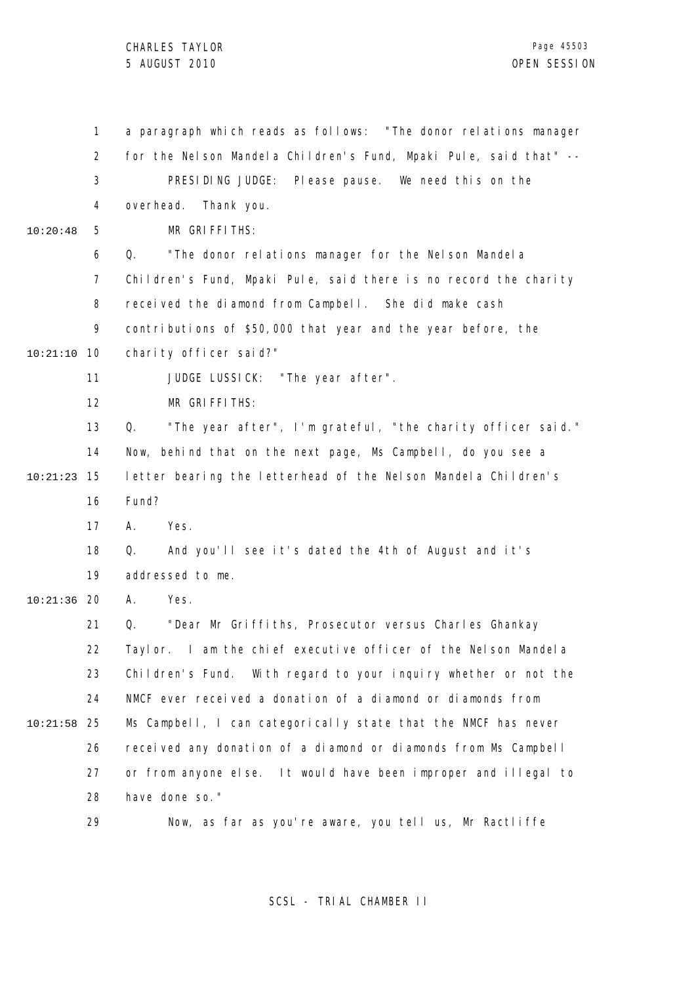1 2 3 4 5 6 7 8 9 10 10:21:10 11 12 13 14 15 10:21:23 16 17 18 19 20 10:21:36 21 22 23 24 25 10:21:58 26 27 28 29 10:20:48 a paragraph which reads as follows: "The donor relations manager for the Nelson Mandela Children's Fund, Mpaki Pule, said that" -- PRESIDING JUDGE: Please pause. We need this on the overhead. Thank you. MR GRIFFITHS: Q. "The donor relations manager for the Nelson Mandela Children's Fund, Mpaki Pule, said there is no record the charity received the diamond from Campbell. She did make cash contributions of \$50,000 that year and the year before, the charity officer said?" JUDGE LUSSICK: "The year after". MR GRIFFITHS: Q. "The year after", I'm grateful, "the charity officer said." Now, behind that on the next page, Ms Campbell, do you see a letter bearing the letterhead of the Nelson Mandela Children's Fund? A. Yes. Q. And you'll see it's dated the 4th of August and it's addressed to me. A. Yes. Q. "Dear Mr Griffiths, Prosecutor versus Charles Ghankay Taylor. I am the chief executive officer of the Nelson Mandela Children's Fund. With regard to your inquiry whether or not the NMCF ever received a donation of a diamond or diamonds from Ms Campbell, I can categorically state that the NMCF has never received any donation of a diamond or diamonds from Ms Campbell or from anyone else. It would have been improper and illegal to have done so." Now, as far as you're aware, you tell us, Mr Ractliffe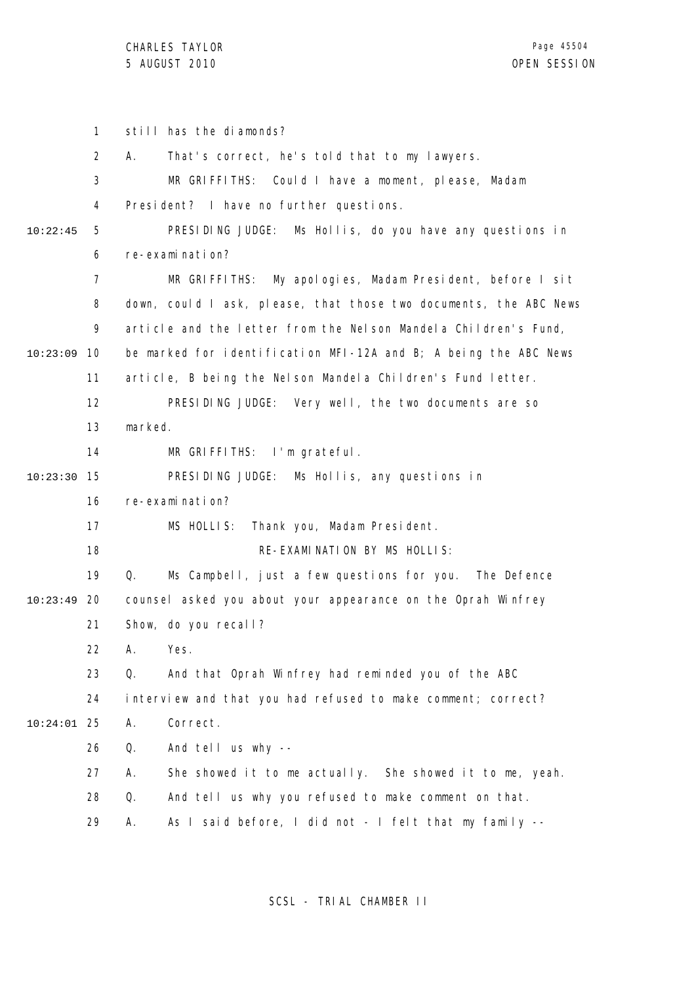1 2 3 4 5 6 7 8 9 10 10:23:09 11 12 13 14 15 10:23:30 16 17 18 19 20 10:23:49 21 22 23 24 25 10:24:01 26 27 28 29 10:22:45 still has the diamonds? A. That's correct, he's told that to my lawyers. MR GRIFFITHS: Could I have a moment, please, Madam President? I have no further questions. PRESIDING JUDGE: Ms Hollis, do you have any questions in re-examination? MR GRIFFITHS: My apologies, Madam President, before I sit down, could I ask, please, that those two documents, the ABC News article and the letter from the Nelson Mandela Children's Fund, be marked for identification MFI-12A and B; A being the ABC News article, B being the Nelson Mandela Children's Fund letter. PRESIDING JUDGE: Very well, the two documents are so marked. MR GRIFFITHS: I'm grateful. PRESIDING JUDGE: Ms Hollis, any questions in re-examination? MS HOLLIS: Thank you, Madam President. RE-EXAMINATION BY MS HOLLIS: Q. Ms Campbell, just a few questions for you. The Defence counsel asked you about your appearance on the Oprah Winfrey Show, do you recall? A. Yes. Q. And that Oprah Winfrey had reminded you of the ABC interview and that you had refused to make comment; correct? A. Correct. Q. And tell us why -- A. She showed it to me actually. She showed it to me, yeah. Q. And tell us why you refused to make comment on that. A. As I said before, I did not - I felt that my family --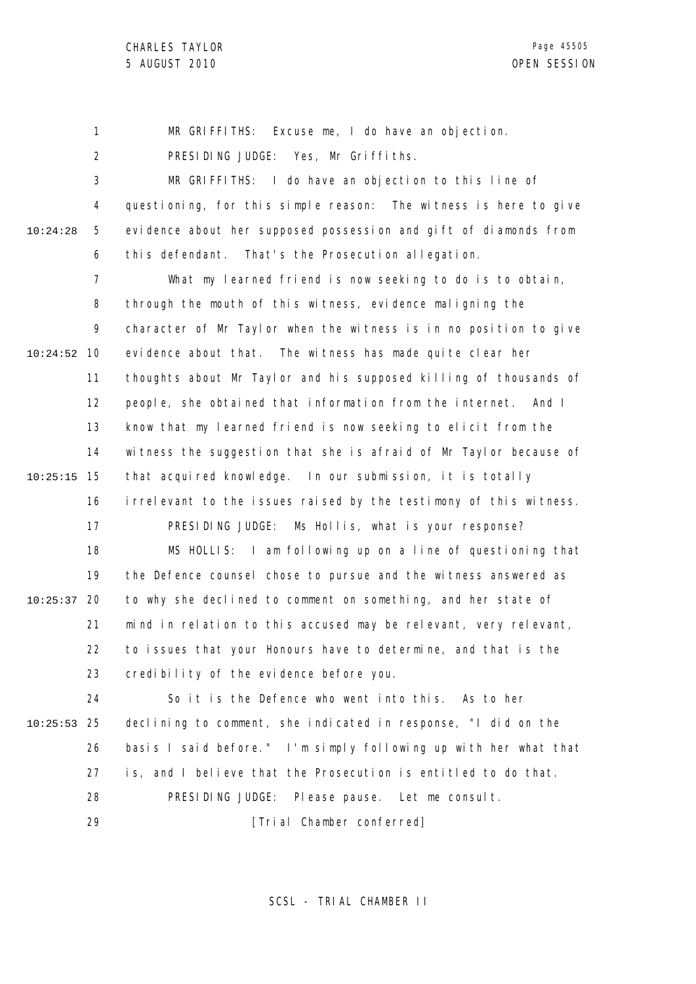1 2 3 4 5 6 7 8 9 10 10:24:52 11 12 13 14 15 10:25:15 16 17 18 19 20 10:25:37 21 22 23 10:24:28 MR GRIFFITHS: Excuse me, I do have an objection. PRESIDING JUDGE: Yes, Mr Griffiths. MR GRIFFITHS: I do have an objection to this line of questioning, for this simple reason: The witness is here to give evidence about her supposed possession and gift of diamonds from this defendant. That's the Prosecution allegation. What my learned friend is now seeking to do is to obtain, through the mouth of this witness, evidence maligning the character of Mr Taylor when the witness is in no position to give evidence about that. The witness has made quite clear her thoughts about Mr Taylor and his supposed killing of thousands of people, she obtained that information from the internet. And I know that my learned friend is now seeking to elicit from the witness the suggestion that she is afraid of Mr Taylor because of that acquired knowledge. In our submission, it is totally irrelevant to the issues raised by the testimony of this witness. PRESIDING JUDGE: Ms Hollis, what is your response? MS HOLLIS: I am following up on a line of questioning that the Defence counsel chose to pursue and the witness answered as to why she declined to comment on something, and her state of mind in relation to this accused may be relevant, very relevant, to issues that your Honours have to determine, and that is the credibility of the evidence before you.

24 25 10:25:53 26 27 28 So it is the Defence who went into this. As to her declining to comment, she indicated in response, "I did on the basis I said before." I'm simply following up with her what that is, and I believe that the Prosecution is entitled to do that. PRESIDING JUDGE: Please pause. Let me consult. [Trial Chamber conferred]

29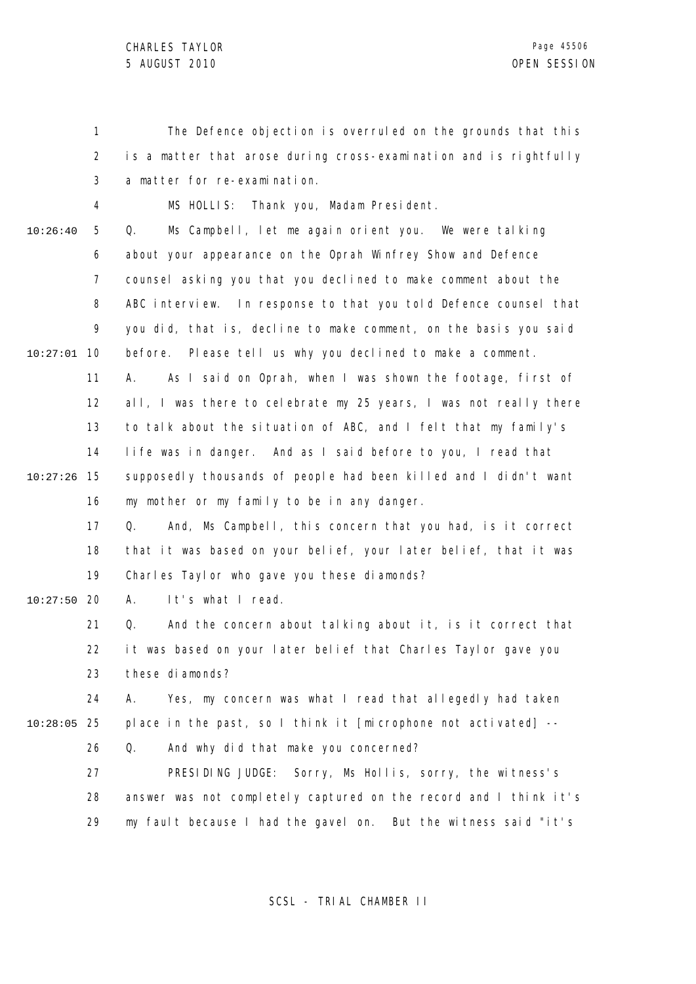1 2 3 4 5 6 7 8 9 10 10:27:01 11 12 13 14 15 10:27:26 16 17 18 19 20 10:27:50 21 22 23 24 25 10:28:05 26 27 28 29 10:26:40 The Defence objection is overruled on the grounds that this is a matter that arose during cross-examination and is rightfully a matter for re-examination. MS HOLLIS: Thank you, Madam President. Q. Ms Campbell, let me again orient you. We were talking about your appearance on the Oprah Winfrey Show and Defence counsel asking you that you declined to make comment about the ABC interview. In response to that you told Defence counsel that you did, that is, decline to make comment, on the basis you said before. Please tell us why you declined to make a comment. A. As I said on Oprah, when I was shown the footage, first of all, I was there to celebrate my 25 years, I was not really there to talk about the situation of ABC, and I felt that my family's life was in danger. And as I said before to you, I read that supposedly thousands of people had been killed and I didn't want my mother or my family to be in any danger. Q. And, Ms Campbell, this concern that you had, is it correct that it was based on your belief, your later belief, that it was Charles Taylor who gave you these diamonds? A. It's what I read. Q. And the concern about talking about it, is it correct that it was based on your later belief that Charles Taylor gave you these diamonds? A. Yes, my concern was what I read that allegedly had taken place in the past, so I think it [microphone not activated] -- Q. And why did that make you concerned? PRESIDING JUDGE: Sorry, Ms Hollis, sorry, the witness's answer was not completely captured on the record and I think it's my fault because I had the gavel on. But the witness said "it's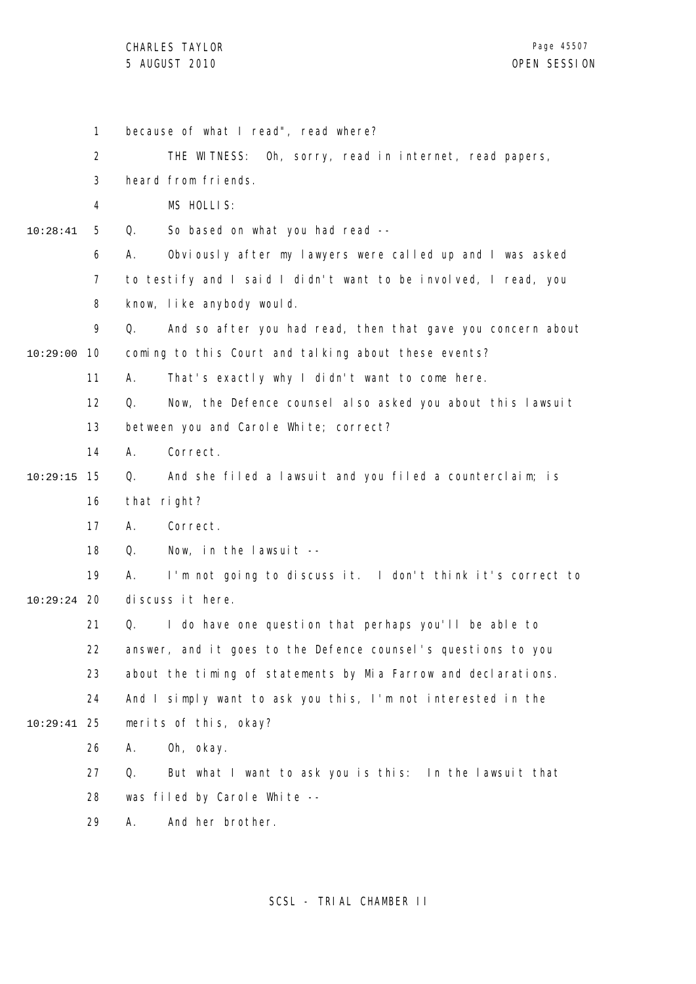1 2 3 4 5 6 7 8 9 10 10:29:00 11 12 13 14 15 10:29:15 16 17 18 19 20 10:29:24 21 22 23 24 25 10:29:41 26 27 28 29 10:28:41 because of what I read", read where? THE WITNESS: Oh, sorry, read in internet, read papers, heard from friends. MS HOLLIS: Q. So based on what you had read -- A. Obviously after my lawyers were called up and I was asked to testify and I said I didn't want to be involved, I read, you know, like anybody would. Q. And so after you had read, then that gave you concern about coming to this Court and talking about these events? A. That's exactly why I didn't want to come here. Q. Now, the Defence counsel also asked you about this lawsuit between you and Carole White; correct? A. Correct. Q. And she filed a lawsuit and you filed a counterclaim; is that right? A. Correct. Q. Now, in the lawsuit -- A. I'm not going to discuss it. I don't think it's correct to discuss it here. Q. I do have one question that perhaps you'll be able to answer, and it goes to the Defence counsel's questions to you about the timing of statements by Mia Farrow and declarations. And I simply want to ask you this, I'm not interested in the merits of this, okay? A. Oh, okay. Q. But what I want to ask you is this: In the lawsuit that was filed by Carole White -- A. And her brother.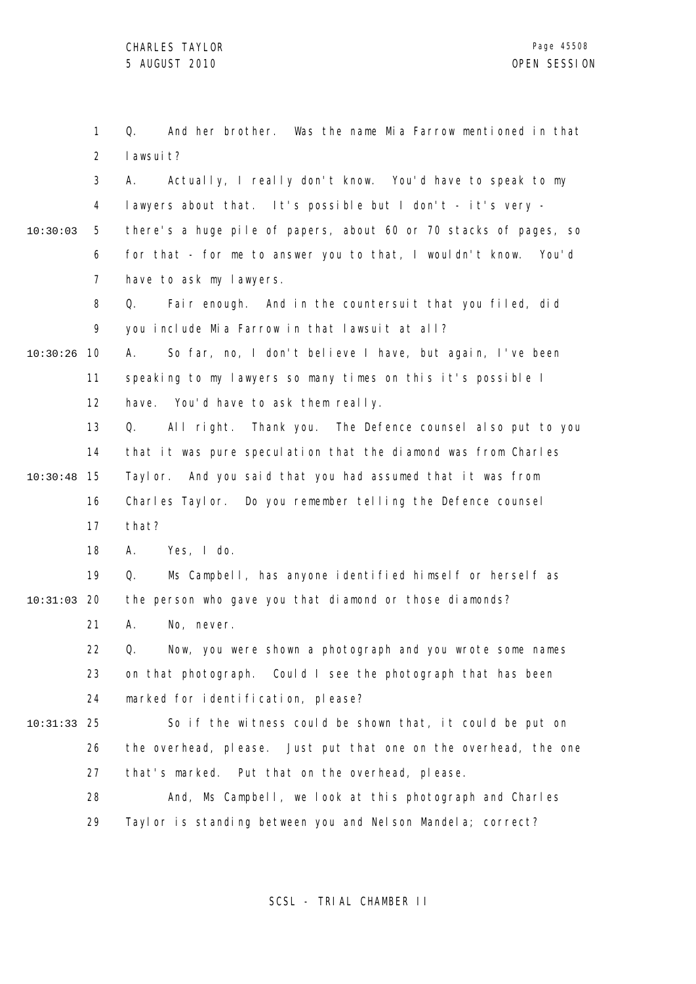|          | $\mathbf{1}$   | Q.<br>And her brother. Was the name Mia Farrow mentioned in that  |
|----------|----------------|-------------------------------------------------------------------|
|          | $\overline{2}$ | I awsui t?                                                        |
|          | 3              | Actually, I really don't know. You'd have to speak to my<br>А.    |
|          | 4              | lawyers about that. It's possible but I don't - it's very -       |
| 10:30:03 | 5              | there's a huge pile of papers, about 60 or 70 stacks of pages, so |
|          | 6              | for that - for me to answer you to that, I wouldn't know. You'd   |
|          | 7              | have to ask my lawyers.                                           |
|          | 8              | Fair enough. And in the countersuit that you filed, did<br>Q.     |
|          | 9              | you include Mia Farrow in that lawsuit at all?                    |
| 10:30:26 | 10             | So far, no, I don't believe I have, but again, I've been<br>А.    |
|          | 11             | speaking to my lawyers so many times on this it's possible I      |
|          | 12             | have. You'd have to ask them really.                              |
|          | 13             | All right. Thank you. The Defence counsel also put to you<br>Q.   |
|          | 14             | that it was pure speculation that the diamond was from Charles    |
| 10:30:48 | 15             | Taylor. And you said that you had assumed that it was from        |
|          | 16             | Charles Taylor. Do you remember telling the Defence counsel       |
|          | 17             | that?                                                             |
|          | 18             | Yes, I do.<br>А.                                                  |
|          | 19             | Ms Campbell, has anyone identified himself or herself as<br>Q.    |
| 10:31:03 | -20            | the person who gave you that diamond or those diamonds?           |
|          | 21             | No, never.<br>Α.                                                  |
|          | 22             | Now, you were shown a photograph and you wrote some names<br>Q.   |
|          | 23             | on that photograph. Could I see the photograph that has been      |
|          | 24             | marked for identification, please?                                |
| 10:31:33 | 25             | So if the witness could be shown that, it could be put on         |
|          | 26             | the overhead, please. Just put that one on the overhead, the one  |
|          | 27             | that's marked. Put that on the overhead, please.                  |
|          | 28             | And, Ms Campbell, we look at this photograph and Charles          |
|          | 29             | Tayl or is standing between you and Nelson Mandela; correct?      |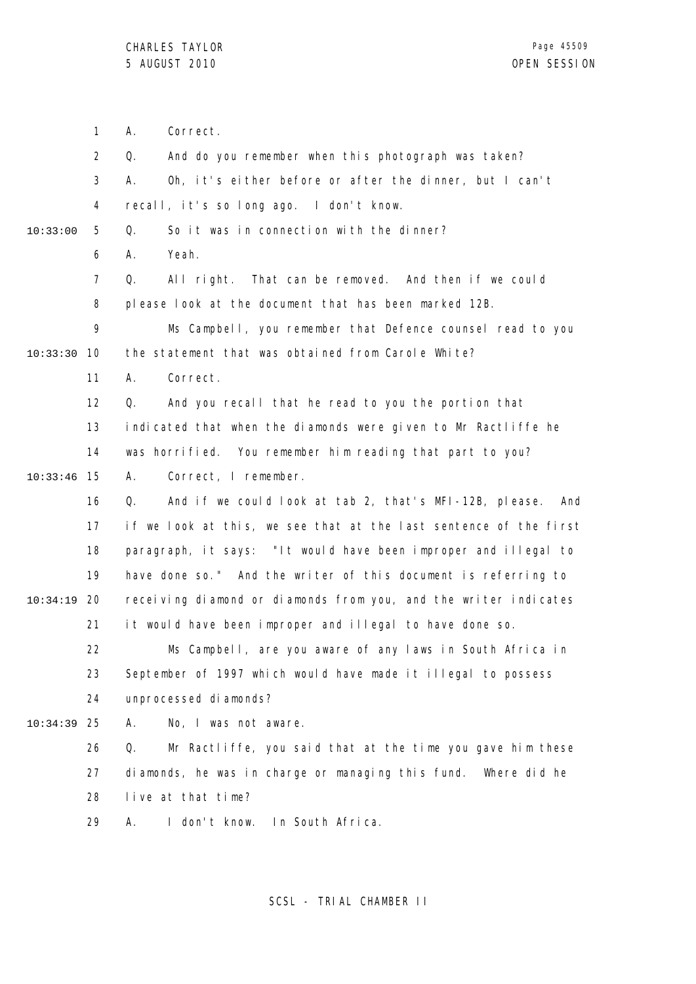1 2 3 4 5 6 7 8 9 10 10:33:30 11 12 13 14 15 10:33:46 16 17 18 19 20 10:34:19 21 22 23 24 25 10:34:39 26 27 28 29 10:33:00 A. Correct. Q. And do you remember when this photograph was taken? A. Oh, it's either before or after the dinner, but I can't recall, it's so long ago. I don't know. Q. So it was in connection with the dinner? A. Yeah. Q. All right. That can be removed. And then if we could please look at the document that has been marked 12B. Ms Campbell, you remember that Defence counsel read to you the statement that was obtained from Carole White? A. Correct. Q. And you recall that he read to you the portion that indicated that when the diamonds were given to Mr Ractliffe he was horrified. You remember him reading that part to you? A. Correct, I remember. Q. And if we could look at tab 2, that's MFI-12B, please. And if we look at this, we see that at the last sentence of the first paragraph, it says: "It would have been improper and illegal to have done so." And the writer of this document is referring to receiving diamond or diamonds from you, and the writer indicates it would have been improper and illegal to have done so. Ms Campbell, are you aware of any laws in South Africa in September of 1997 which would have made it illegal to possess unprocessed diamonds? A. No, I was not aware. Q. Mr Ractliffe, you said that at the time you gave him these diamonds, he was in charge or managing this fund. Where did he live at that time? A. I don't know. In South Africa.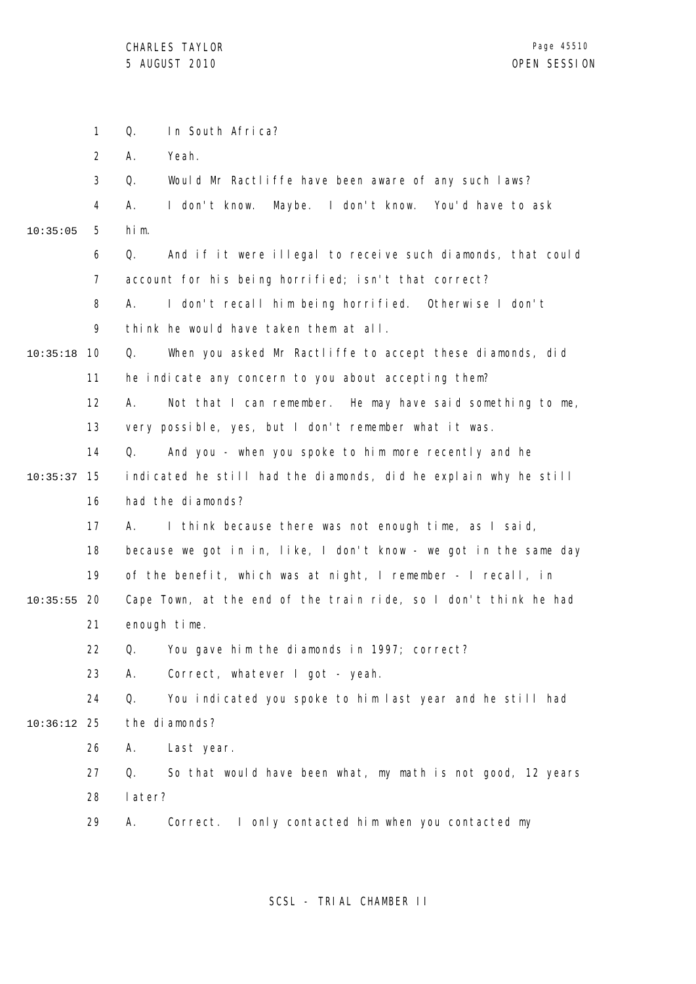|          | $\mathbf{1}$ | Q.<br>In South Africa?                                            |
|----------|--------------|-------------------------------------------------------------------|
|          | 2            | Α.<br>Yeah.                                                       |
|          | 3            | Q.<br>Would Mr Ractliffe have been aware of any such laws?        |
|          | 4            | А.<br>I don't know. Maybe. I don't know. You'd have to ask        |
| 10:35:05 | 5            | him.                                                              |
|          | 6            | And if it were illegal to receive such diamonds, that could<br>Q. |
|          | 7            | account for his being horrified; isn't that correct?              |
|          | 8            | I don't recall him being horrified. Otherwise I don't<br>А.       |
|          | 9            | think he would have taken them at all.                            |
| 10:35:18 | 10           | When you asked Mr Ractliffe to accept these diamonds, did<br>Q.   |
|          | 11           | he indicate any concern to you about accepting them?              |
|          | 12           | Α.<br>Not that I can remember. He may have said something to me,  |
|          | 13           | very possible, yes, but I don't remember what it was.             |
|          | 14           | And you - when you spoke to him more recently and he<br>Q.        |
| 10:35:37 | 15           | indicated he still had the diamonds, did he explain why he still  |
|          | 16           | had the diamonds?                                                 |
|          | 17           | I think because there was not enough time, as I said,<br>А.       |
|          | 18           | because we got in in, like, I don't know - we got in the same day |
|          | 19           | of the benefit, which was at night, I remember - I recall, in     |
| 10:35:55 | 20           | Cape Town, at the end of the train ride, so I don't think he had  |
|          | 21           | enough time.                                                      |
|          | 22           | Q.<br>You gave him the diamonds in 1997; correct?                 |
|          | 23           | Correct, whatever I got - yeah.<br>Α.                             |
|          | 24           | You indicated you spoke to him last year and he still had<br>Q.   |
| 10:36:12 | 25           | the diamonds?                                                     |
|          | 26           | Α.<br>Last year.                                                  |
|          | 27           | Q.<br>So that would have been what, my math is not good, 12 years |
|          | 28           | later?                                                            |
|          | 29           | Correct. I only contacted him when you contacted my<br>А.         |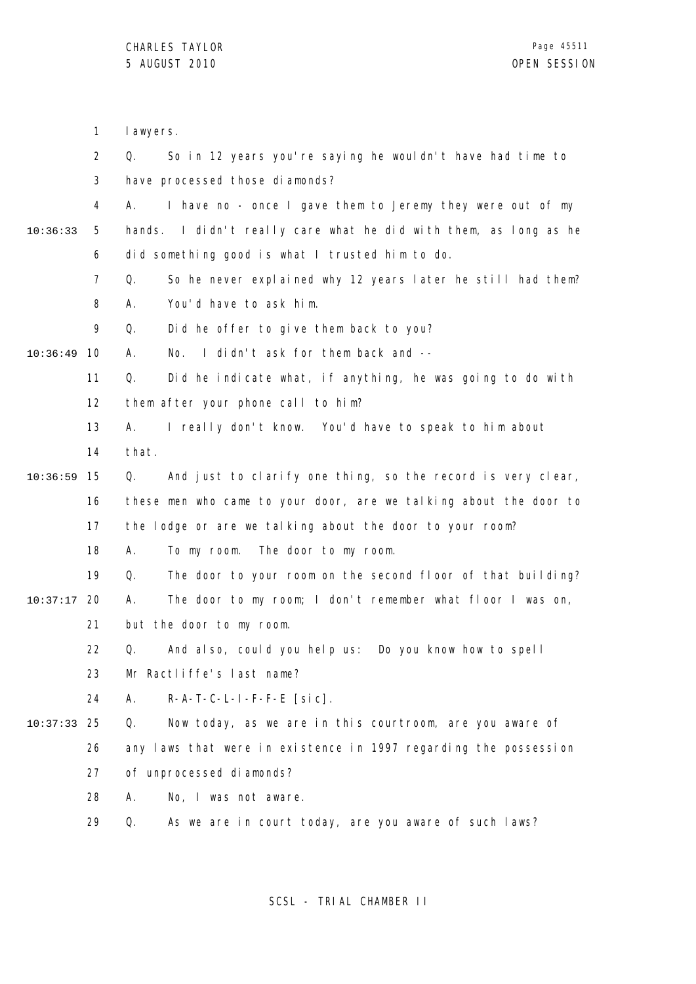|          | 1              | I awyers.                                                           |
|----------|----------------|---------------------------------------------------------------------|
|          | $\overline{2}$ | Q.<br>So in 12 years you're saying he wouldn't have had time to     |
|          | 3              | have processed those diamonds?                                      |
|          | 4              | I have no - once I gave them to Jeremy they were out of my<br>А.    |
| 10:36:33 | 5              | I didn't really care what he did with them, as long as he<br>hands. |
|          | 6              | did something good is what I trusted him to do.                     |
|          | $\overline{7}$ | So he never explained why 12 years later he still had them?<br>Q.   |
|          | 8              | You'd have to ask him.<br>А.                                        |
|          | 9              | Did he offer to give them back to you?<br>Q.                        |
| 10:36:49 | 10             | I didn't ask for them back and --<br>А.<br>No.                      |
|          | 11             | Did he indicate what, if anything, he was going to do with<br>Q.    |
|          | 12             | them after your phone call to him?                                  |
|          | 13             | I really don't know. You'd have to speak to him about<br>А.         |
|          | 14             | that.                                                               |
| 10:36:59 | 15             | And just to clarify one thing, so the record is very clear,<br>Q.   |
|          | 16             | these men who came to your door, are we talking about the door to   |
|          | 17             | the lodge or are we talking about the door to your room?            |
|          | 18             | А.<br>To my room. The door to my room.                              |
|          | 19             | The door to your room on the second floor of that building?<br>Q.   |
| 10:37:17 | 20             | The door to my room; I don't remember what floor I was on,<br>Α.    |
|          | 21             | but the door to my room.                                            |
|          | 22             | Q. And also, could you help us: Do you know how to spell            |
|          | 23             | Mr Ractliffe's last name?                                           |
|          | 24             | $R-A-T-C-L-I-F-F-E$ [sic].<br>А.                                    |
| 10:37:33 | 25             | Now today, as we are in this courtroom, are you aware of<br>Q.      |
|          | 26             | any laws that were in existence in 1997 regarding the possession    |
|          | 27             | of unprocessed diamonds?                                            |
|          | 28             | No, I was not aware.<br>А.                                          |
|          | 29             | As we are in court today, are you aware of such laws?<br>Q.         |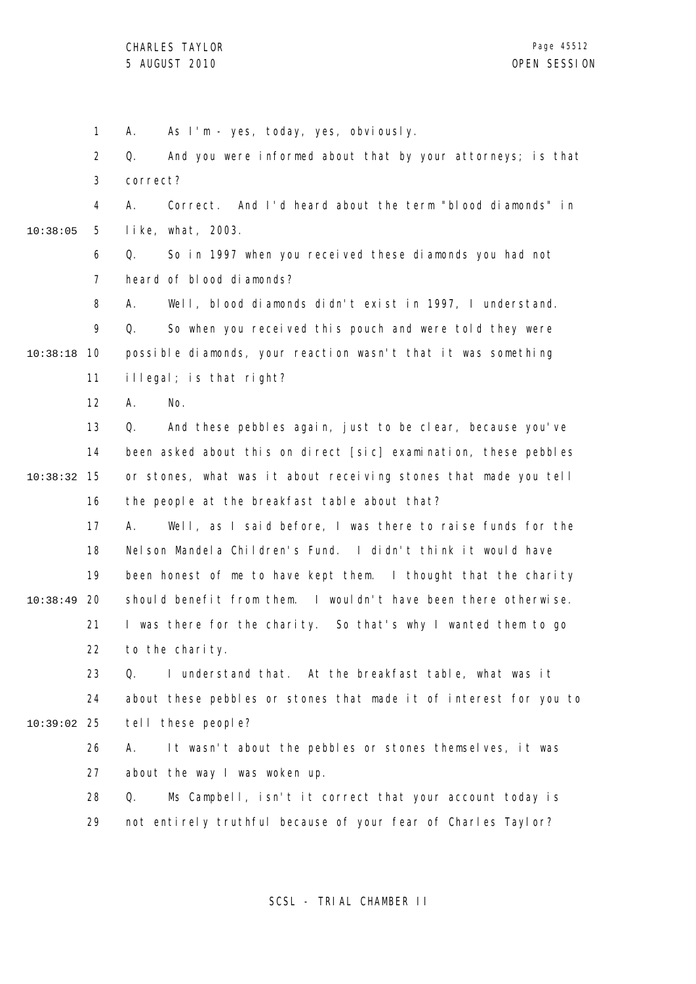1 2 3 4 5 6 7 8 9 10 10:38:18 11 12 13 14 15 10:38:32 16 17 18 19 20 10:38:49 21 22 23 24 25 10:39:02 26 27 28 29 10:38:05 A. As I'm - yes, today, yes, obviously. Q. And you were informed about that by your attorneys; is that correct? A. Correct. And I'd heard about the term "blood diamonds" in like, what, 2003. Q. So in 1997 when you received these diamonds you had not heard of blood diamonds? A. Well, blood diamonds didn't exist in 1997, I understand. Q. So when you received this pouch and were told they were possible diamonds, your reaction wasn't that it was something illegal; is that right? A. No. Q. And these pebbles again, just to be clear, because you've been asked about this on direct [sic] examination, these pebbles or stones, what was it about receiving stones that made you tell the people at the breakfast table about that? A. Well, as I said before, I was there to raise funds for the Nelson Mandela Children's Fund. I didn't think it would have been honest of me to have kept them. I thought that the charity should benefit from them. I wouldn't have been there otherwise. I was there for the charity. So that's why I wanted them to go to the charity. Q. I understand that. At the breakfast table, what was it about these pebbles or stones that made it of interest for you to tell these people? A. It wasn't about the pebbles or stones themselves, it was about the way I was woken up. Q. Ms Campbell, isn't it correct that your account today is not entirely truthful because of your fear of Charles Taylor?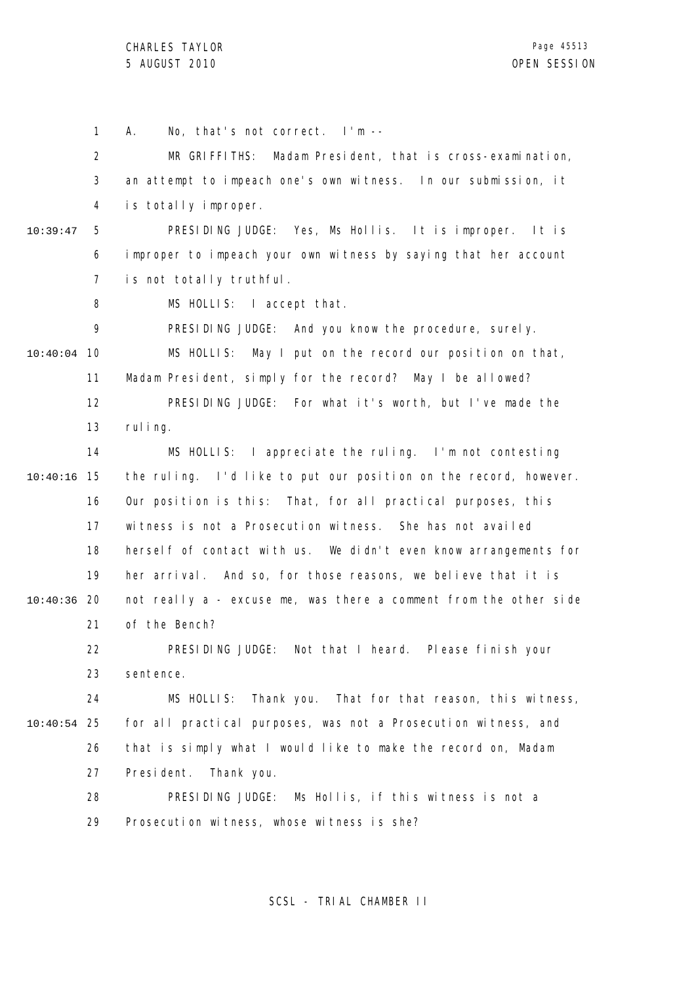1 2 3 4 5 6 7 8 9 10 10:40:04 11 12 13 14 15 10:40:16 16 17 18 19 20 10:40:36 21 22 23 24 25 10:40:54 26 27 28 29 10:39:47 A. No, that's not correct. I'm -- MR GRIFFITHS: Madam President, that is cross-examination, an attempt to impeach one's own witness. In our submission, it is totally improper. PRESIDING JUDGE: Yes, Ms Hollis. It is improper. It is improper to impeach your own witness by saying that her account is not totally truthful. MS HOLLIS: I accept that. PRESIDING JUDGE: And you know the procedure, surely. MS HOLLIS: May I put on the record our position on that, Madam President, simply for the record? May I be allowed? PRESIDING JUDGE: For what it's worth, but I've made the ruling. MS HOLLIS: I appreciate the ruling. I'm not contesting the ruling. I'd like to put our position on the record, however. Our position is this: That, for all practical purposes, this witness is not a Prosecution witness. She has not availed herself of contact with us. We didn't even know arrangements for her arrival. And so, for those reasons, we believe that it is not really a - excuse me, was there a comment from the other side of the Bench? PRESIDING JUDGE: Not that I heard. Please finish your sentence. MS HOLLIS: Thank you. That for that reason, this witness, for all practical purposes, was not a Prosecution witness, and that is simply what I would like to make the record on, Madam President. Thank you. PRESIDING JUDGE: Ms Hollis, if this witness is not a Prosecution witness, whose witness is she?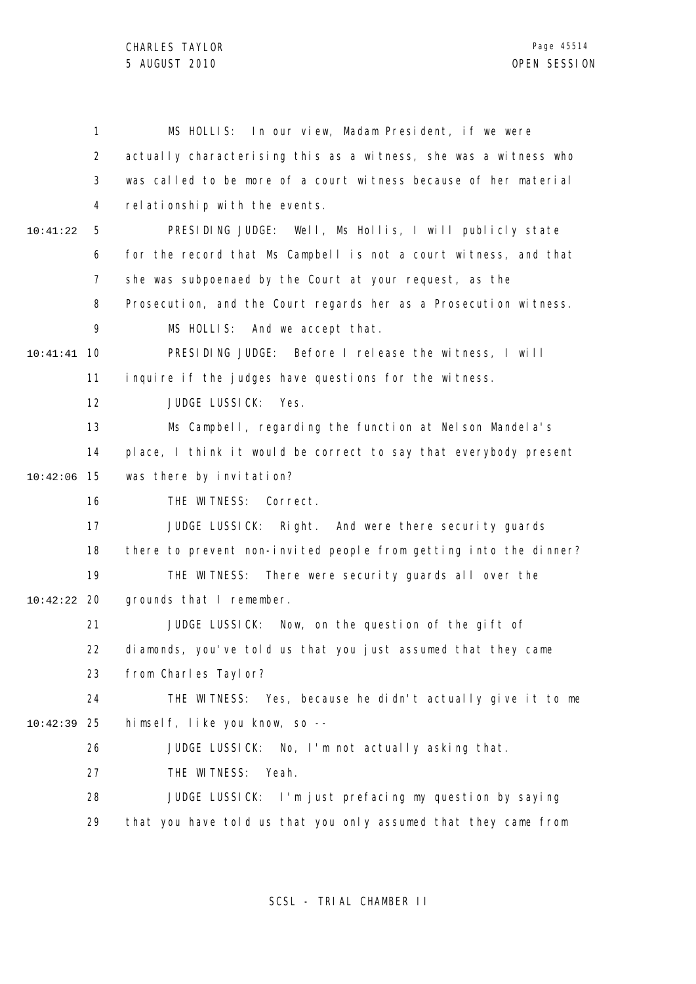1 2 3 4 5 6 7 8 9 10 10:41:41 11 12 13 14 15 10:42:06 16 17 18 19 20 10:42:22 21 22 23 24 25 10:42:39 26 27 28 29 10:41:22 MS HOLLIS: In our view, Madam President, if we were actually characterising this as a witness, she was a witness who was called to be more of a court witness because of her material relationship with the events. PRESIDING JUDGE: Well, Ms Hollis, I will publicly state for the record that Ms Campbell is not a court witness, and that she was subpoenaed by the Court at your request, as the Prosecution, and the Court regards her as a Prosecution witness. MS HOLLIS: And we accept that. PRESIDING JUDGE: Before I release the witness, I will inquire if the judges have questions for the witness. JUDGE LUSSICK: Yes. Ms Campbell, regarding the function at Nelson Mandela's place, I think it would be correct to say that everybody present was there by invitation? THE WITNESS: Correct. JUDGE LUSSICK: Right. And were there security guards there to prevent non-invited people from getting into the dinner? THE WITNESS: There were security guards all over the grounds that I remember. JUDGE LUSSICK: Now, on the question of the gift of diamonds, you've told us that you just assumed that they came from Charles Taylor? THE WITNESS: Yes, because he didn't actually give it to me himself, like you know, so -- JUDGE LUSSICK: No, I'm not actually asking that. THE WITNESS: Yeah. JUDGE LUSSICK: I'm just prefacing my question by saying that you have told us that you only assumed that they came from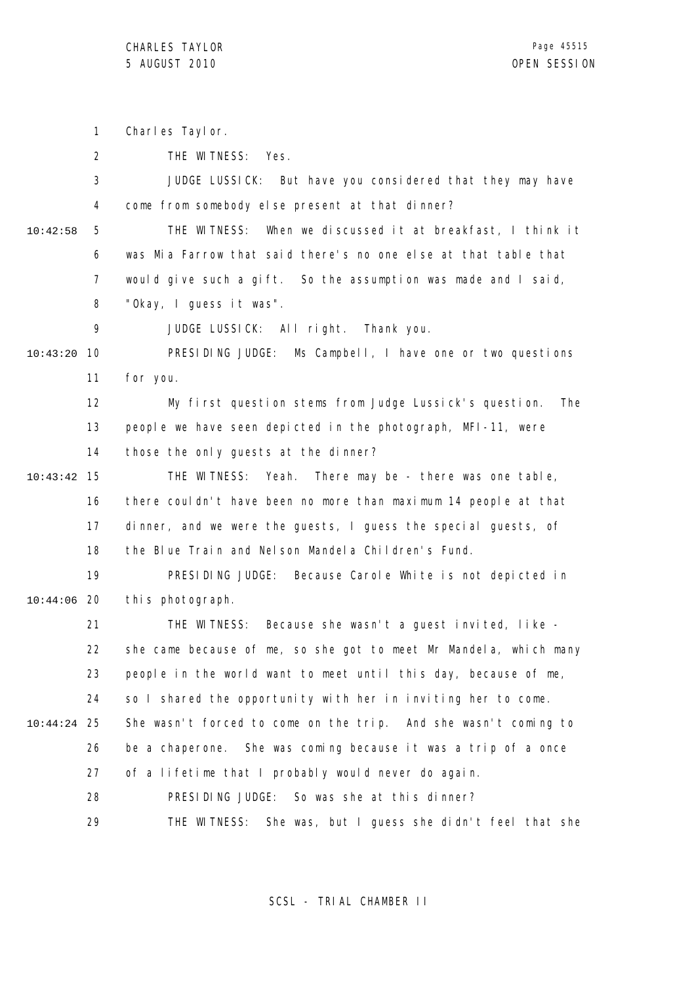|          | 1              | Charles Taylor.                                                   |
|----------|----------------|-------------------------------------------------------------------|
|          | $\overline{2}$ | THE WITNESS: Yes.                                                 |
|          | 3              | JUDGE LUSSICK: But have you considered that they may have         |
|          | 4              | come from somebody else present at that dinner?                   |
| 10:42:58 | 5              | THE WITNESS: When we discussed it at breakfast, I think it        |
|          | 6              | was Mia Farrow that said there's no one else at that table that   |
|          | $\overline{7}$ | would give such a gift. So the assumption was made and I said,    |
|          | 8              | "Okay, I guess it was".                                           |
|          | 9              | JUDGE LUSSICK: All right. Thank you.                              |
| 10:43:20 | 10             | PRESIDING JUDGE: Ms Campbell, I have one or two questions         |
|          | 11             | for you.                                                          |
|          | 12             | My first question stems from Judge Lussick's question.<br>The     |
|          | 13             | people we have seen depicted in the photograph, MFI-11, were      |
|          | 14             | those the only guests at the dinner?                              |
| 10:43:42 | 15             | THE WITNESS: Yeah. There may be - there was one table,            |
|          | 16             | there couldn't have been no more than maximum 14 people at that   |
|          | 17             | dinner, and we were the guests, I guess the special guests, of    |
|          | 18             | the Blue Train and Nelson Mandela Children's Fund.                |
|          | 19             | PRESIDING JUDGE:<br>Because Carole White is not depicted in       |
| 10:44:06 | -20            | this photograph.                                                  |
|          | 21             | Because she wasn't a guest invited, like -<br>THE WITNESS:        |
|          | 22             | she came because of me, so she got to meet Mr Mandela, which many |
|          | 23             | people in the world want to meet until this day, because of me,   |
|          | 24             | so I shared the opportunity with her in inviting her to come.     |
| 10:44:24 | 25             | She wasn't forced to come on the trip. And she wasn't coming to   |
|          | 26             | be a chaperone. She was coming because it was a trip of a once    |
|          | 27             | of a lifetime that I probably would never do again.               |
|          | 28             | PRESIDING JUDGE: So was she at this dinner?                       |
|          | 29             | THE WITNESS:<br>She was, but I guess she didn't feel that she     |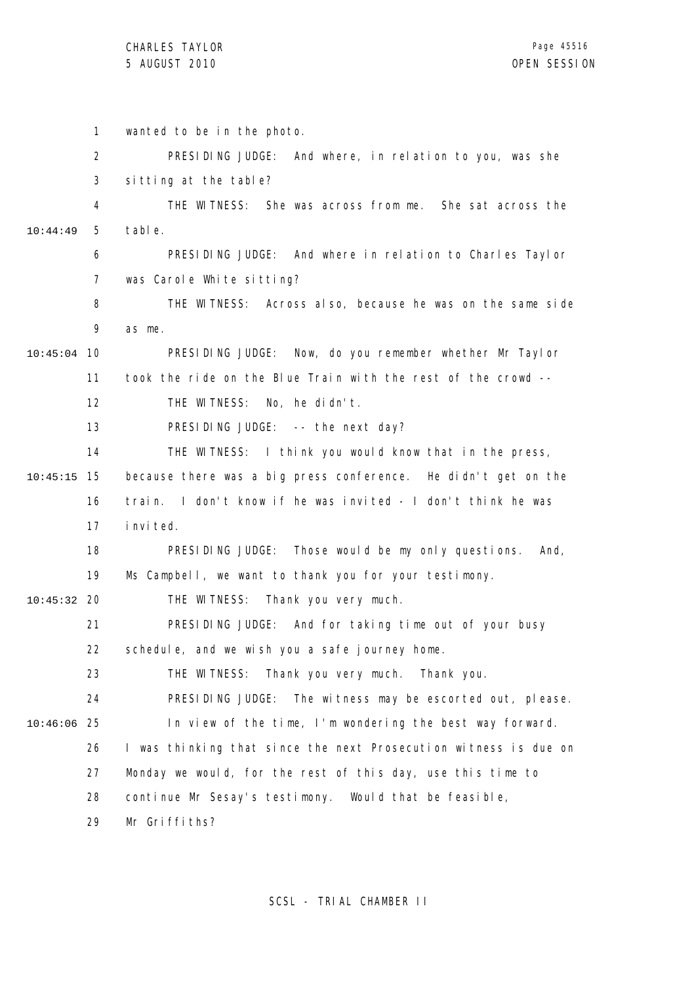|          | 1              | wanted to be in the photo.                                       |
|----------|----------------|------------------------------------------------------------------|
|          | 2              | PRESIDING JUDGE: And where, in relation to you, was she          |
|          | 3              | sitting at the table?                                            |
|          | 4              | THE WITNESS: She was across from me. She sat across the          |
| 10:44:49 | 5              | table.                                                           |
|          | 6              | PRESIDING JUDGE: And where in relation to Charles Taylor         |
|          | $\overline{7}$ | was Carole White sitting?                                        |
|          | 8              | THE WITNESS: Across also, because he was on the same side        |
|          | 9              | as me.                                                           |
| 10:45:04 | 10             | PRESIDING JUDGE:<br>Now, do you remember whether Mr Taylor       |
|          | 11             | took the ride on the Blue Train with the rest of the crowd --    |
|          | 12             | THE WITNESS:<br>No, he didn't.                                   |
|          | 13             | PRESIDING JUDGE: -- the next day?                                |
|          | 14             | THE WITNESS: I think you would know that in the press,           |
| 10:45:15 | 15             | because there was a big press conference. He didn't get on the   |
|          | 16             | I don't know if he was invited - I don't think he was<br>train.  |
|          | 17             | i nvi ted.                                                       |
|          | 18             | PRESIDING JUDGE:<br>Those would be my only questions.<br>And,    |
|          | 19             | Ms Campbell, we want to thank you for your testimony.            |
| 10:45:32 | -20            | Thank you very much.<br>THE WITNESS:                             |
|          | 21             | PRESIDING JUDGE: And for taking time out of your busy            |
|          | 22             | schedule, and we wish you a safe journey home.                   |
|          | 23             | THE WITNESS:<br>Thank you very much.<br>Thank you.               |
|          | 24             | PRESIDING JUDGE:<br>The witness may be escorted out, please.     |
| 10:46:06 | 25             | In view of the time, I'm wondering the best way forward.         |
|          | 26             | I was thinking that since the next Prosecution witness is due on |
|          | 27             | Monday we would, for the rest of this day, use this time to      |
|          | 28             | continue Mr Sesay's testimony. Would that be feasible,           |
|          | 29             | Mr Griffiths?                                                    |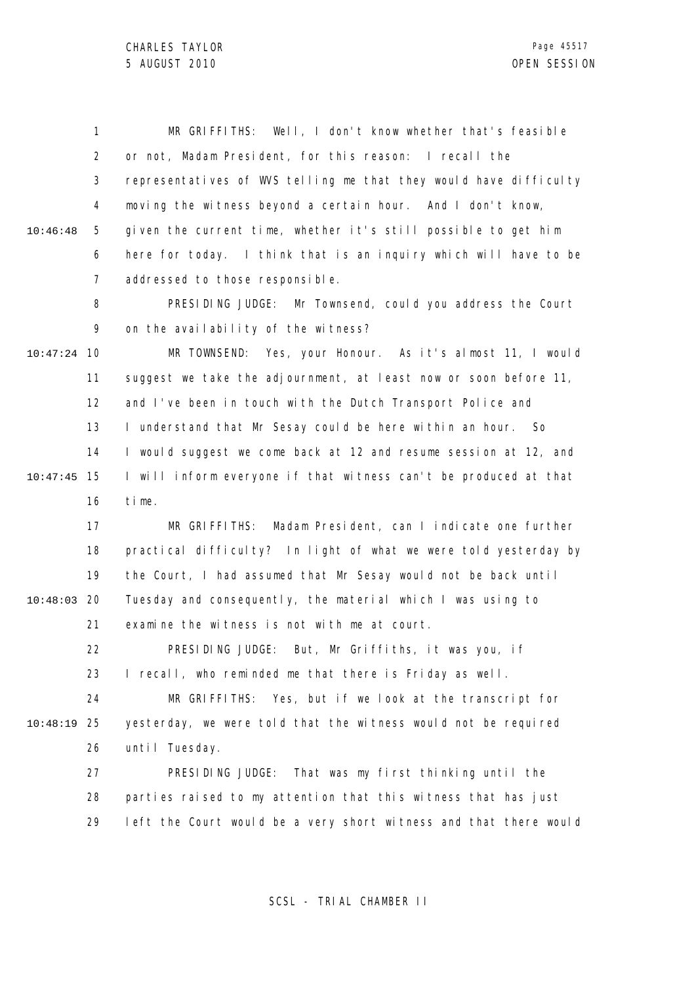1 2 3 4 5 6 7 8 9 10 10:47:24 11 12 13 14 15 10:47:45 16 17 18 19 20 10:48:03 21 22 23 24 25 10:48:19 10:46:48 MR GRIFFITHS: Well, I don't know whether that's feasible or not, Madam President, for this reason: I recall the representatives of WVS telling me that they would have difficulty moving the witness beyond a certain hour. And I don't know, given the current time, whether it's still possible to get him here for today. I think that is an inquiry which will have to be addressed to those responsible. PRESIDING JUDGE: Mr Townsend, could you address the Court on the availability of the witness? MR TOWNSEND: Yes, your Honour. As it's almost 11, I would suggest we take the adjournment, at least now or soon before 11, and I've been in touch with the Dutch Transport Police and I understand that Mr Sesay could be here within an hour. So I would suggest we come back at 12 and resume session at 12, and I will inform everyone if that witness can't be produced at that time. MR GRIFFITHS: Madam President, can I indicate one further practical difficulty? In light of what we were told yesterday by the Court, I had assumed that Mr Sesay would not be back until Tuesday and consequently, the material which I was using to examine the witness is not with me at court. PRESIDING JUDGE: But, Mr Griffiths, it was you, if I recall, who reminded me that there is Friday as well. MR GRIFFITHS: Yes, but if we look at the transcript for yesterday, we were told that the witness would not be required

> 26 until Tuesday.

27 28 29 PRESIDING JUDGE: That was my first thinking until the parties raised to my attention that this witness that has just left the Court would be a very short witness and that there would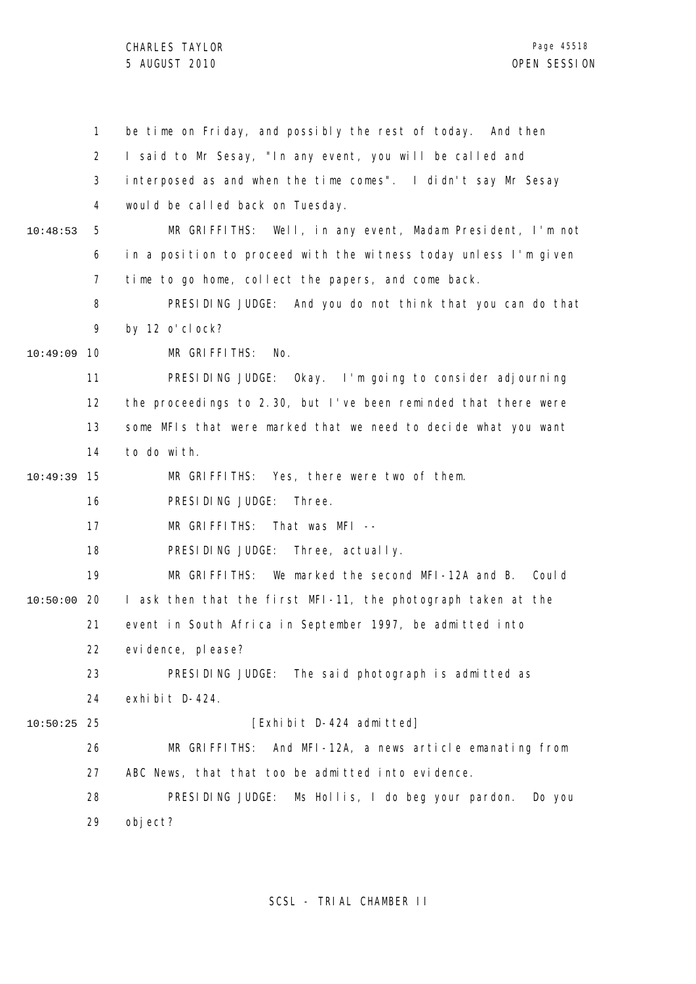|          | $\mathbf{1}$   | be time on Friday, and possibly the rest of today. And then      |
|----------|----------------|------------------------------------------------------------------|
|          | $\overline{2}$ | I said to Mr Sesay, "In any event, you will be called and        |
|          | 3              | interposed as and when the time comes". I didn't say Mr Sesay    |
|          | 4              | would be called back on Tuesday.                                 |
| 10:48:53 | 5              | MR GRIFFITHS: Well, in any event, Madam President, I'm not       |
|          | 6              | in a position to proceed with the witness today unless I'm given |
|          | 7              | time to go home, collect the papers, and come back.              |
|          | 8              | PRESIDING JUDGE: And you do not think that you can do that       |
|          | 9              | by 12 o' cl ock?                                                 |
| 10:49:09 | 10             | MR GRIFFITHS:<br>No.                                             |
|          | 11             | PRESIDING JUDGE: Okay. I'm going to consider adjourning          |
|          | 12             | the proceedings to 2.30, but I've been reminded that there were  |
|          | 13             | some MFIs that were marked that we need to decide what you want  |
|          | 14             | to do with.                                                      |
| 10:49:39 | 15             | MR GRIFFITHS: Yes, there were two of them.                       |
|          | 16             | PRESIDING JUDGE:<br>Three.                                       |
|          | 17             | MR GRIFFITHS:<br>That was MFI --                                 |
|          | 18             | PRESIDING JUDGE: Three, actually.                                |
|          | 19             | We marked the second MFI-12A and B. Could<br>MR GRIFFITHS:       |
| 10:50:00 | 20             | I ask then that the first MFI-11, the photograph taken at the    |
|          | 21             | event in South Africa in September 1997, be admitted into        |
|          | 22             | evi dence, pl ease?                                              |
|          | 23             | PRESIDING JUDGE: The said photograph is admitted as              |
|          | 24             | exhibit D-424.                                                   |
| 10:50:25 | 25             | [Exhibit D-424 admitted]                                         |
|          | 26             | MR GRIFFITHS: And MFI-12A, a news article emanating from         |
|          | 27             | ABC News, that that too be admitted into evidence.               |
|          | 28             | PRESIDING JUDGE:<br>Ms Hollis, I do beg your pardon.<br>Do you   |
|          | 29             | object?                                                          |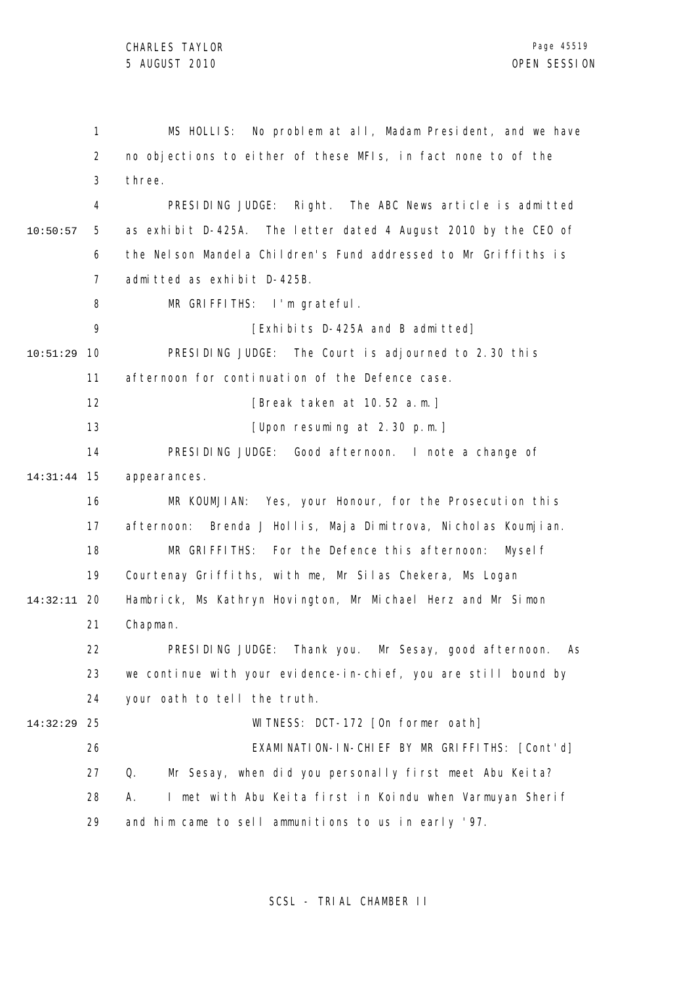1 2 3 4 5 6 7 8 9 10 10:51:29 11 12 13 14 15 14:31:44 16 17 18 19 20 14:32:11 21 22 23 24 25 14:32:29 26 27 28 29 10:50:57 MS HOLLIS: No problem at all, Madam President, and we have no objections to either of these MFIs, in fact none to of the three. PRESIDING JUDGE: Right. The ABC News article is admitted as exhibit D-425A. The letter dated 4 August 2010 by the CEO of the Nelson Mandela Children's Fund addressed to Mr Griffiths is admitted as exhibit D-425B. MR GRIFFITHS: I'm grateful. [Exhibits D-425A and B admitted] PRESIDING JUDGE: The Court is adjourned to 2.30 this afternoon for continuation of the Defence case. [Break taken at 10.52 a.m.] [Upon resuming at 2.30 p.m.] PRESIDING JUDGE: Good afternoon. I note a change of appearances. MR KOUMJIAN: Yes, your Honour, for the Prosecution this afternoon: Brenda J Hollis, Maja Dimitrova, Nicholas Koumjian. MR GRIFFITHS: For the Defence this afternoon: Myself Courtenay Griffiths, with me, Mr Silas Chekera, Ms Logan Hambrick, Ms Kathryn Hovington, Mr Michael Herz and Mr Simon Chapman. PRESIDING JUDGE: Thank you. Mr Sesay, good afternoon. As we continue with your evidence-in-chief, you are still bound by your oath to tell the truth. WITNESS: DCT-172 [On former oath] EXAMINATION-IN-CHIEF BY MR GRIFFITHS: [Cont'd] Q. Mr Sesay, when did you personally first meet Abu Keita? A. I met with Abu Keita first in Koindu when Varmuyan Sherif and him came to sell ammunitions to us in early '97.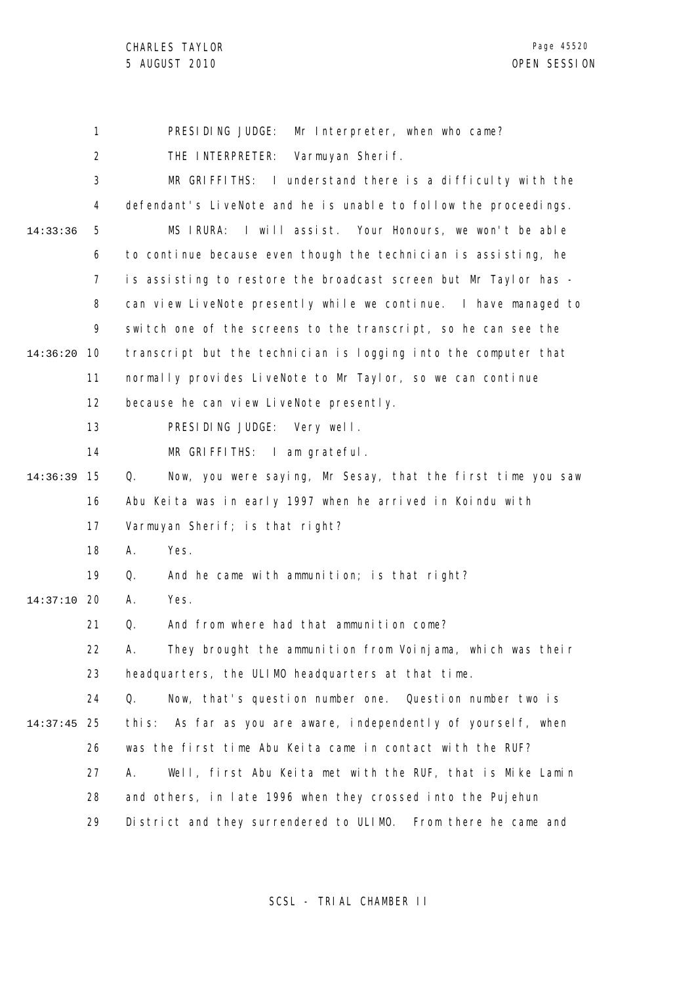1 2 3 4 5 6 7 8 9 10 14:36:20 11 12 13 14 15 14:36:39 16 17 18 19 20 14:37:10 21 22 23 24 25 14:37:45 26 27 28 29 14:33:36 PRESIDING JUDGE: Mr Interpreter, when who came? THE INTERPRETER: Varmuyan Sherif. MR GRIFFITHS: I understand there is a difficulty with the defendant's LiveNote and he is unable to follow the proceedings. MS IRURA: I will assist. Your Honours, we won't be able to continue because even though the technician is assisting, he is assisting to restore the broadcast screen but Mr Taylor has can view LiveNote presently while we continue. I have managed to switch one of the screens to the transcript, so he can see the transcript but the technician is logging into the computer that normally provides LiveNote to Mr Taylor, so we can continue because he can view LiveNote presently. PRESIDING JUDGE: Very well. MR GRIFFITHS: I am grateful. Q. Now, you were saying, Mr Sesay, that the first time you saw Abu Keita was in early 1997 when he arrived in Koindu with Varmuyan Sherif; is that right? A. Yes. Q. And he came with ammunition; is that right? A. Yes. Q. And from where had that ammunition come? A. They brought the ammunition from Voinjama, which was their headquarters, the ULIMO headquarters at that time. Q. Now, that's question number one. Question number two is this: As far as you are aware, independently of yourself, when was the first time Abu Keita came in contact with the RUF? A. Well, first Abu Keita met with the RUF, that is Mike Lamin and others, in late 1996 when they crossed into the Pujehun District and they surrendered to ULIMO. From there he came and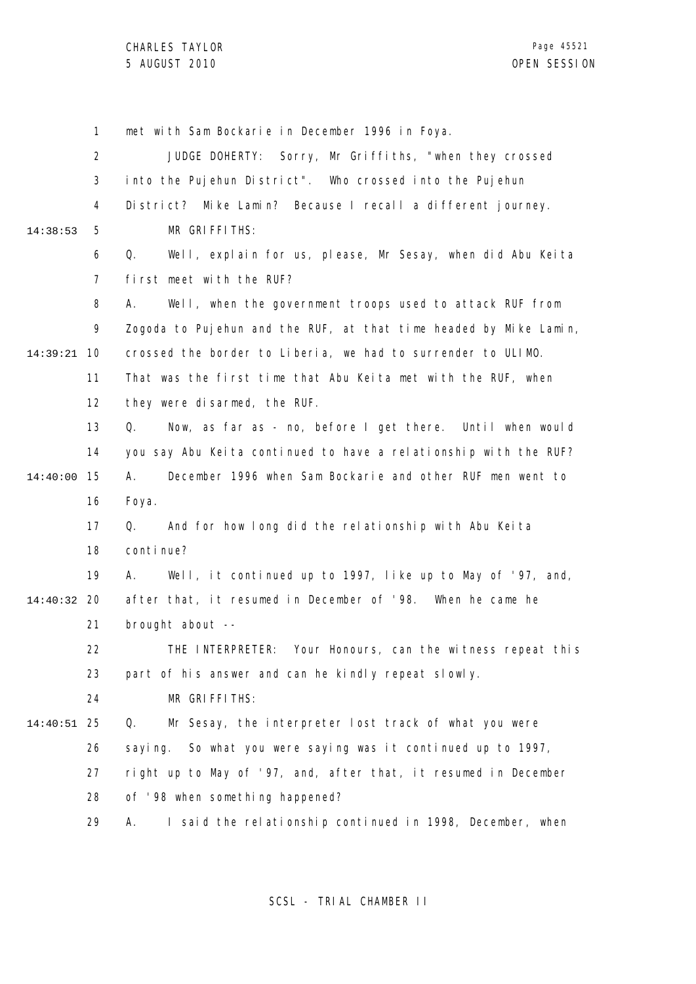1 2 3 4 5 6 7 8 9 10 14:39:21 11 12 13 14 15 14:40:00 16 17 18 19 20 14:40:32 21 22 23 24 25 14:40:51 26 27 28 29 14:38:53 met with Sam Bockarie in December 1996 in Foya. JUDGE DOHERTY: Sorry, Mr Griffiths, "when they crossed into the Pujehun District". Who crossed into the Pujehun District? Mike Lamin? Because I recall a different journey. MR GRIFFITHS: Q. Well, explain for us, please, Mr Sesay, when did Abu Keita first meet with the RUF? A. Well, when the government troops used to attack RUF from Zogoda to Pujehun and the RUF, at that time headed by Mike Lamin, crossed the border to Liberia, we had to surrender to ULIMO. That was the first time that Abu Keita met with the RUF, when they were disarmed, the RUF. Q. Now, as far as - no, before I get there. Until when would you say Abu Keita continued to have a relationship with the RUF? A. December 1996 when Sam Bockarie and other RUF men went to Foya. Q. And for how long did the relationship with Abu Keita continue? A. Well, it continued up to 1997, like up to May of '97, and, after that, it resumed in December of '98. When he came he brought about -- THE INTERPRETER: Your Honours, can the witness repeat this part of his answer and can he kindly repeat slowly. MR GRIFFITHS: Q. Mr Sesay, the interpreter lost track of what you were saying. So what you were saying was it continued up to 1997, right up to May of '97, and, after that, it resumed in December of '98 when something happened? A. I said the relationship continued in 1998, December, when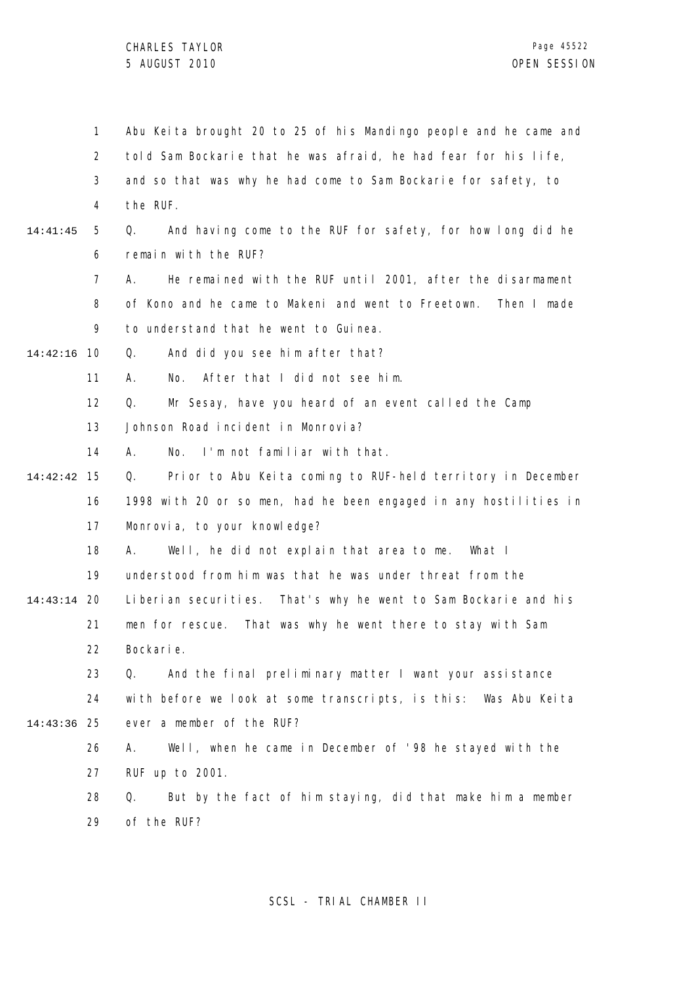1 2 3 4 5 6 7 8  $\mathsf{o}$ 10 14:42:16 11 12 13 14 15 14:42:42 16 17 18 19 20 14:43:14 21 22 23 24 25 14:43:36 26 27 28 29 14:41:45 Abu Keita brought 20 to 25 of his Mandingo people and he came and told Sam Bockarie that he was afraid, he had fear for his life, and so that was why he had come to Sam Bockarie for safety, to the RUF. Q. And having come to the RUF for safety, for how long did he remain with the RUF? A. He remained with the RUF until 2001, after the disarmament of Kono and he came to Makeni and went to Freetown. Then I made to understand that he went to Guinea. Q. And did you see him after that? A. No. After that I did not see him. Q. Mr Sesay, have you heard of an event called the Camp Johnson Road incident in Monrovia? A. No. I'm not familiar with that. Q. Prior to Abu Keita coming to RUF-held territory in December 1998 with 20 or so men, had he been engaged in any hostilities in Monrovia, to your knowledge? A. Well, he did not explain that area to me. What I understood from him was that he was under threat from the Liberian securities. That's why he went to Sam Bockarie and his men for rescue. That was why he went there to stay with Sam Bockarie. Q. And the final preliminary matter I want your assistance with before we look at some transcripts, is this: Was Abu Keita ever a member of the RUF? A. Well, when he came in December of '98 he stayed with the RUF up to 2001. Q. But by the fact of him staying, did that make him a member of the RUF?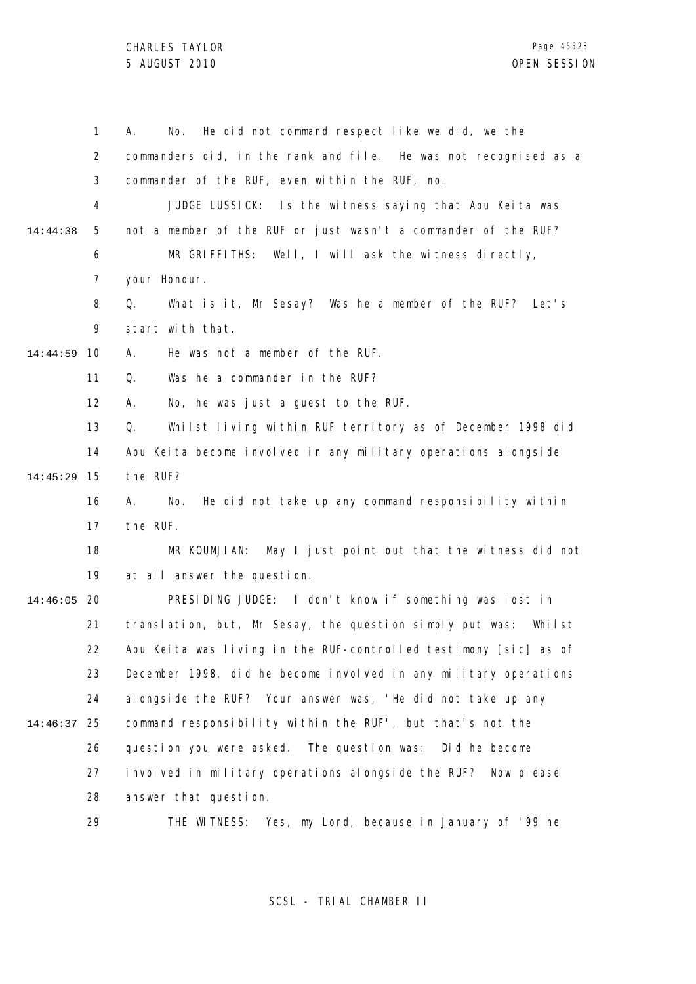|          | 1              | He did not command respect like we did, we the<br>А.<br>No.        |
|----------|----------------|--------------------------------------------------------------------|
|          | $\overline{2}$ | commanders did, in the rank and file. He was not recognised as a   |
|          | 3              | commander of the RUF, even within the RUF, no.                     |
|          | 4              | JUDGE LUSSICK: Is the witness saying that Abu Keita was            |
| 14:44:38 | 5              | not a member of the RUF or just wasn't a commander of the RUF?     |
|          | 6              | MR GRIFFITHS: Well, I will ask the witness directly,               |
|          | 7              | your Honour.                                                       |
|          | 8              | What is it, Mr Sesay? Was he a member of the RUF? Let's<br>Q.      |
|          | 9              | start with that.                                                   |
| 14:44:59 | 10             | He was not a member of the RUF.<br>А.                              |
|          | 11             | Was he a commander in the RUF?<br>Q.                               |
|          | 12             | No, he was just a guest to the RUF.<br>А.                          |
|          | 13             | Q.<br>Whilst living within RUF territory as of December 1998 did   |
|          | 14             | Abu Keita become involved in any military operations alongside     |
| 14:45:29 | 15             | the RUF?                                                           |
|          | 16             | He did not take up any command responsibility within<br>А.<br>No.  |
|          | 17             | the RUF.                                                           |
|          | 18             | MR KOUMJIAN: May I just point out that the witness did not         |
|          | 19             | at all answer the question.                                        |
| 14:46:05 | 20             | PRESIDING JUDGE: I don't know if something was lost in             |
|          | 21             | translation, but, Mr Sesay, the question simply put was:<br>Whilst |
|          | 22             | Abu Keita was living in the RUF-controlled testimony [sic] as of   |
|          | 23             | December 1998, did he become involved in any military operations   |
|          | 24             | al ongside the RUF? Your answer was, "He did not take up any       |
| 14:46:37 | 25             | command responsibility within the RUF", but that's not the         |
|          | 26             | question you were asked. The question was:<br>Did he become        |
|          | 27             | involved in military operations alongside the RUF? Now please      |
|          | 28             | answer that question.                                              |
|          | 29             | THE WITNESS: Yes, my Lord, because in January of '99 he            |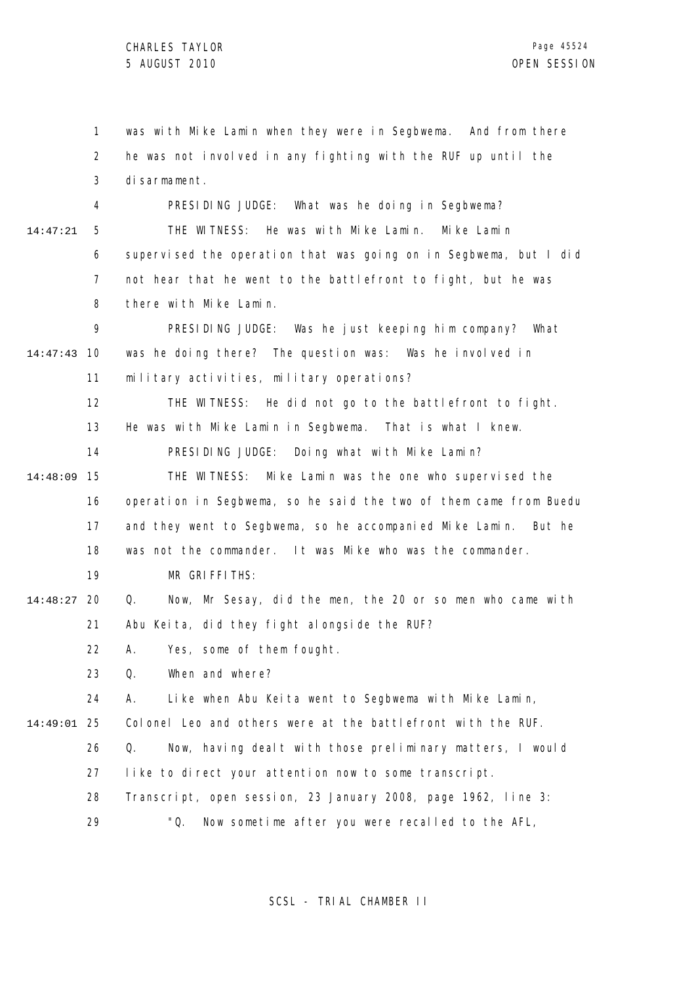|          | 1  | was with Mike Lamin when they were in Segbwema. And from there     |
|----------|----|--------------------------------------------------------------------|
|          | 2  | he was not involved in any fighting with the RUF up until the      |
|          | 3  | di sarmament.                                                      |
|          | 4  | PRESIDING JUDGE:<br>What was he doing in Segbwema?                 |
| 14:47:21 | 5  | THE WITNESS: He was with Mike Lamin. Mike Lamin                    |
|          | 6  | supervised the operation that was going on in Segbwema, but I did  |
|          | 7  | not hear that he went to the battlefront to fight, but he was      |
|          | 8  | there with Mike Lamin.                                             |
|          | 9  | PRESIDING JUDGE: Was he just keeping him company? What             |
| 14:47:43 | 10 | was he doing there? The question was: Was he involved in           |
|          | 11 | military activities, military operations?                          |
|          | 12 | THE WITNESS: He did not go to the battlefront to fight.            |
|          | 13 | He was with Mike Lamin in Segbwema. That is what I knew.           |
|          | 14 | PRESIDING JUDGE:<br>Doing what with Mike Lamin?                    |
| 14:48:09 | 15 | THE WITNESS: Mike Lamin was the one who supervised the             |
|          | 16 | operation in Segbwema, so he said the two of them came from Buedu  |
|          | 17 | and they went to Segbwema, so he accompanied Mike Lamin.<br>But he |
|          | 18 | was not the commander. It was Mike who was the commander.          |
|          | 19 | MR GRIFFITHS:                                                      |
| 14:48:27 | 20 | Now, Mr Sesay, did the men, the 20 or so men who came with<br>Q.   |
|          | 21 | Abu Keita, did they fight alongside the RUF?                       |
|          | 22 | Yes, some of them fought.<br>A.                                    |
|          | 23 | When and where?<br>Q.                                              |
|          | 24 | А.<br>Like when Abu Keita went to Segbwema with Mike Lamin,        |
| 14:49:01 | 25 | Colonel Leo and others were at the battlefront with the RUF.       |
|          | 26 | Q.<br>Now, having dealt with those preliminary matters, I would    |
|          | 27 | like to direct your attention now to some transcript.              |
|          | 28 | Transcript, open session, 23 January 2008, page 1962, line 3:      |
|          | 29 | "Q.<br>Now sometime after you were recalled to the AFL,            |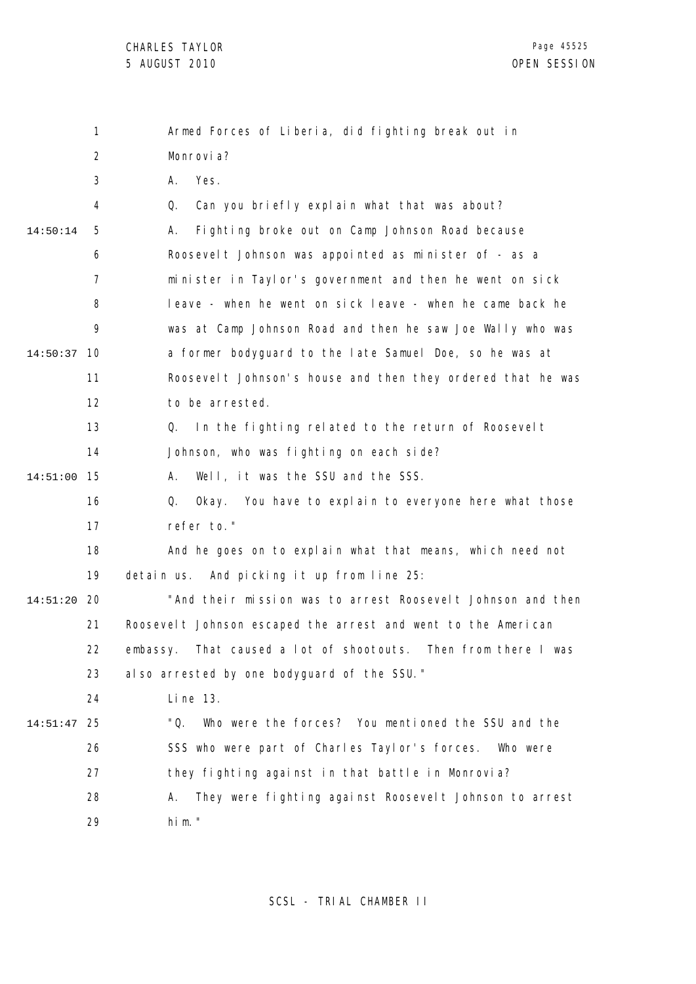|          | 1              | Armed Forces of Liberia, did fighting break out in             |
|----------|----------------|----------------------------------------------------------------|
|          | $\overline{2}$ | Monrovi a?                                                     |
|          | 3              | Yes.<br>А.                                                     |
|          | 4              | Can you briefly explain what that was about?<br>Q.             |
| 14:50:14 | 5              | Fighting broke out on Camp Johnson Road because<br>А.          |
|          | 6              | Roosevel t Johnson was appointed as minister of - as a         |
|          | 7              | minister in Taylor's government and then he went on sick       |
|          | 8              | leave - when he went on sick leave - when he came back he      |
|          | 9              | was at Camp Johnson Road and then he saw Joe Wally who was     |
| 14:50:37 | 10             | a former bodyguard to the late Samuel Doe, so he was at        |
|          | 11             | Roosevelt Johnson's house and then they ordered that he was    |
|          | 12             | to be arrested.                                                |
|          | 13             | In the fighting related to the return of Roosevelt<br>Q.       |
|          | 14             | Johnson, who was fighting on each side?                        |
| 14:51:00 | 15             | Well, it was the SSU and the SSS.<br>А.                        |
|          | 16             | Q.<br>Okay. You have to explain to everyone here what those    |
|          | 17             | refer to."                                                     |
|          | 18             | And he goes on to explain what that means, which need not      |
|          | 19             | And picking it up from line 25:<br>detain us.                  |
| 14:51:20 | 20             | "And their mission was to arrest Roosevelt Johnson and then    |
|          | 21             | Roosevelt Johnson escaped the arrest and went to the American  |
|          | 22             | embassy. That caused a lot of shootouts. Then from there I was |
|          | 23             | al so arrested by one bodyguard of the SSU."                   |
|          | 24             | Li ne 13.                                                      |
| 14:51:47 | 25             | "Q.<br>Who were the forces? You mentioned the SSU and the      |
|          | 26             | SSS who were part of Charles Taylor's forces.<br>Who were      |
|          | 27             | they fighting against in that battle in Monrovia?              |
|          | 28             | They were fighting against Roosevelt Johnson to arrest<br>А.   |
|          | 29             | him."                                                          |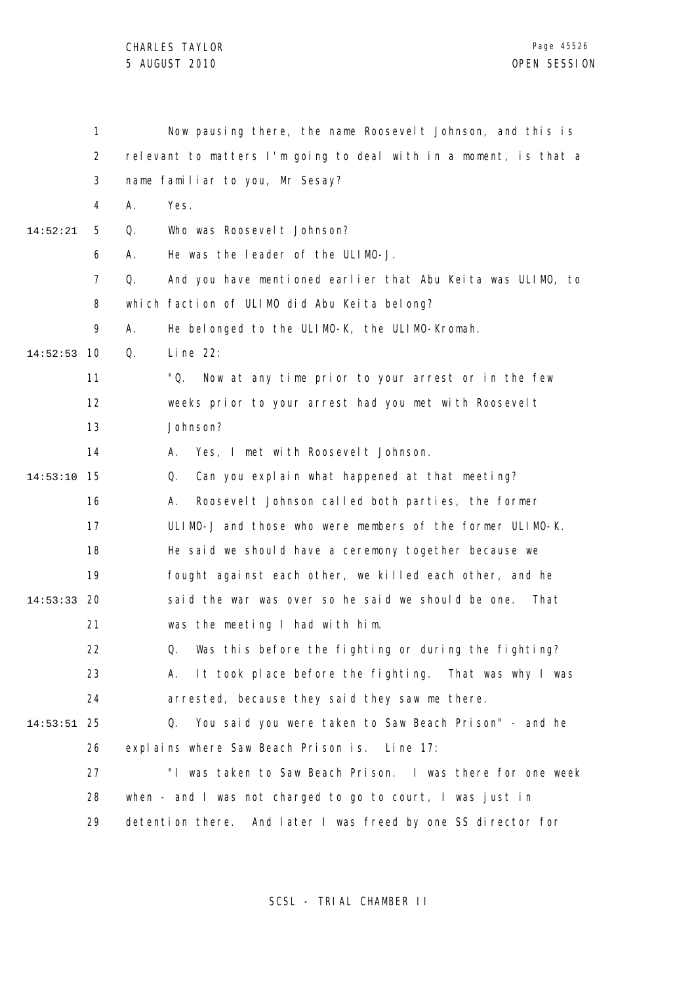|          | 1              | Now pausing there, the name Roosevelt Johnson, and this is        |
|----------|----------------|-------------------------------------------------------------------|
|          | 2              | relevant to matters I'm going to deal with in a moment, is that a |
|          | 3              | name familiar to you, Mr Sesay?                                   |
|          | 4              | Yes.<br>А.                                                        |
| 14:52:21 | 5              | Who was Roosevel t Johnson?<br>Q.                                 |
|          | 6              | He was the leader of the ULIMO-J.<br>А.                           |
|          | $\overline{7}$ | And you have mentioned earlier that Abu Keita was ULIMO, to<br>Q. |
|          | 8              | which faction of ULIMO did Abu Keita belong?                      |
|          | 9              | А.<br>He belonged to the ULIMO-K, the ULIMO-Kromah.               |
| 14:52:53 | 10             | Q.<br>Line $22$ :                                                 |
|          | 11             | "Q.<br>Now at any time prior to your arrest or in the few         |
|          | 12             | weeks prior to your arrest had you met with Roosevelt             |
|          | 13             | Johnson?                                                          |
|          | 14             | Yes, I met with Roosevelt Johnson.<br>А.                          |
| 14:53:10 | 15             | Can you explain what happened at that meeting?<br>Q.              |
|          | 16             | Roosevelt Johnson called both parties, the former<br>А.           |
|          | 17             | ULIMO-J and those who were members of the former ULIMO-K.         |
|          | 18             | He said we should have a ceremony together because we             |
|          | 19             | fought against each other, we killed each other, and he           |
| 14:53:33 | 20             | said the war was over so he said we should be one.<br>That        |
|          | 21             | was the meeting I had with him.                                   |
|          | 22             | Q. Was this before the fighting or during the fighting?           |
|          | 23             | It took place before the fighting. That was why I was<br>А.       |
|          | 24             | arrested, because they said they saw me there.                    |
| 14:53:51 | 25             | You said you were taken to Saw Beach Prison" - and he<br>Q.       |
|          | 26             | explains where Saw Beach Prison is. Line 17:                      |
|          | 27             | "I was taken to Saw Beach Prison. I was there for one week        |
|          | 28             | when - and I was not charged to go to court, I was just in        |
|          | 29             | detention there. And later I was freed by one SS director for     |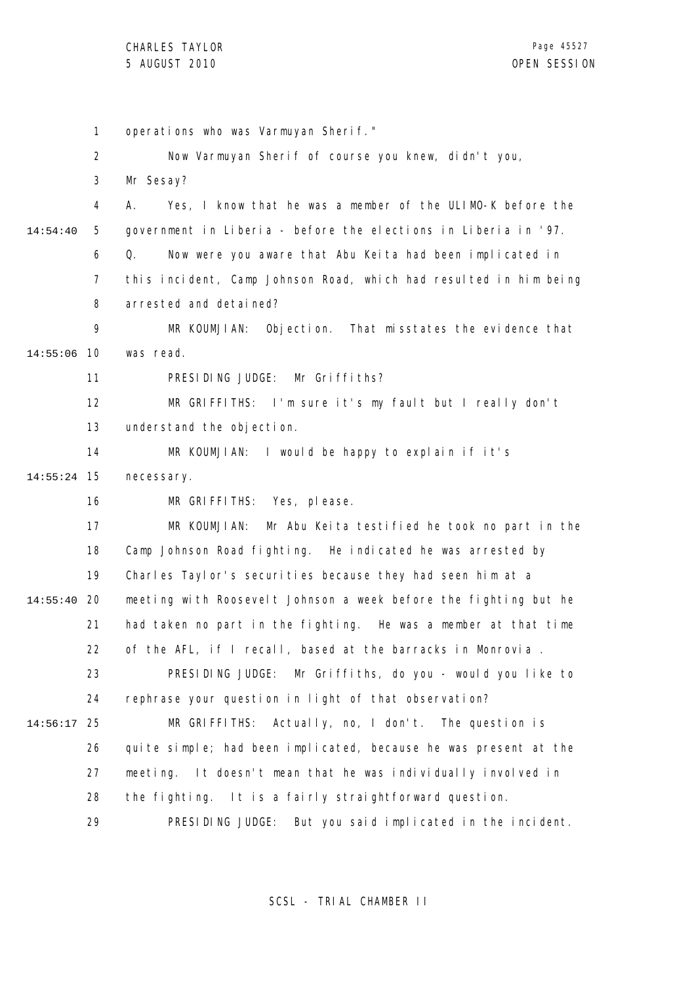1 2 3 4 5 6 7 8 9 14:55:06 10 11 12 13 14 15 14:55:24 16 17 18 19 20 14:55:40 21 22 23 24 25 14:56:17 26 27 28 29 14:54:40 operations who was Varmuyan Sherif." Now Varmuyan Sherif of course you knew, didn't you, Mr Sesay? A. Yes, I know that he was a member of the ULIMO-K before the government in Liberia - before the elections in Liberia in '97. Q. Now were you aware that Abu Keita had been implicated in this incident, Camp Johnson Road, which had resulted in him being arrested and detained? MR KOUMJIAN: Objection. That misstates the evidence that was read. PRESIDING JUDGE: Mr Griffiths? MR GRIFFITHS: I'm sure it's my fault but I really don't understand the objection. MR KOUMJIAN: I would be happy to explain if it's necessary. MR GRIFFITHS: Yes, please. MR KOUMJIAN: Mr Abu Keita testified he took no part in the Camp Johnson Road fighting. He indicated he was arrested by Charles Taylor's securities because they had seen him at a meeting with Roosevelt Johnson a week before the fighting but he had taken no part in the fighting. He was a member at that time of the AFL, if I recall, based at the barracks in Monrovia . PRESIDING JUDGE: Mr Griffiths, do you - would you like to rephrase your question in light of that observation? MR GRIFFITHS: Actually, no, I don't. The question is quite simple; had been implicated, because he was present at the meeting. It doesn't mean that he was individually involved in the fighting. It is a fairly straightforward question. PRESIDING JUDGE: But you said implicated in the incident.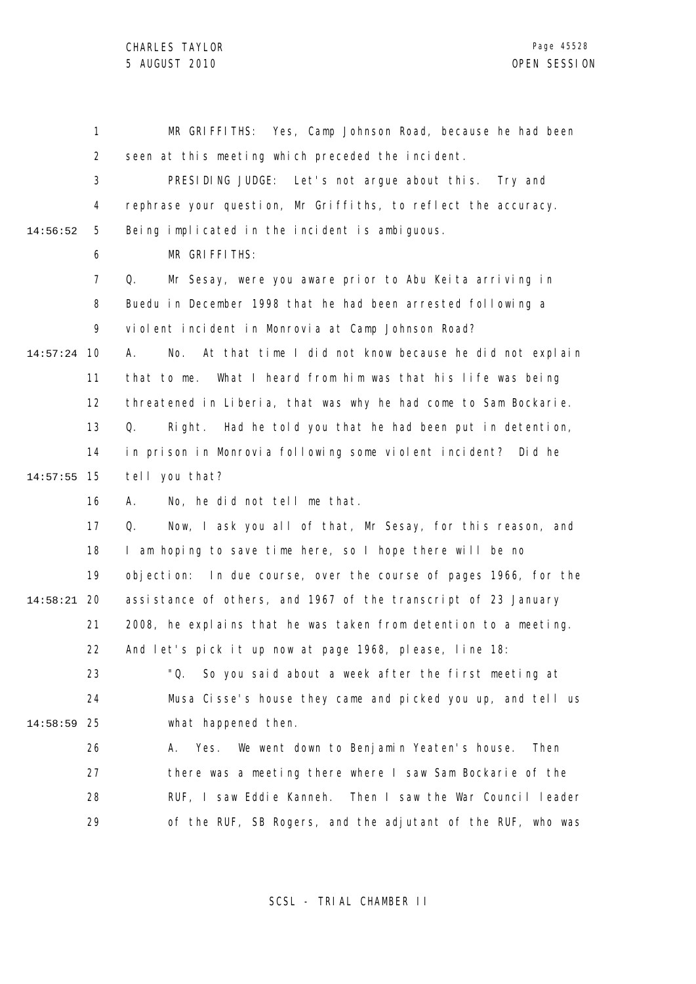|          | 1              | MR GRIFFITHS: Yes, Camp Johnson Road, because he had been           |
|----------|----------------|---------------------------------------------------------------------|
|          | 2              | seen at this meeting which preceded the incident.                   |
|          | 3              | PRESIDING JUDGE: Let's not argue about this. Try and                |
|          | 4              | rephrase your question, Mr Griffiths, to reflect the accuracy.      |
| 14:56:52 | 5              | Being implicated in the incident is ambiguous.                      |
|          | 6              | MR GRIFFITHS:                                                       |
|          | $\overline{7}$ | Q.<br>Mr Sesay, were you aware prior to Abu Keita arriving in       |
|          | 8              | Buedu in December 1998 that he had been arrested following a        |
|          | 9              | violent incident in Monrovia at Camp Johnson Road?                  |
| 14:57:24 | 10             | At that time I did not know because he did not explain<br>No.<br>А. |
|          | 11             | What I heard from him was that his life was being<br>that to me.    |
|          | 12             | threatened in Liberia, that was why he had come to Sam Bockarie.    |
|          | 13             | Right. Had he told you that he had been put in detention,<br>Q.     |
|          | 14             | in prison in Monrovia following some violent incident? Did he       |
| 14:57:55 | 15             | tell you that?                                                      |
|          | 16             | No, he did not tell me that.<br>А.                                  |
|          | 17             | Now, I ask you all of that, Mr Sesay, for this reason, and<br>Q.    |
|          | 18             | I am hoping to save time here, so I hope there will be no           |
|          | 19             | In due course, over the course of pages 1966, for the<br>objection: |
| 14:58:21 | 20             | assistance of others, and 1967 of the transcript of 23 January      |
|          | 21             | 2008, he explains that he was taken from detention to a meeting.    |
|          | 22             | And let's pick it up now at page 1968, please, line 18:             |
|          | 23             | "Q.<br>So you said about a week after the first meeting at          |
|          | 24             | Musa Cisse's house they came and picked you up, and tell us         |
| 14:58:59 | 25             | what happened then.                                                 |
|          | 26             | We went down to Benjamin Yeaten's house.<br>Then<br>Yes.<br>А.      |
|          | 27             | there was a meeting there where I saw Sam Bockarie of the           |
|          | 28             | Then I saw the War Council leader<br>RUF, I saw Eddie Kanneh.       |
|          | 29             | of the RUF, SB Rogers, and the adjutant of the RUF, who was         |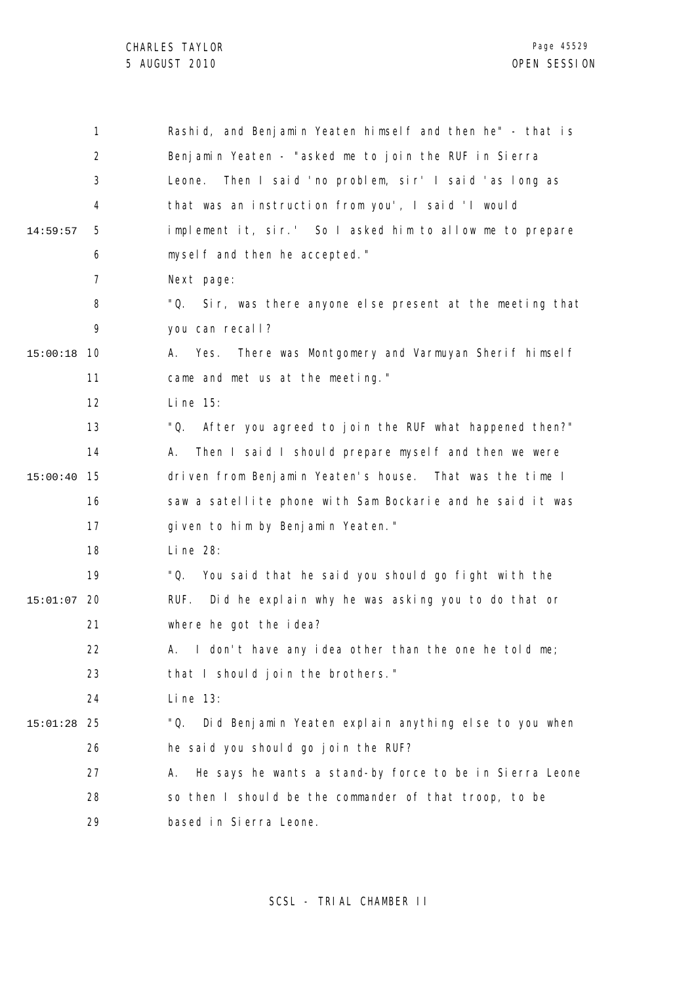|          | 1              | Rashid, and Benjamin Yeaten himself and then he" - that is     |
|----------|----------------|----------------------------------------------------------------|
|          | $\overline{2}$ | Benjamin Yeaten - "asked me to join the RUF in Sierra          |
|          | 3              | Then I said 'no problem, sir' I said 'as long as<br>Leone.     |
|          | 4              | that was an instruction from you', I said 'I would             |
| 14:59:57 | 5              | implement it, sir.' So I asked him to allow me to prepare      |
|          | 6              | myself and then he accepted."                                  |
|          | 7              | Next page:                                                     |
|          | 8              | "Q. Sir, was there anyone else present at the meeting that     |
|          | 9              | you can recall?                                                |
| 15:00:18 | 10             | There was Montgomery and Varmuyan Sherif himself<br>Yes.<br>A. |
|          | 11             | came and met us at the meeting."                               |
|          | 12             | Li ne 15:                                                      |
|          | 13             | "Q.<br>After you agreed to join the RUF what happened then?"   |
|          | 14             | Then I said I should prepare myself and then we were<br>А.     |
| 15:00:40 | 15             | driven from Benjamin Yeaten's house. That was the time I       |
|          | 16             | saw a satellite phone with Sam Bockarie and he said it was     |
|          | 17             | given to him by Benjamin Yeaten."                              |
|          | 18             | Li ne 28:                                                      |
|          | 19             | "Q.<br>You said that he said you should go fight with the      |
| 15:01:07 | 20             | Did he explain why he was asking you to do that or<br>RUF.     |
|          | 21             | where he got the idea?                                         |
|          | 22             | A. I don't have any idea other than the one he told me;        |
|          | 23             | that I should join the brothers."                              |
|          | 24             | Li ne 13:                                                      |
| 15:01:28 | 25             | Did Benjamin Yeaten explain anything else to you when<br>"Q.   |
|          | 26             | he said you should go join the RUF?                            |
|          | 27             | He says he wants a stand-by force to be in Sierra Leone<br>А.  |
|          | 28             | so then I should be the commander of that troop, to be         |
|          | 29             | based in Sierra Leone.                                         |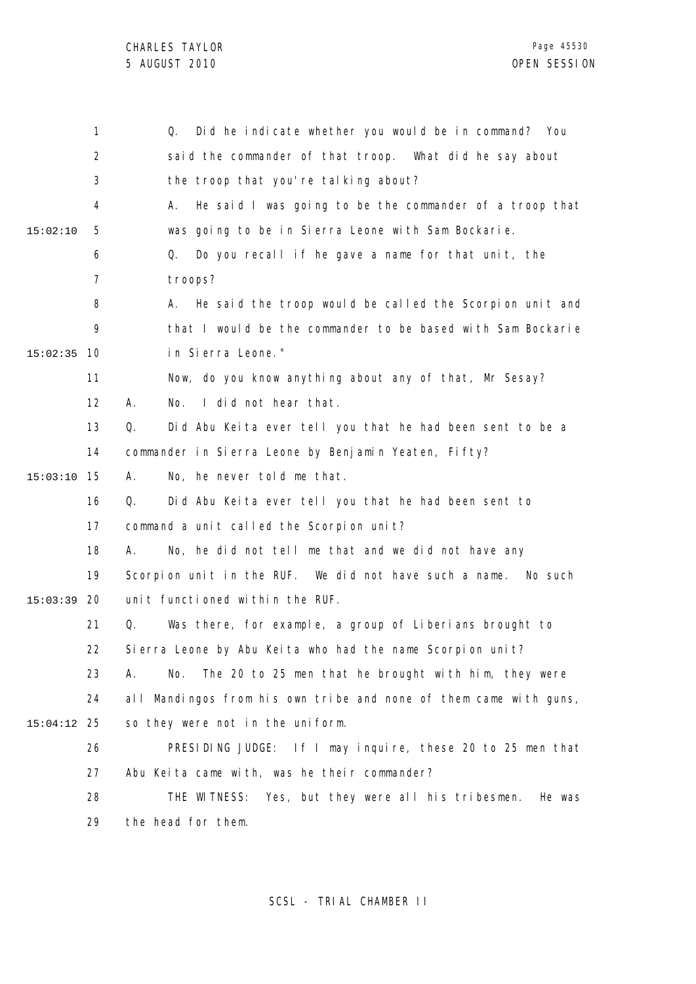1 2 3 4 5 6 7 8  $\mathsf{o}$ 10 15:02:35 11 12 13 14 15 15:03:10 16 17 18 19 20 15:03:39 21 22 23 24 25 15:04:12 26 27 28 29 15:02:10 Q. Did he indicate whether you would be in command? You said the commander of that troop. What did he say about the troop that you're talking about? A. He said I was going to be the commander of a troop that was going to be in Sierra Leone with Sam Bockarie. Q. Do you recall if he gave a name for that unit, the troops? A. He said the troop would be called the Scorpion unit and that I would be the commander to be based with Sam Bockarie in Sierra Leone." Now, do you know anything about any of that, Mr Sesay? A. No. I did not hear that. Q. Did Abu Keita ever tell you that he had been sent to be a commander in Sierra Leone by Benjamin Yeaten, Fifty? A. No, he never told me that. Q. Did Abu Keita ever tell you that he had been sent to command a unit called the Scorpion unit? A. No, he did not tell me that and we did not have any Scorpion unit in the RUF. We did not have such a name. No such unit functioned within the RUF. Q. Was there, for example, a group of Liberians brought to Sierra Leone by Abu Keita who had the name Scorpion unit? A. No. The 20 to 25 men that he brought with him, they were all Mandingos from his own tribe and none of them came with guns, so they were not in the uniform. PRESIDING JUDGE: If I may inquire, these 20 to 25 men that Abu Keita came with, was he their commander? THE WITNESS: Yes, but they were all his tribesmen. He was the head for them.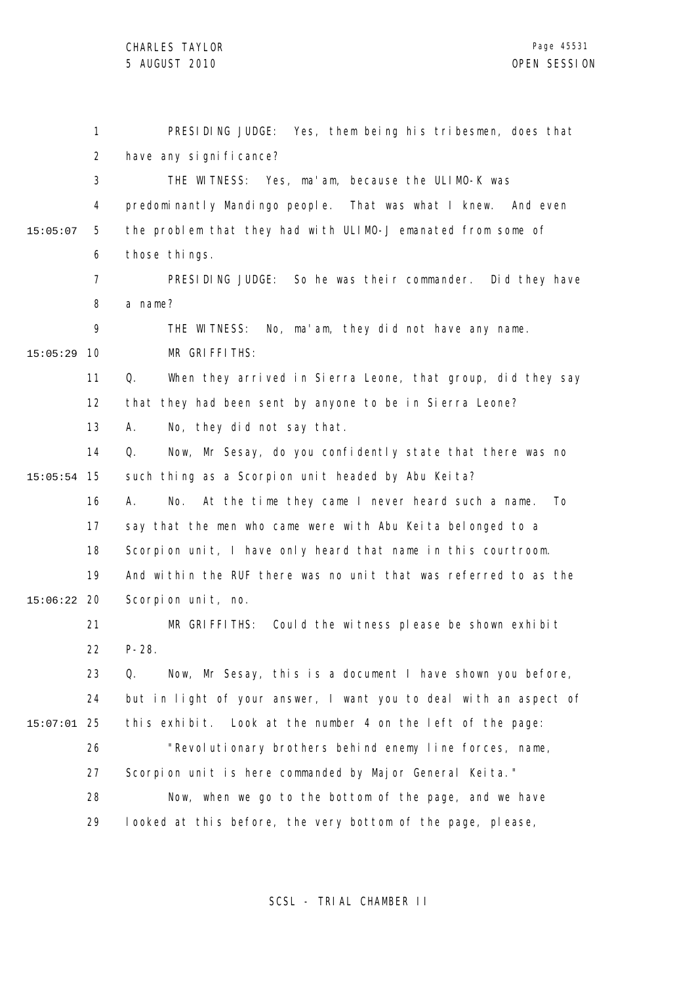CHARLES TAYLOR

|          | 1              | PRESIDING JUDGE: Yes, them being his tribesmen, does that           |
|----------|----------------|---------------------------------------------------------------------|
|          | $\overline{2}$ | have any significance?                                              |
|          | 3              | THE WITNESS: Yes, ma'am, because the ULIMO-K was                    |
|          | 4              | predominantly Mandingo people. That was what I knew.<br>And even    |
| 15:05:07 | 5              | the problem that they had with ULIMO-J emanated from some of        |
|          | 6              | those things.                                                       |
|          | $\overline{7}$ | PRESIDING JUDGE: So he was their commander. Did they have           |
|          | 8              | a name?                                                             |
|          | 9              | THE WITNESS: No, ma'am, they did not have any name.                 |
| 15:05:29 | 10             | MR GRIFFITHS:                                                       |
|          | 11             | When they arrived in Sierra Leone, that group, did they say<br>Q.   |
|          | 12             | that they had been sent by anyone to be in Sierra Leone?            |
|          | 13             | No, they did not say that.<br>А.                                    |
|          | 14             | Q.<br>Now, Mr Sesay, do you confidently state that there was no     |
| 15:05:54 | 15             | such thing as a Scorpion unit headed by Abu Keita?                  |
|          | 16             | At the time they came I never heard such a name.<br>No.<br>To<br>А. |
|          | 17             | say that the men who came were with Abu Keita belonged to a         |
|          | 18             | Scorpion unit, I have only heard that name in this courtroom.       |
|          | 19             | And within the RUF there was no unit that was referred to as the    |
| 15:06:22 | -20            | Scorpion unit, no.                                                  |
|          | 21             | MR GRIFFITHS: Could the witness please be shown exhibit             |
|          | 22.            | $P - 28.$                                                           |
|          | 23             | Q.<br>Now, Mr Sesay, this is a document I have shown you before,    |
|          | 24             | but in light of your answer, I want you to deal with an aspect of   |
| 15:07:01 | 25             | this exhibit. Look at the number 4 on the left of the page:         |
|          | 26             | "Revolutionary brothers behind enemy line forces, name,             |
|          | 27             | Scorpion unit is here commanded by Major General Keita."            |
|          | 28             | Now, when we go to the bottom of the page, and we have              |
|          | 29             | looked at this before, the very bottom of the page, please,         |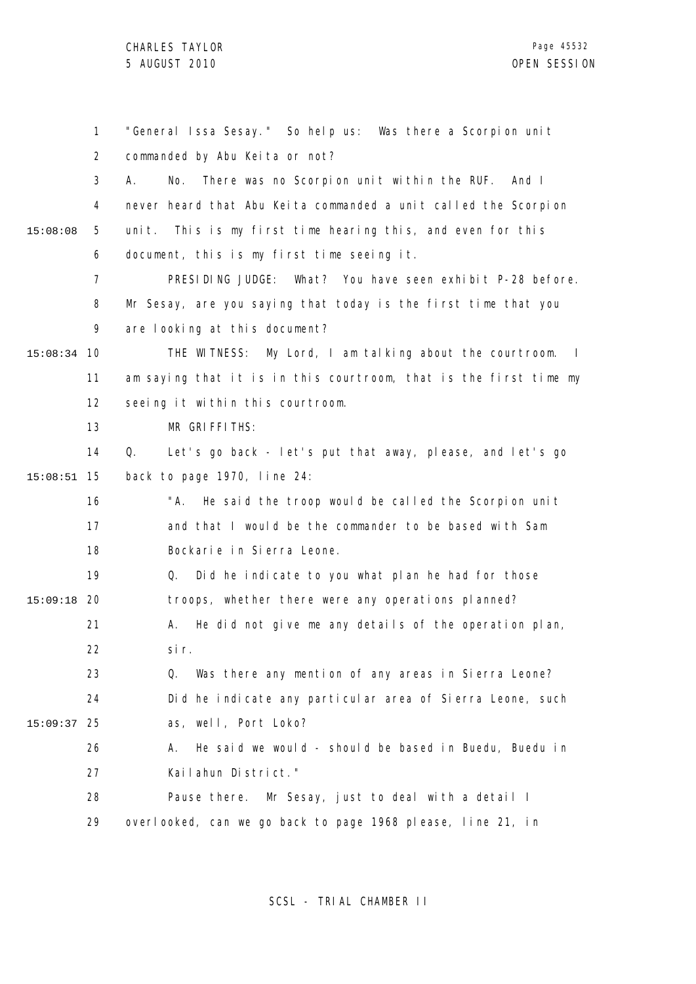1 2 3 4 5 6 7 8 9 10 15:08:34 11 12 13 14 15 15:08:51 16 17 18 19 20 15:09:18 21 22 23 24 25 15:09:37 26 27 28 29 15:08:08 "General Issa Sesay." So help us: Was there a Scorpion unit commanded by Abu Keita or not? A. No. There was no Scorpion unit within the RUF. And I never heard that Abu Keita commanded a unit called the Scorpion unit. This is my first time hearing this, and even for this document, this is my first time seeing it. PRESIDING JUDGE: What? You have seen exhibit P-28 before. Mr Sesay, are you saying that today is the first time that you are looking at this document? THE WITNESS: My Lord, I am talking about the courtroom. I am saying that it is in this courtroom, that is the first time my seeing it within this courtroom. MR GRIFFITHS: Q. Let's go back - let's put that away, please, and let's go back to page 1970, line 24: "A. He said the troop would be called the Scorpion unit and that I would be the commander to be based with Sam Bockarie in Sierra Leone. Q. Did he indicate to you what plan he had for those troops, whether there were any operations planned? A. He did not give me any details of the operation plan, sir. Q. Was there any mention of any areas in Sierra Leone? Did he indicate any particular area of Sierra Leone, such as, well, Port Loko? A. He said we would - should be based in Buedu, Buedu in Kailahun District." Pause there. Mr Sesay, just to deal with a detail I overlooked, can we go back to page 1968 please, line 21, in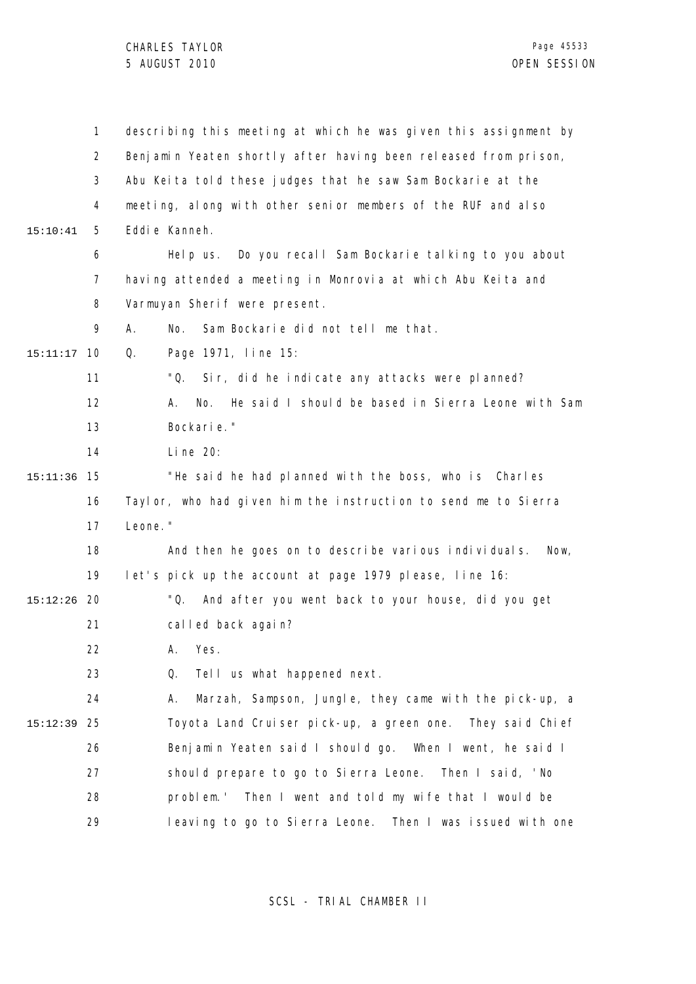1 2 3 4 5 6 7 8 9 10 15:11:17 11 12 13 14 15 15:11:36 16 17 18 19 20 15:12:26 21 22 23 24 25 15:12:39 26 27 28 29 15:10:41 describing this meeting at which he was given this assignment by Benjamin Yeaten shortly after having been released from prison, Abu Keita told these judges that he saw Sam Bockarie at the meeting, along with other senior members of the RUF and also Eddie Kanneh. Help us. Do you recall Sam Bockarie talking to you about having attended a meeting in Monrovia at which Abu Keita and Varmuyan Sherif were present. A. No. Sam Bockarie did not tell me that. Q. Page 1971, line 15: "Q. Sir, did he indicate any attacks were planned? A. No. He said I should be based in Sierra Leone with Sam Bockarie." Line 20: "He said he had planned with the boss, who is Charles Taylor, who had given him the instruction to send me to Sierra Leone." And then he goes on to describe various individuals. Now, let's pick up the account at page 1979 please, line 16: "Q. And after you went back to your house, did you get called back again? A. Yes. Q. Tell us what happened next. A. Marzah, Sampson, Jungle, they came with the pick-up, a Toyota Land Cruiser pick-up, a green one. They said Chief Benjamin Yeaten said I should go. When I went, he said I should prepare to go to Sierra Leone. Then I said, 'No problem.' Then I went and told my wife that I would be leaving to go to Sierra Leone. Then I was issued with one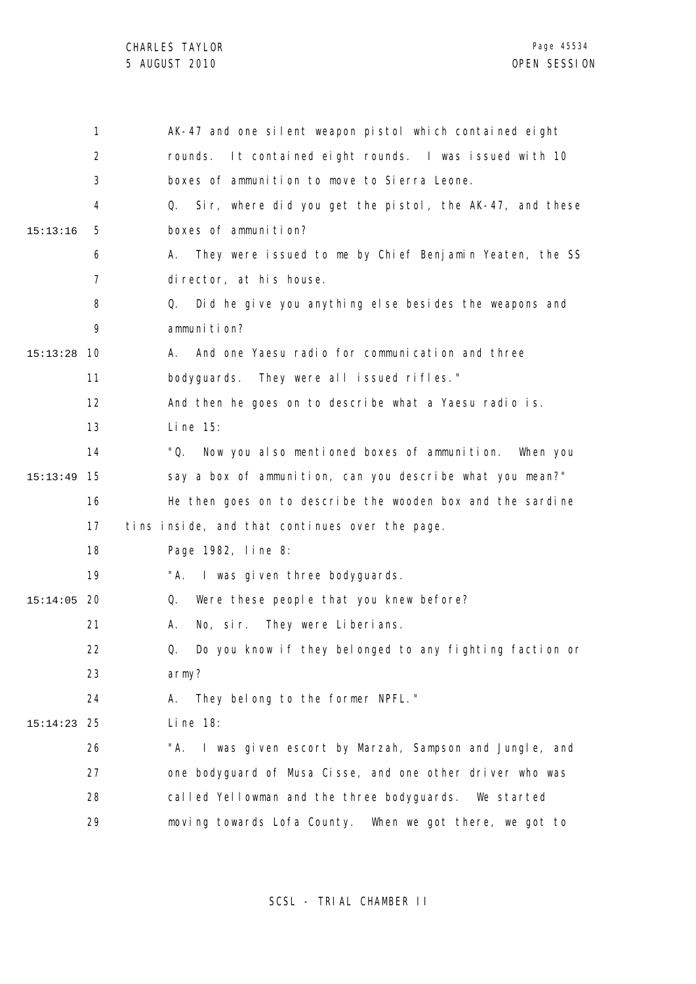|          | 1    | AK-47 and one silent weapon pistol which contained eight      |
|----------|------|---------------------------------------------------------------|
|          | 2    | It contained eight rounds. I was issued with 10<br>rounds.    |
|          | 3    | boxes of ammunition to move to Sierra Leone.                  |
|          | 4    | Sir, where did you get the pistol, the AK-47, and these<br>Q. |
| 15:13:16 | 5    | boxes of ammunition?                                          |
|          | 6    | They were issued to me by Chief Benjamin Yeaten, the SS<br>А. |
|          | 7    | director, at his house.                                       |
|          | 8    | Did he give you anything else besides the weapons and<br>Q.   |
|          | 9    | ammuni ti on?                                                 |
| 15:13:28 | -10  | And one Yaesu radio for communication and three<br>А.         |
|          | 11   | bodyguards. They were all issued rifles."                     |
|          | 12   | And then he goes on to describe what a Yaesu radio is.        |
|          | 13   | Li ne 15:                                                     |
|          | 14   | "Q.<br>Now you also mentioned boxes of ammunition. When you   |
| 15:13:49 | 15   | say a box of ammunition, can you describe what you mean?"     |
|          | 16   | He then goes on to describe the wooden box and the sardine    |
|          | 17   | tins inside, and that continues over the page.                |
|          | 18   | Page 1982, line 8:                                            |
|          | 19   | "A. I was given three bodyguards.                             |
| 15:14:05 | - 20 | Were these people that you knew before?<br>Q.                 |
|          | 21   | No, sir. They were Liberians.<br>А.                           |
|          | 22   | Do you know if they belonged to any fighting faction or<br>Q. |
|          | 23   | army?                                                         |
|          | 24   | A. They belong to the former NPFL."                           |
| 15:14:23 | 25   | Line $18$ :                                                   |
|          | 26   | "A. I was given escort by Marzah, Sampson and Jungle, and     |
|          | 27   | one bodyguard of Musa Cisse, and one other driver who was     |
|          | 28   | called Yellowman and the three bodyguards. We started         |
|          | 29   | moving towards Lofa County. When we got there, we got to      |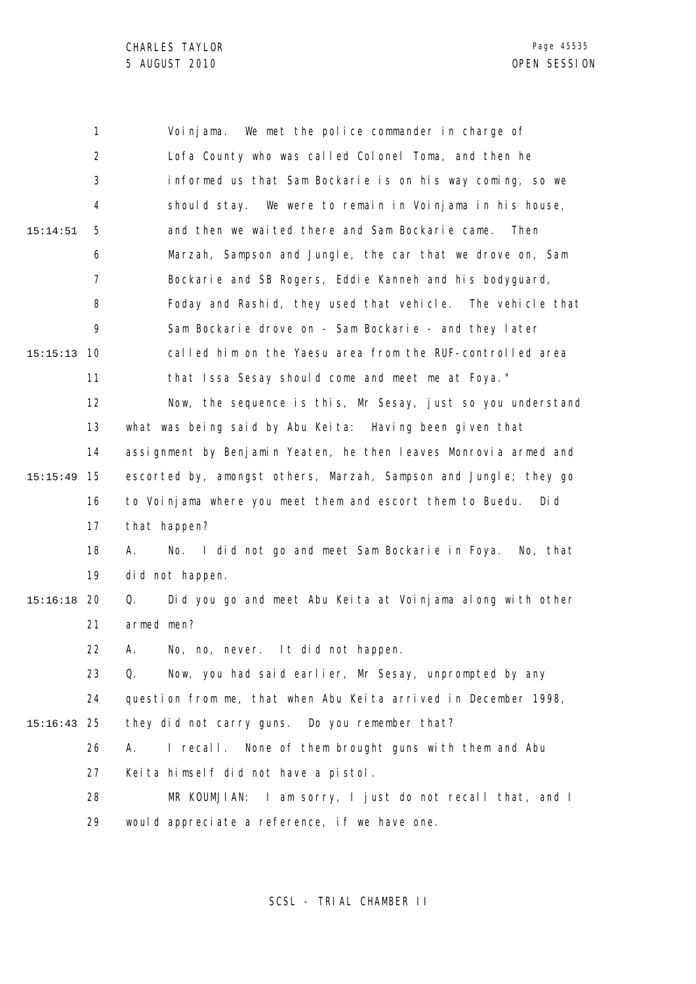1 2 3 4 5 6 7 8 9 10 15:15:13 11 12 13 14 15 15:15:49 16 17 18 19 20 15:16:18 21 22 23 24 25 15:16:43 26 27 28 29 15:14:51 Voinjama. We met the police commander in charge of Lofa County who was called Colonel Toma, and then he informed us that Sam Bockarie is on his way coming, so we should stay. We were to remain in Voinjama in his house, and then we waited there and Sam Bockarie came. Then Marzah, Sampson and Jungle, the car that we drove on, Sam Bockarie and SB Rogers, Eddie Kanneh and his bodyguard, Foday and Rashid, they used that vehicle. The vehicle that Sam Bockarie drove on - Sam Bockarie - and they later called him on the Yaesu area from the RUF-controlled area that Issa Sesay should come and meet me at Foya." Now, the sequence is this, Mr Sesay, just so you understand what was being said by Abu Keita: Having been given that assignment by Benjamin Yeaten, he then leaves Monrovia armed and escorted by, amongst others, Marzah, Sampson and Jungle; they go to Voinjama where you meet them and escort them to Buedu. Did that happen? A. No. I did not go and meet Sam Bockarie in Foya. No, that did not happen. Q. Did you go and meet Abu Keita at Voinjama along with other armed men? A. No, no, never. It did not happen. Q. Now, you had said earlier, Mr Sesay, unprompted by any question from me, that when Abu Keita arrived in December 1998, they did not carry guns. Do you remember that? A. I recall. None of them brought guns with them and Abu Keita himself did not have a pistol. MR KOUMJIAN: I am sorry, I just do not recall that, and I would appreciate a reference, if we have one.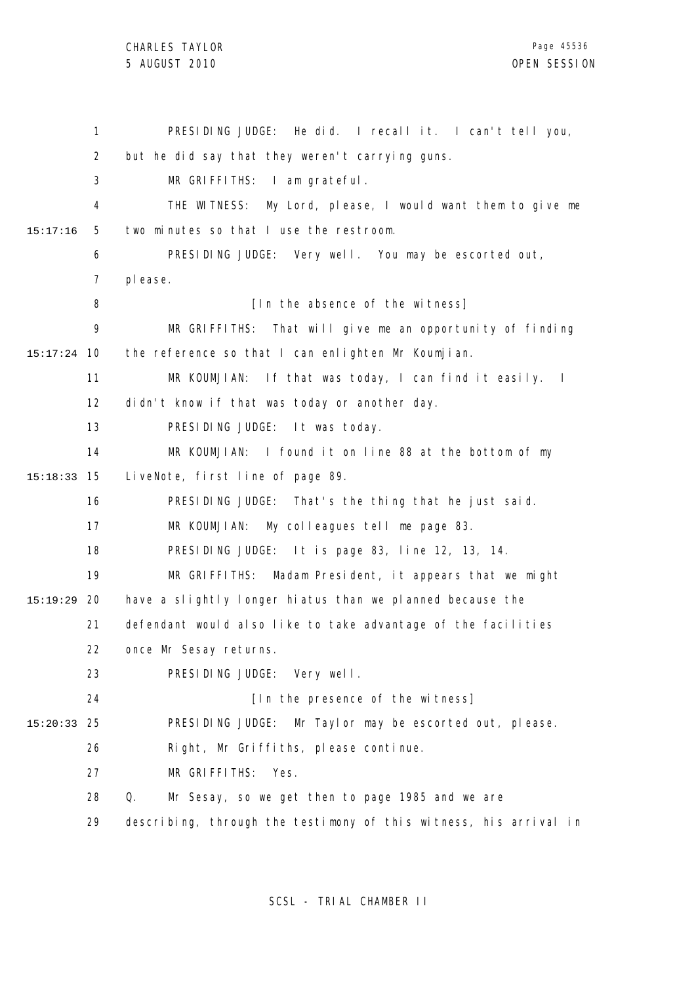1 2 3 4 5 6 7 8 9 10 15:17:24 11 12 13 14 15 15:18:33 16 17 18 19 20 15:19:29 21 22 23 24 25 15:20:33 26 27 28 29 15:17:16 PRESIDING JUDGE: He did. I recall it. I can't tell you, but he did say that they weren't carrying guns. MR GRIFFITHS: I am grateful. THE WITNESS: My Lord, please, I would want them to give me two minutes so that I use the restroom. PRESIDING JUDGE: Very well. You may be escorted out, please. [In the absence of the witness] MR GRIFFITHS: That will give me an opportunity of finding the reference so that I can enlighten Mr Koumjian. MR KOUMJIAN: If that was today, I can find it easily. I didn't know if that was today or another day. PRESIDING JUDGE: It was today. MR KOUMJIAN: I found it on line 88 at the bottom of my LiveNote, first line of page 89. PRESIDING JUDGE: That's the thing that he just said. MR KOUMJIAN: My colleagues tell me page 83. PRESIDING JUDGE: It is page 83, line 12, 13, 14. MR GRIFFITHS: Madam President, it appears that we might have a slightly longer hiatus than we planned because the defendant would also like to take advantage of the facilities once Mr Sesay returns. PRESIDING JUDGE: Very well. [In the presence of the witness] PRESIDING JUDGE: Mr Taylor may be escorted out, please. Right, Mr Griffiths, please continue. MR GRIFFITHS: Yes. Q. Mr Sesay, so we get then to page 1985 and we are describing, through the testimony of this witness, his arrival in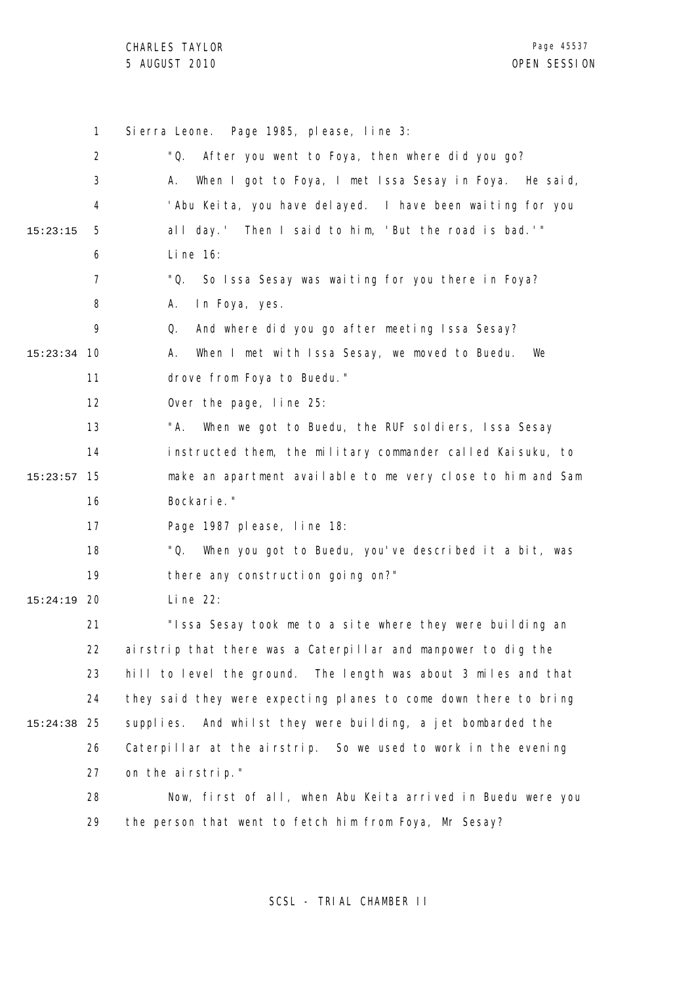1 2 3 4 5 6 7 8 9 10 15:23:34 11 12 13 14 15 15:23:57 16 17 18 19 20 15:24:19 21 22 23 24 25 15:24:38 26 27 28 29 15:23:15 Sierra Leone. Page 1985, please, line 3: "Q. After you went to Foya, then where did you go? A. When I got to Foya, I met Issa Sesay in Foya. He said, 'Abu Keita, you have delayed. I have been waiting for you all day.' Then I said to him, 'But the road is bad.'" Line 16: "Q. So Issa Sesay was waiting for you there in Foya? A. In Foya, yes. Q. And where did you go after meeting Issa Sesay? A. When I met with Issa Sesay, we moved to Buedu. We drove from Foya to Buedu." Over the page, line 25: "A. When we got to Buedu, the RUF soldiers, Issa Sesay instructed them, the military commander called Kaisuku, to make an apartment available to me very close to him and Sam Bockarie." Page 1987 please, line 18: "Q. When you got to Buedu, you've described it a bit, was there any construction going on?" Line 22: "Issa Sesay took me to a site where they were building an airstrip that there was a Caterpillar and manpower to dig the hill to level the ground. The length was about 3 miles and that they said they were expecting planes to come down there to bring supplies. And whilst they were building, a jet bombarded the Caterpillar at the airstrip. So we used to work in the evening on the airstrip." Now, first of all, when Abu Keita arrived in Buedu were you the person that went to fetch him from Foya, Mr Sesay?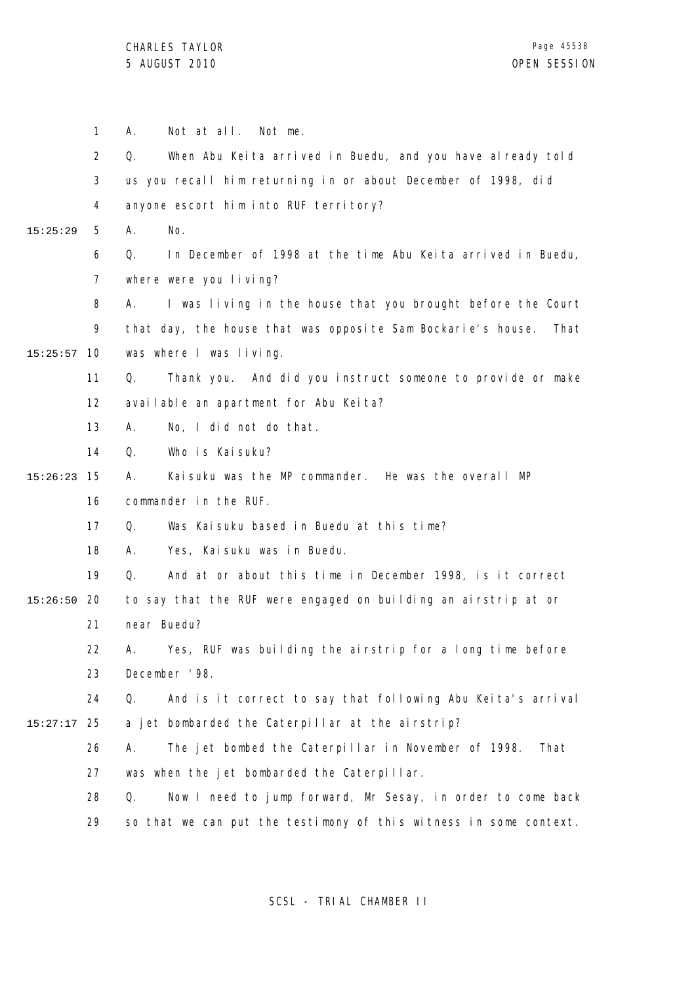|          | $\mathbf{1}$      | Not at all. Not me.<br>Α.                                           |
|----------|-------------------|---------------------------------------------------------------------|
|          | $\overline{2}$    | When Abu Keita arrived in Buedu, and you have already told<br>Q.    |
|          | 3                 | us you recall him returning in or about December of 1998, did       |
|          | 4                 | anyone escort him into RUF territory?                               |
| 15:25:29 | 5                 | А.<br>No.                                                           |
|          | 6                 | In December of 1998 at the time Abu Keita arrived in Buedu,<br>Q.   |
|          | $\overline{7}$    | where were you living?                                              |
|          | 8                 | I was living in the house that you brought before the Court<br>А.   |
|          | 9                 | that day, the house that was opposite Sam Bockarie's house.<br>That |
| 15:25:57 | 10                | was where I was living.                                             |
|          | 11                | Thank you. And did you instruct someone to provide or make<br>Q.    |
|          | $12 \overline{ }$ | available an apartment for Abu Keita?                               |
|          | 13                | No, I did not do that.<br>А.                                        |
|          | 14                | Who is Kaisuku?<br>Q.                                               |
| 15:26:23 | 15                | Kaisuku was the MP commander. He was the overall MP<br>А.           |
|          | 16                | commander in the RUF.                                               |
|          | 17                | Was Kaisuku based in Buedu at this time?<br>Q.                      |
|          | 18                | Yes, Kai suku was in Buedu.<br>А.                                   |
|          | 19                | And at or about this time in December 1998, is it correct<br>Q.     |
| 15:26:50 | 20                | to say that the RUF were engaged on building an airstrip at or      |
|          | 21                | near Buedu?                                                         |
|          | 22.               | A. Yes, RUF was building the airstrip for a long time before        |
|          | 23                | December '98.                                                       |
|          | 24                | And is it correct to say that following Abu Keita's arrival<br>Q.   |
| 15:27:17 | 25                | a jet bombarded the Caterpillar at the airstrip?                    |
|          | 26                | The jet bombed the Caterpillar in November of 1998.<br>А.<br>That   |
|          | 27                | was when the jet bombarded the Caterpillar.                         |
|          | 28                | Q.<br>Now I need to jump forward, Mr Sesay, in order to come back   |
|          | 29                | so that we can put the testimony of this witness in some context.   |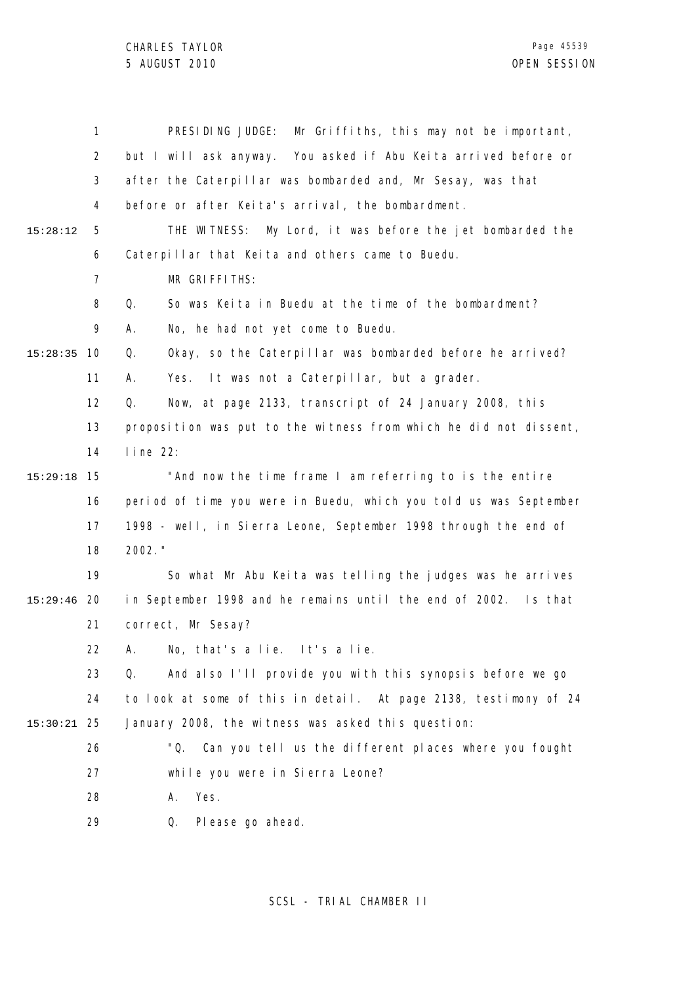CHARLES TAYLOR

|          | 1              | PRESIDING JUDGE:<br>Mr Griffiths, this may not be important,      |
|----------|----------------|-------------------------------------------------------------------|
|          | $\overline{2}$ | but I will ask anyway. You asked if Abu Keita arrived before or   |
|          | 3              | after the Caterpillar was bombarded and, Mr Sesay, was that       |
|          | 4              | before or after Keita's arrival, the bombardment.                 |
| 15:28:12 | 5              | My Lord, it was before the jet bombarded the<br>THE WITNESS:      |
|          | 6              | Caterpillar that Keita and others came to Buedu.                  |
|          | 7              | MR GRIFFITHS:                                                     |
|          | 8              | So was Keita in Buedu at the time of the bombardment?<br>Q.       |
|          | 9              | No, he had not yet come to Buedu.<br>А.                           |
| 15:28:35 | 10             | Okay, so the Caterpillar was bombarded before he arrived?<br>Q.   |
|          | 11             | It was not a Caterpillar, but a grader.<br>Α.<br>Yes.             |
|          | 12             | Now, at page 2133, transcript of 24 January 2008, this<br>Q.      |
|          | 13             | proposition was put to the witness from which he did not dissent, |
|          | 14             | $line 22$ :                                                       |
| 15:29:18 | 15             | "And now the time frame I am referring to is the entire           |
|          | 16             | period of time you were in Buedu, which you told us was September |
|          | 17             | 1998 - well, in Sierra Leone, September 1998 through the end of   |
|          | 18             | 2002. "                                                           |
|          | 19             | So what Mr Abu Keita was telling the judges was he arrives        |
| 15:29:46 | -20            | in September 1998 and he remains until the end of 2002. Is that   |
|          | 21             | correct, Mr Sesay?                                                |
|          | 22             | No, that's a lie. It's a lie.<br>А.                               |
|          | 23             | And also I'll provide you with this synopsis before we go<br>Q.   |
|          | 24             | to look at some of this in detail. At page 2138, testimony of 24  |
| 15:30:21 | 25             | January 2008, the witness was asked this question:                |
|          | 26             | "Q. Can you tell us the different places where you fought         |
|          | 27             | while you were in Sierra Leone?                                   |
|          | 28             | Yes.<br>Α.                                                        |
|          | 29             | Please go ahead.<br>Q.                                            |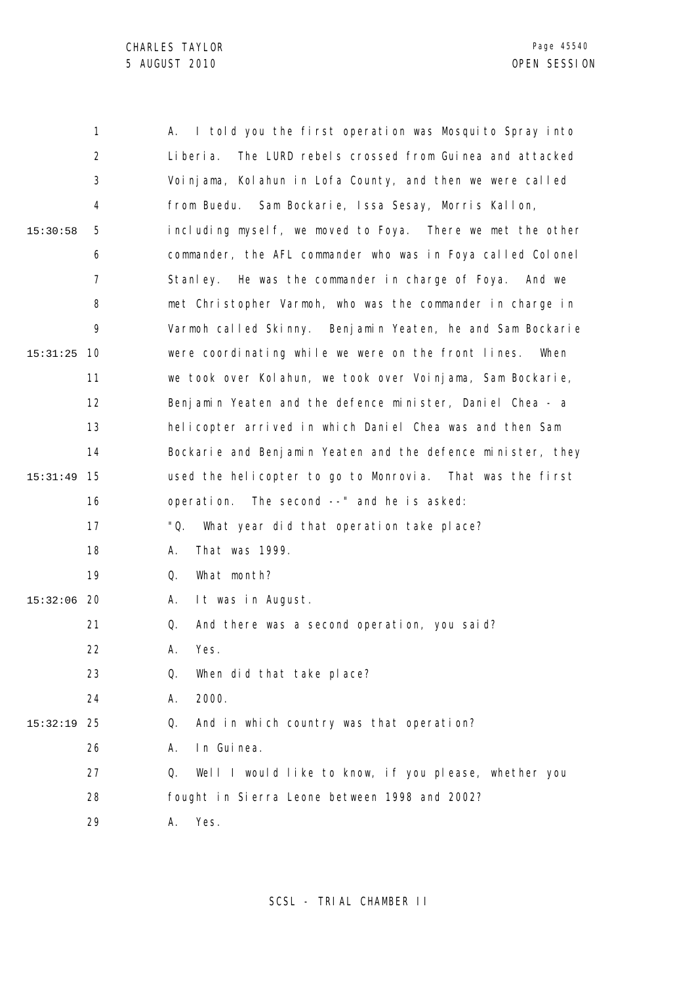|          | 1              | I told you the first operation was Mosquito Spray into<br>Α.   |
|----------|----------------|----------------------------------------------------------------|
|          | $\overline{2}$ | Li beri a.<br>The LURD rebels crossed from Guinea and attacked |
|          | 3              | Voinjama, Kolahun in Lofa County, and then we were called      |
|          | 4              | from Buedu. Sam Bockarie, Issa Sesay, Morris Kallon,           |
| 15:30:58 | 5              | including myself, we moved to Foya. There we met the other     |
|          | 6              | commander, the AFL commander who was in Foya called Colonel    |
|          | $\overline{7}$ | Stanley. He was the commander in charge of Foya. And we        |
|          | 8              | met Christopher Varmoh, who was the commander in charge in     |
|          | 9              | Varmoh called Skinny. Benjamin Yeaten, he and Sam Bockarie     |
| 15:31:25 | 10             | were coordinating while we were on the front lines.<br>When    |
|          | 11             | we took over Kolahun, we took over Voinjama, Sam Bockarie,     |
|          | 12             | Benjamin Yeaten and the defence minister, Daniel Chea - a      |
|          | 13             | helicopter arrived in which Daniel Chea was and then Sam       |
|          | 14             | Bockarie and Benjamin Yeaten and the defence minister, they    |
| 15:31:49 | 15             | used the helicopter to go to Monrovia. That was the first      |
|          | 16             | The second --" and he is asked:<br>operation.                  |
|          | 17             | "Q.<br>What year did that operation take place?                |
|          | 18             | That was 1999.<br>А.                                           |
|          | 19             | What month?<br>Q.                                              |
| 15:32:06 | -20            | It was in August.<br>Α.                                        |
|          | 21             | And there was a second operation, you said?<br>Q.              |
|          | 22             | Yes.<br>А.                                                     |
|          | 23             | Q.<br>When did that take place?                                |
|          | 24             | 2000.<br>Α.                                                    |
| 15:32:19 | 25             | And in which country was that operation?<br>Q.                 |
|          | 26             | In Guinea.<br>А.                                               |
|          | 27             | Well I would like to know, if you please, whether you<br>Q.    |
|          | 28             | fought in Sierra Leone between 1998 and 2002?                  |
|          | 29             | Yes.<br>Α.                                                     |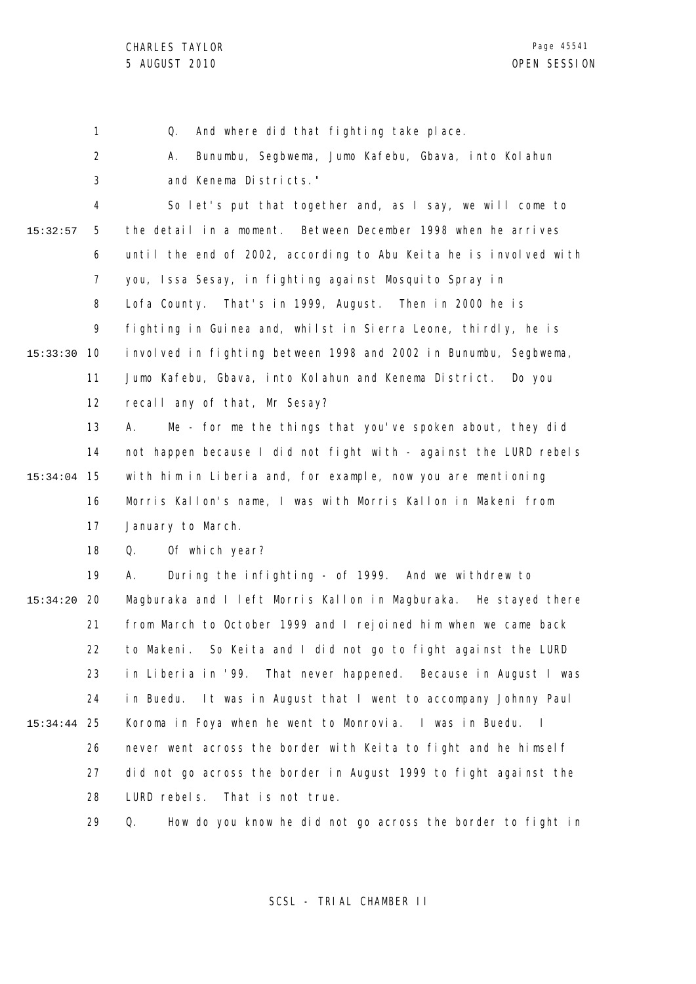1 Q. And where did that fighting take place.

2 3 A. Bunumbu, Segbwema, Jumo Kafebu, Gbava, into Kolahun and Kenema Districts."

4 5 6 7 8 9 10 15:33:30 11 12 15:32:57 So let's put that together and, as I say, we will come to the detail in a moment. Between December 1998 when he arrives until the end of 2002, according to Abu Keita he is involved with you, Issa Sesay, in fighting against Mosquito Spray in Lofa County. That's in 1999, August. Then in 2000 he is fighting in Guinea and, whilst in Sierra Leone, thirdly, he is involved in fighting between 1998 and 2002 in Bunumbu, Segbwema, Jumo Kafebu, Gbava, into Kolahun and Kenema District. Do you recall any of that, Mr Sesay?

13 14 15 15:34:04 16 17 A. Me - for me the things that you've spoken about, they did not happen because I did not fight with - against the LURD rebels with him in Liberia and, for example, now you are mentioning Morris Kallon's name, I was with Morris Kallon in Makeni from January to March.

> 18 Q. Of which year?

19 20 15:34:20 21 22 23 24 25 15:34:44 26 27 28 A. During the infighting - of 1999. And we withdrew to Magburaka and I left Morris Kallon in Magburaka. He stayed there from March to October 1999 and I rejoined him when we came back to Makeni. So Keita and I did not go to fight against the LURD in Liberia in '99. That never happened. Because in August I was in Buedu. It was in August that I went to accompany Johnny Paul Koroma in Foya when he went to Monrovia. I was in Buedu. I never went across the border with Keita to fight and he himself did not go across the border in August 1999 to fight against the LURD rebels. That is not true.

> 29 Q. How do you know he did not go across the border to fight in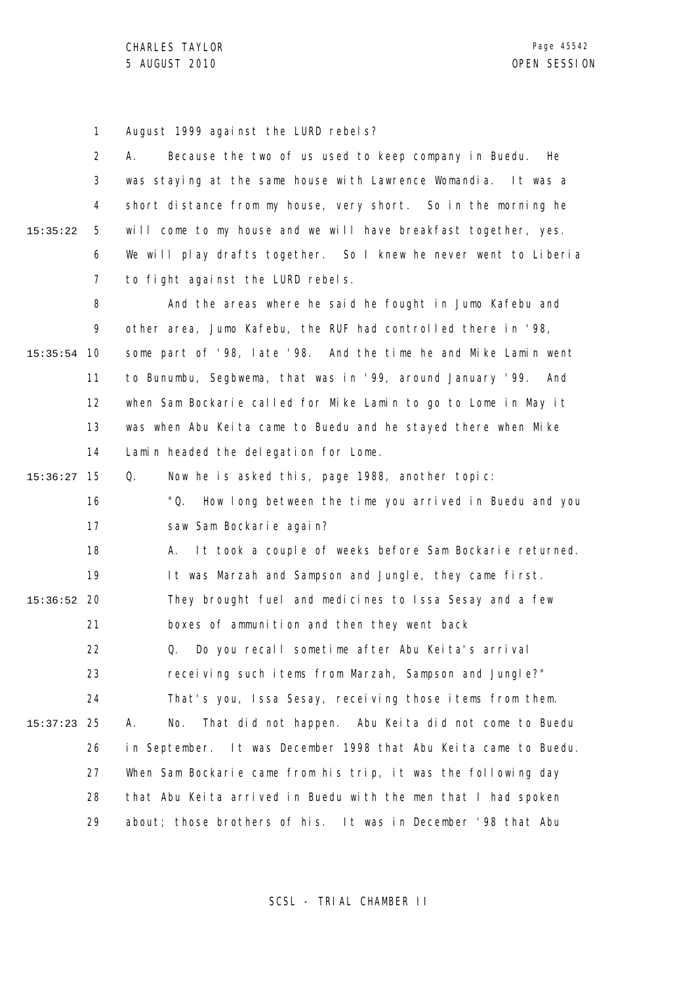1 August 1999 against the LURD rebels?

2 3 4 5 6 7 15:35:22 A. Because the two of us used to keep company in Buedu. He was staying at the same house with Lawrence Womandia. It was a short distance from my house, very short. So in the morning he will come to my house and we will have breakfast together, yes. We will play drafts together. So I knew he never went to Liberia to fight against the LURD rebels.

8 9 10 15:35:54 11 12 13 14 And the areas where he said he fought in Jumo Kafebu and other area, Jumo Kafebu, the RUF had controlled there in '98, some part of '98, late '98. And the time he and Mike Lamin went to Bunumbu, Segbwema, that was in '99, around January '99. And when Sam Bockarie called for Mike Lamin to go to Lome in May it was when Abu Keita came to Buedu and he stayed there when Mike Lamin headed the delegation for Lome.

15 15:36:27 16 17 18 19 20 15:36:52 21 22 23 24 25 15:37:23 26 27 28 29 Q. Now he is asked this, page 1988, another topic: "Q. How long between the time you arrived in Buedu and you saw Sam Bockarie again? A. It took a couple of weeks before Sam Bockarie returned. It was Marzah and Sampson and Jungle, they came first. They brought fuel and medicines to Issa Sesay and a few boxes of ammunition and then they went back Q. Do you recall sometime after Abu Keita's arrival receiving such items from Marzah, Sampson and Jungle?" That's you, Issa Sesay, receiving those items from them. A. No. That did not happen. Abu Keita did not come to Buedu in September. It was December 1998 that Abu Keita came to Buedu. When Sam Bockarie came from his trip, it was the following day that Abu Keita arrived in Buedu with the men that I had spoken about; those brothers of his. It was in December '98 that Abu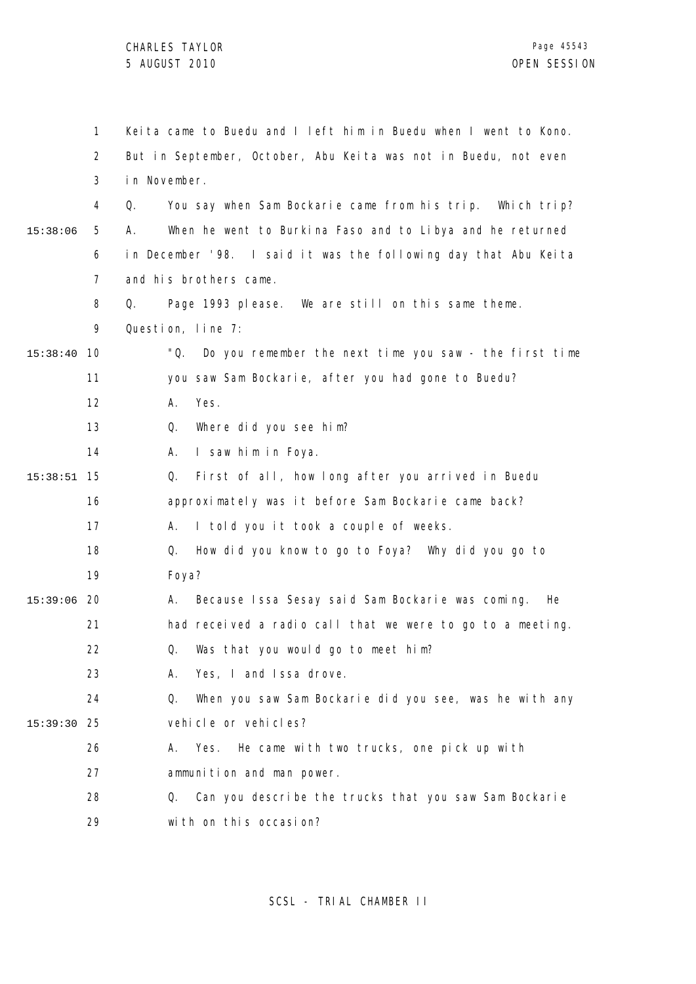|               | $\mathbf{1}$   | Keita came to Buedu and I left him in Buedu when I went to Kono. |
|---------------|----------------|------------------------------------------------------------------|
|               | $\overline{2}$ | But in September, October, Abu Keita was not in Buedu, not even  |
|               | 3              | in November.                                                     |
|               | 4              | Q.<br>You say when Sam Bockarie came from his trip. Which trip?  |
| 15:38:06      | 5              | When he went to Burkina Faso and to Libya and he returned<br>А.  |
|               | 6              | in December '98. I said it was the following day that Abu Keita  |
|               | $\overline{7}$ | and his brothers came.                                           |
|               | 8              | Page 1993 please. We are still on this same theme.<br>Q.         |
|               | 9              | Question, line 7:                                                |
| 15:38:40      | 10             | "Q.<br>Do you remember the next time you saw - the first time    |
|               | 11             | you saw Sam Bockarie, after you had gone to Buedu?               |
|               | 12             | Yes.<br>А.                                                       |
|               | 13             | Where did you see him?<br>Q.                                     |
|               | 14             | I saw him in Foya.<br>А.                                         |
| 15:38:51      | 15             | First of all, how long after you arrived in Buedu<br>Q.          |
|               | 16             | approximately was it before Sam Bockarie came back?              |
|               | 17             | I told you it took a couple of weeks.<br>А.                      |
|               | 18             | How did you know to go to Foya? Why did you go to<br>Q.          |
|               | 19             | Foya?                                                            |
| $15:39:06$ 20 |                | Because Issa Sesay said Sam Bockarie was coming.<br>А.<br>He     |
|               | 21             | had received a radio call that we were to go to a meeting.       |
|               | 22             | Q. Was that you would go to meet him?                            |
|               | 23             | Yes, I and Issa drove.<br>А.                                     |
|               | 24             | When you saw Sam Bockarie did you see, was he with any<br>Q.     |
| 15:39:30      | 25             | vehicle or vehicles?                                             |
|               | 26             | He came with two trucks, one pick up with<br>Yes.<br>А.          |
|               | 27             | ammunition and man power.                                        |
|               | 28             | Can you describe the trucks that you saw Sam Bockarie<br>Q.      |
|               | 29             | with on this occasion?                                           |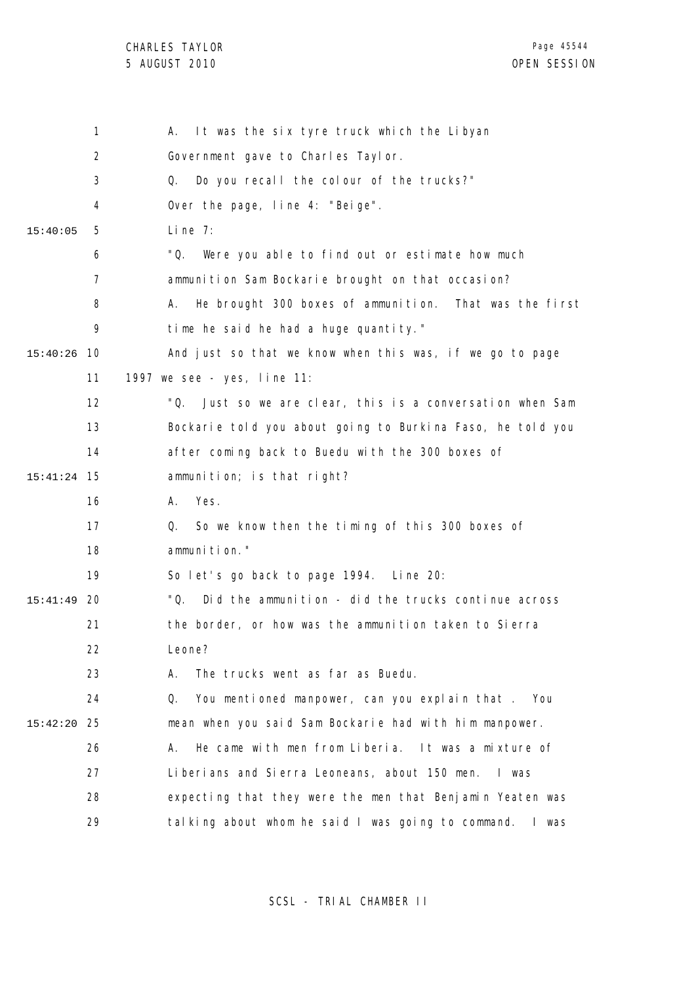|          | $\mathbf{1}$   | It was the six tyre truck which the Libyan<br>Α.              |
|----------|----------------|---------------------------------------------------------------|
|          | 2              | Government gave to Charles Taylor.                            |
|          | 3              | Do you recall the colour of the trucks?"<br>Q.                |
|          | 4              | Over the page, line 4: "Beige".                               |
| 15:40:05 | 5              | Line $7:$                                                     |
|          | 6              | "Q.<br>Were you able to find out or estimate how much         |
|          | $\overline{7}$ | ammunition Sam Bockarie brought on that occasion?             |
|          | 8              | He brought 300 boxes of ammunition. That was the first<br>А.  |
|          | 9              | time he said he had a huge quantity."                         |
| 15:40:26 | 10             | And just so that we know when this was, if we go to page      |
|          | 11             | 1997 we see - yes, line 11:                                   |
|          | 12             | ''Q.<br>Just so we are clear, this is a conversation when Sam |
|          | 13             | Bockarie told you about going to Burkina Faso, he told you    |
|          | 14             | after coming back to Buedu with the 300 boxes of              |
| 15:41:24 | -15            | ammunition; is that right?                                    |
|          | 16             | Yes.<br>А.                                                    |
|          | 17             | So we know then the timing of this 300 boxes of<br>Q.         |
|          | 18             | ammunition."                                                  |
|          | 19             | So let's go back to page 1994. Line 20:                       |
| 15:41:49 | 20             | "Q.<br>Did the ammunition - did the trucks continue across    |
|          | 21             | the border, or how was the ammunition taken to Sierra         |
|          | 22             | Leone?                                                        |
|          | 23             | The trucks went as far as Buedu.<br>А.                        |
|          | 24             | You mentioned manpower, can you explain that.<br>Q.<br>You    |
| 15:42:20 | 25             | mean when you said Sam Bockarie had with him manpower.        |
|          | 26             | He came with men from Liberia. It was a mixture of<br>А.      |
|          | 27             | Liberians and Sierra Leoneans, about 150 men.<br>l was        |
|          | 28             | expecting that they were the men that Benjamin Yeaten was     |
|          | 29             | talking about whom he said I was going to command.<br>l was   |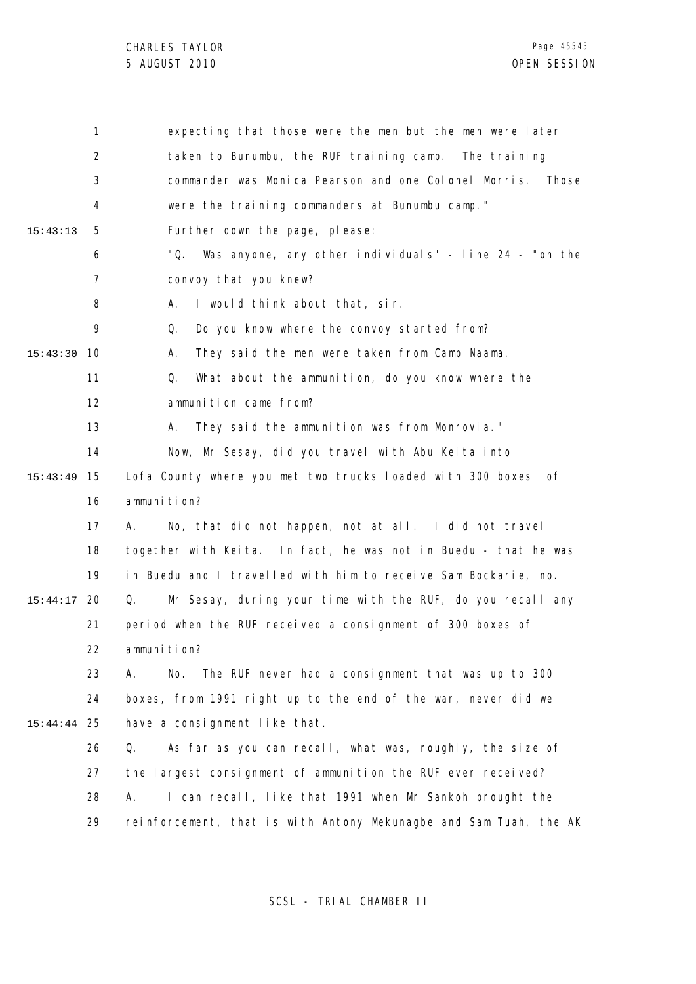|          | 1              | expecting that those were the men but the men were later          |
|----------|----------------|-------------------------------------------------------------------|
|          | $\overline{2}$ | taken to Bunumbu, the RUF training camp. The training             |
|          | 3              | commander was Monica Pearson and one Colonel Morris. Those        |
|          | 4              | were the training commanders at Bunumbu camp."                    |
| 15:43:13 | 5              | Further down the page, please:                                    |
|          | 6              | "Q.<br>Was anyone, any other individuals" - line 24 - "on the     |
|          | $\overline{7}$ | convoy that you knew?                                             |
|          | 8              | I would think about that, sir.<br>А.                              |
|          | 9              | Do you know where the convoy started from?<br>Q.                  |
| 15:43:30 | 10             | They said the men were taken from Camp Naama.<br>А.               |
|          | 11             | What about the ammunition, do you know where the<br>Q.            |
|          | 12             | ammunition came from?                                             |
|          | 13             | They said the ammunition was from Monrovia."<br>А.                |
|          | 14             | Now, Mr Sesay, did you travel with Abu Keita into                 |
| 15:43:49 | 15             | Lofa County where you met two trucks loaded with 300 boxes of     |
|          | 16             | ammunition?                                                       |
|          | 17             | No, that did not happen, not at all. I did not travel<br>А.       |
|          | 18             | together with Keita. In fact, he was not in Buedu - that he was   |
|          | 19             | in Buedu and I travelled with him to receive Sam Bockarie, no.    |
| 15:44:17 | 20             | Mr Sesay, during your time with the RUF, do you recall any<br>Q.  |
|          | 21             | period when the RUF received a consignment of 300 boxes of        |
|          | 22             | ammunition?                                                       |
|          | 23             | The RUF never had a consignment that was up to 300<br>А.<br>No.   |
|          | 24             | boxes, from 1991 right up to the end of the war, never did we     |
| 15:44:44 | -25            | have a consignment like that.                                     |
|          | 26             | As far as you can recall, what was, roughly, the size of<br>Q.    |
|          | 27             | the largest consignment of ammunition the RUF ever received?      |
|          | 28             | I can recall, like that 1991 when Mr Sankoh brought the<br>А.     |
|          | 29             | reinforcement, that is with Antony Mekunagbe and Sam Tuah, the AK |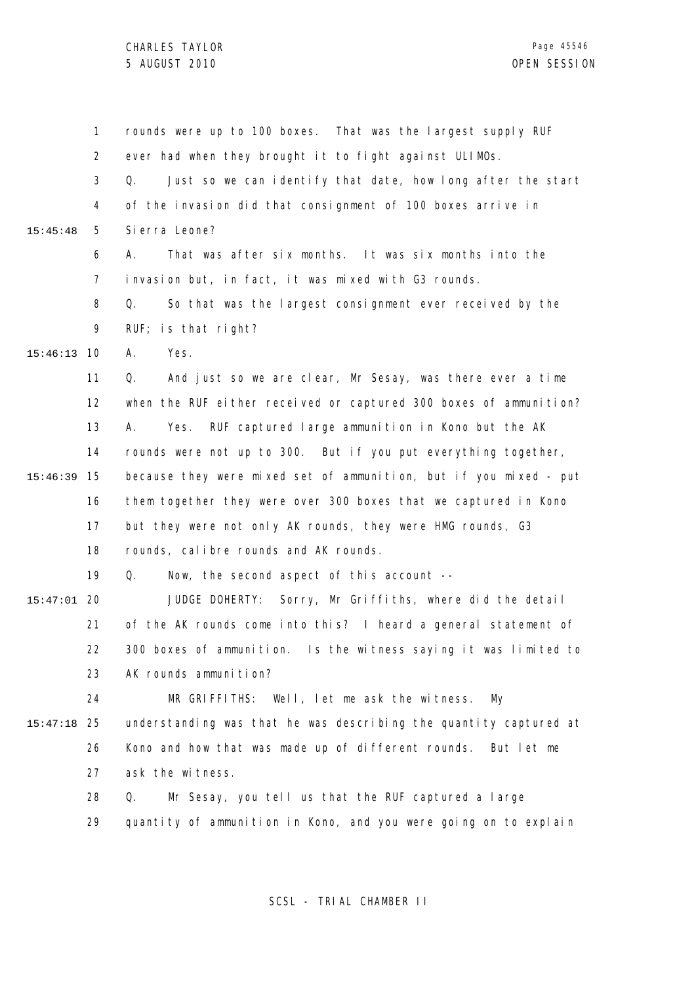1 2 3 4 5 6 7 8 9 10 15:46:13 11 12 13 14 15 15:46:39 16 17 18 19 20 15:47:01 21 22 23 24 25 15:47:18 26 27 28 29 15:45:48 rounds were up to 100 boxes. That was the largest supply RUF ever had when they brought it to fight against ULIMOs. Q. Just so we can identify that date, how long after the start of the invasion did that consignment of 100 boxes arrive in Sierra Leone? A. That was after six months. It was six months into the invasion but, in fact, it was mixed with G3 rounds. Q. So that was the largest consignment ever received by the RUF; is that right? A. Yes. Q. And just so we are clear, Mr Sesay, was there ever a time when the RUF either received or captured 300 boxes of ammunition? A. Yes. RUF captured large ammunition in Kono but the AK rounds were not up to 300. But if you put everything together, because they were mixed set of ammunition, but if you mixed - put them together they were over 300 boxes that we captured in Kono but they were not only AK rounds, they were HMG rounds, G3 rounds, calibre rounds and AK rounds. Q. Now, the second aspect of this account -- JUDGE DOHERTY: Sorry, Mr Griffiths, where did the detail of the AK rounds come into this? I heard a general statement of 300 boxes of ammunition. Is the witness saying it was limited to AK rounds ammunition? MR GRIFFITHS: Well, let me ask the witness. My understanding was that he was describing the quantity captured at Kono and how that was made up of different rounds. But let me ask the witness. Q. Mr Sesay, you tell us that the RUF captured a large quantity of ammunition in Kono, and you were going on to explain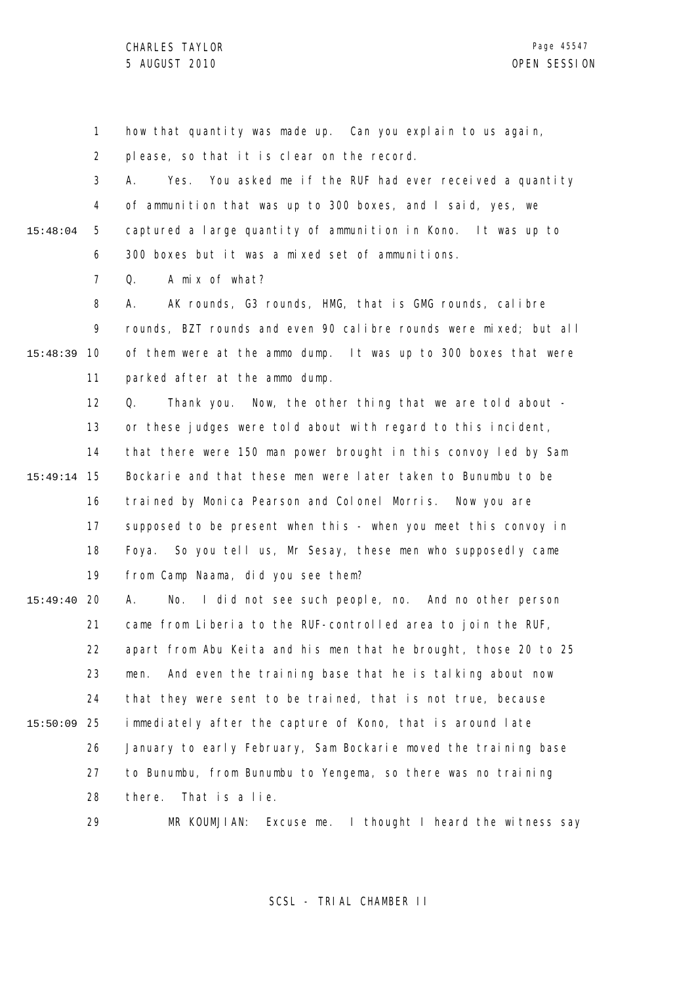1 2 3 4 5 6 7 8 9 10 15:48:39 11 12 13 14 15 15:49:14 16 17 18 19 20 15:49:40 21 22 23 24 25 15:50:09 26 27 28 29 15:48:04 how that quantity was made up. Can you explain to us again, please, so that it is clear on the record. A. Yes. You asked me if the RUF had ever received a quantity of ammunition that was up to 300 boxes, and I said, yes, we captured a large quantity of ammunition in Kono. It was up to 300 boxes but it was a mixed set of ammunitions. Q. A mix of what? A. AK rounds, G3 rounds, HMG, that is GMG rounds, calibre rounds, BZT rounds and even 90 calibre rounds were mixed; but all of them were at the ammo dump. It was up to 300 boxes that were parked after at the ammo dump. Q. Thank you. Now, the other thing that we are told about or these judges were told about with regard to this incident, that there were 150 man power brought in this convoy led by Sam Bockarie and that these men were later taken to Bunumbu to be trained by Monica Pearson and Colonel Morris. Now you are supposed to be present when this - when you meet this convoy in Foya. So you tell us, Mr Sesay, these men who supposedly came from Camp Naama, did you see them? A. No. I did not see such people, no. And no other person came from Liberia to the RUF-controlled area to join the RUF, apart from Abu Keita and his men that he brought, those 20 to 25 men. And even the training base that he is talking about now that they were sent to be trained, that is not true, because immediately after the capture of Kono, that is around late January to early February, Sam Bockarie moved the training base to Bunumbu, from Bunumbu to Yengema, so there was no training there. That is a lie. MR KOUMJIAN: Excuse me. I thought I heard the witness say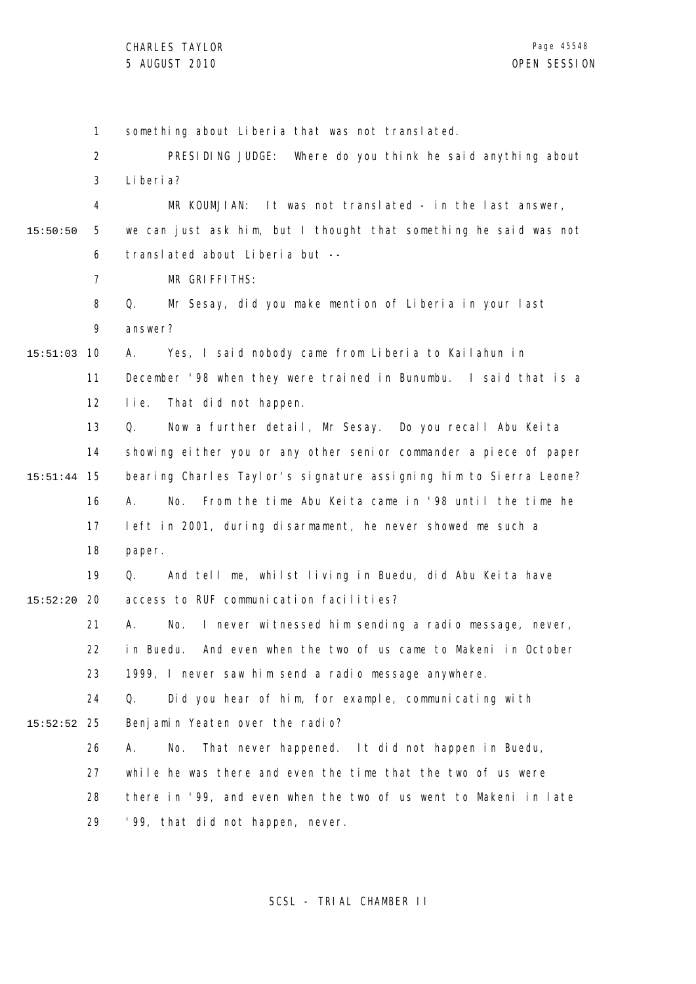1 2 3 4 5 6 7 8 9 10 15:51:03 11 12 13 14 15 15:51:44 16 17 18 19 20 15:52:20 21 22 23 24 25 15:52:52 26 27 28 29 15:50:50 something about Liberia that was not translated. PRESIDING JUDGE: Where do you think he said anything about Liberia? MR KOUMJIAN: It was not translated - in the last answer, we can just ask him, but I thought that something he said was not translated about Liberia but -- MR GRIFFITHS: Q. Mr Sesay, did you make mention of Liberia in your last answer? A. Yes, I said nobody came from Liberia to Kailahun in December '98 when they were trained in Bunumbu. I said that is a lie. That did not happen. Q. Now a further detail, Mr Sesay. Do you recall Abu Keita showing either you or any other senior commander a piece of paper bearing Charles Taylor's signature assigning him to Sierra Leone? A. No. From the time Abu Keita came in '98 until the time he left in 2001, during disarmament, he never showed me such a paper. Q. And tell me, whilst living in Buedu, did Abu Keita have access to RUF communication facilities? A. No. I never witnessed him sending a radio message, never, in Buedu. And even when the two of us came to Makeni in October 1999, I never saw him send a radio message anywhere. Q. Did you hear of him, for example, communicating with Benjamin Yeaten over the radio? A. No. That never happened. It did not happen in Buedu, while he was there and even the time that the two of us were there in '99, and even when the two of us went to Makeni in late '99, that did not happen, never.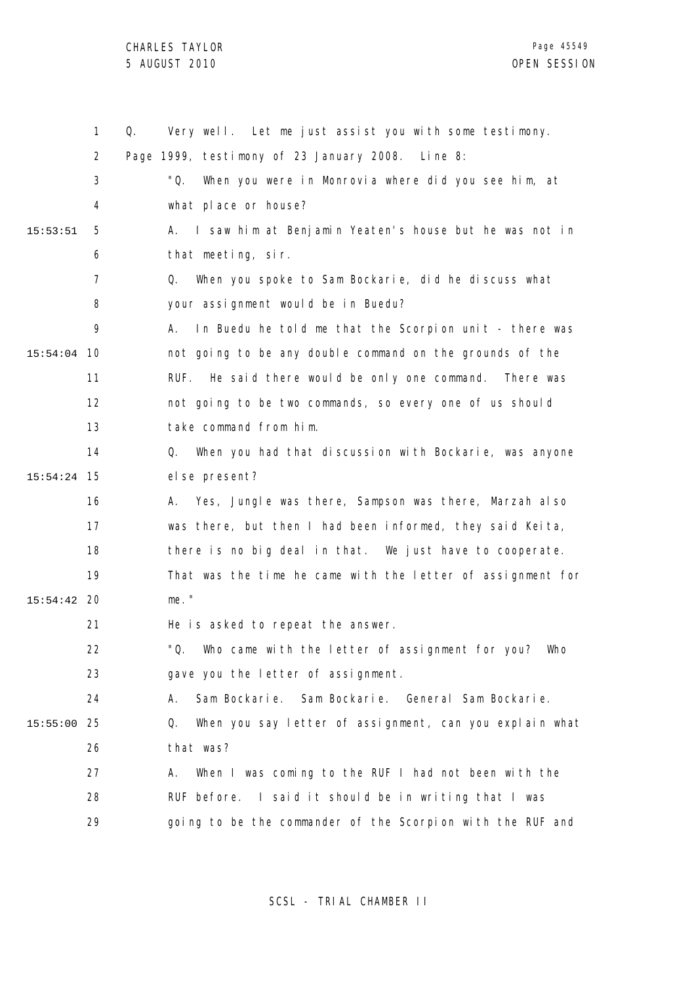1 2 3 4 5 6 7 8  $\mathsf{o}$ 10 15:54:04 11 12 13 14 15 15:54:24 16 17 18 19 20 15:54:42 21 22 23 24 25 15:55:00 26 27 28 29 15:53:51 Q. Very well. Let me just assist you with some testimony. Page 1999, testimony of 23 January 2008. Line 8: "Q. When you were in Monrovia where did you see him, at what place or house? A. I saw him at Benjamin Yeaten's house but he was not in that meeting, sir. Q. When you spoke to Sam Bockarie, did he discuss what your assignment would be in Buedu? A. In Buedu he told me that the Scorpion unit - there was not going to be any double command on the grounds of the RUF. He said there would be only one command. There was not going to be two commands, so every one of us should take command from him. Q. When you had that discussion with Bockarie, was anyone el se present? A. Yes, Jungle was there, Sampson was there, Marzah also was there, but then I had been informed, they said Keita, there is no big deal in that. We just have to cooperate. That was the time he came with the letter of assignment for me." He is asked to repeat the answer. "Q. Who came with the letter of assignment for you? Who gave you the letter of assignment. A. Sam Bockarie. Sam Bockarie. General Sam Bockarie. Q. When you say letter of assignment, can you explain what that was? A. When I was coming to the RUF I had not been with the RUF before. I said it should be in writing that I was going to be the commander of the Scorpion with the RUF and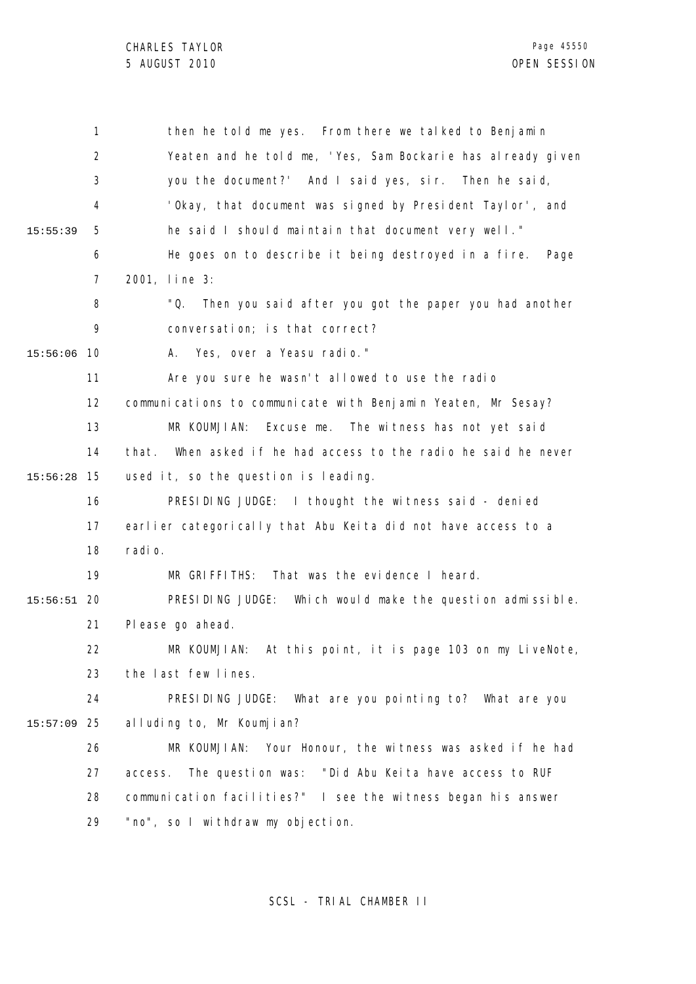|          | 1                 | then he told me yes. From there we talked to Benjamin              |
|----------|-------------------|--------------------------------------------------------------------|
|          | 2                 | Yeaten and he told me, 'Yes, Sam Bockarie has already given        |
|          | 3                 | you the document?' And I said yes, sir. Then he said,              |
|          | 4                 | 'Okay, that document was signed by President Taylor', and          |
| 15:55:39 | 5                 | he said I should maintain that document very well."                |
|          | 6                 | He goes on to describe it being destroyed in a fire.<br>Page       |
|          | 7                 | 2001, line 3:                                                      |
|          | 8                 | "Q.<br>Then you said after you got the paper you had another       |
|          | 9                 | conversation; is that correct?                                     |
| 15:56:06 | 10                | A. Yes, over a Yeasu radio."                                       |
|          | 11                | Are you sure he wasn't allowed to use the radio                    |
|          | $12 \overline{ }$ | communications to communicate with Benjamin Yeaten, Mr Sesay?      |
|          | 13                | MR KOUMJIAN:<br>Excuse me. The witness has not yet said            |
|          | 14                | When asked if he had access to the radio he said he never<br>that. |
| 15:56:28 | 15                | used it, so the question is leading.                               |
|          | 16                | PRESIDING JUDGE: I thought the witness said - denied               |
|          | 17                | earlier categorically that Abu Keita did not have access to a      |
|          | 18                | radi o.                                                            |
|          | 19                | That was the evidence I heard.<br>MR GRIFFITHS:                    |
| 15:56:51 | 20                | PRESIDING JUDGE:<br>Which would make the question admissible.      |
|          | 21                | Pl ease go ahead.                                                  |
|          | 22                | MR KOUMJIAN: At this point, it is page 103 on my LiveNote,         |
|          | 23                | the last few lines.                                                |
|          | 24                | PRESIDING JUDGE:<br>What are you pointing to? What are you         |
| 15:57:09 | 25                | alluding to, Mr Koumjian?                                          |
|          | 26                | MR KOUMJIAN:<br>Your Honour, the witness was asked if he had       |
|          | 27                | The question was: "Did Abu Keita have access to RUF<br>access.     |
|          | 28                | communication facilities?" I see the witness began his answer      |
|          | 29                | "no", so I withdraw my objection.                                  |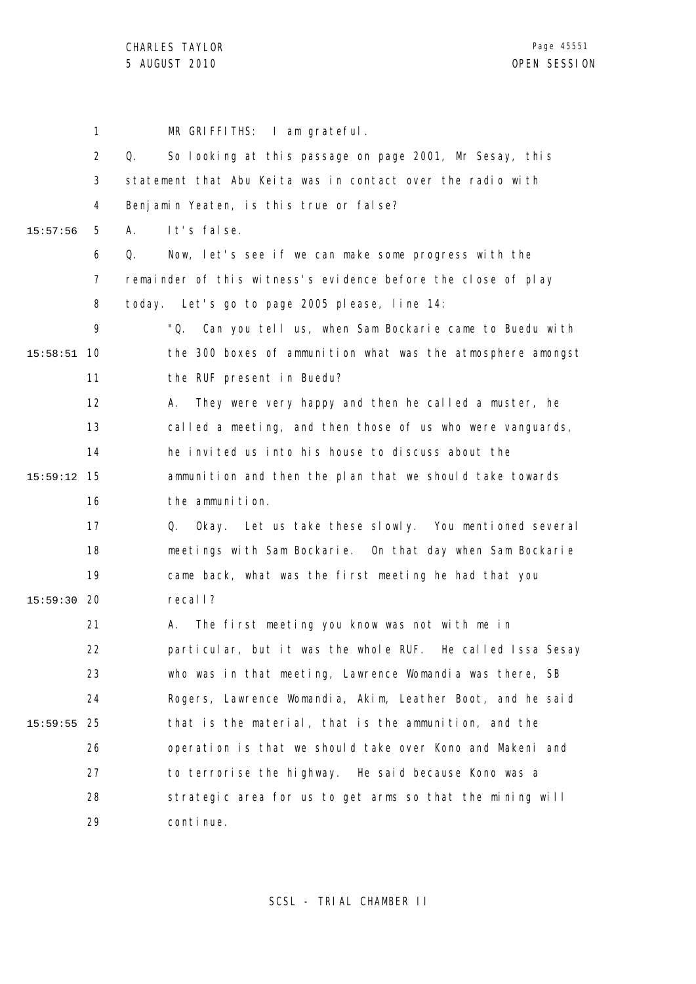1 2 3 4 5 6 7 8 9 10 15:58:51 11 12 13 14 15 15:59:12 16 17 18 19 20 15:59:30 21 22 23 24 25 15:59:55 26 27 28 29 15:57:56 MR GRIFFITHS: I am grateful. Q. So looking at this passage on page 2001, Mr Sesay, this statement that Abu Keita was in contact over the radio with Benjamin Yeaten, is this true or false? A. It's false. Q. Now, let's see if we can make some progress with the remainder of this witness's evidence before the close of play today. Let's go to page 2005 please, line 14: "Q. Can you tell us, when Sam Bockarie came to Buedu with the 300 boxes of ammunition what was the atmosphere amongst the RUF present in Buedu? A. They were very happy and then he called a muster, he called a meeting, and then those of us who were vanguards, he invited us into his house to discuss about the ammunition and then the plan that we should take towards the ammunition. Q. Okay. Let us take these slowly. You mentioned several meetings with Sam Bockarie. On that day when Sam Bockarie came back, what was the first meeting he had that you recall? A. The first meeting you know was not with me in particular, but it was the whole RUF. He called Issa Sesay who was in that meeting, Lawrence Womandia was there, SB Rogers, Lawrence Womandia, Akim, Leather Boot, and he said that is the material, that is the ammunition, and the operation is that we should take over Kono and Makeni and to terrorise the highway. He said because Kono was a strategic area for us to get arms so that the mining will continue.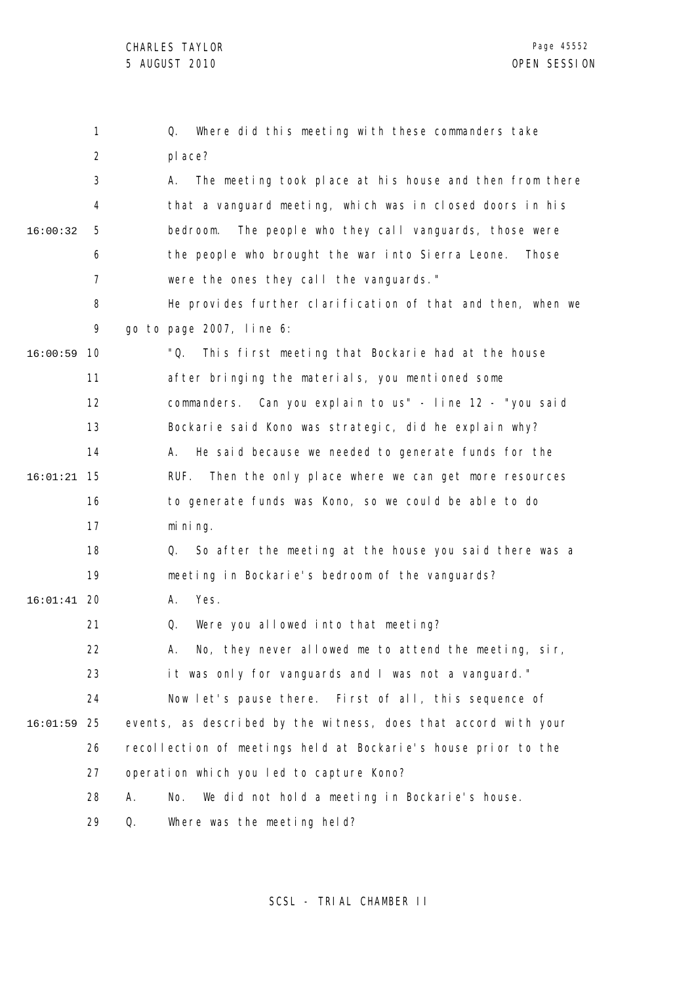|          | 1              | Where did this meeting with these commanders take<br>Q.         |
|----------|----------------|-----------------------------------------------------------------|
|          | $\overline{2}$ | pl ace?                                                         |
|          | 3              | The meeting took place at his house and then from there<br>А.   |
|          | 4              | that a vanguard meeting, which was in closed doors in his       |
| 16:00:32 | 5              | The people who they call vanguards, those were<br>bedroom.      |
|          | 6              | the people who brought the war into Sierra Leone.<br>Those      |
|          | $\overline{7}$ | were the ones they call the vanguards."                         |
|          | 8              | He provides further clarification of that and then, when we     |
|          | 9              | go to page 2007, line 6:                                        |
| 16:00:59 | 10             | "Q.<br>This first meeting that Bockarie had at the house        |
|          | 11             | after bringing the materials, you mentioned some                |
|          | 12             | commanders. Can you explain to us" - line 12 - "you said        |
|          | 13             | Bockarie said Kono was strategic, did he explain why?           |
|          | 14             | He said because we needed to generate funds for the<br>А.       |
| 16:01:21 | 15             | Then the only place where we can get more resources<br>RUF.     |
|          | 16             | to generate funds was Kono, so we could be able to do           |
|          | 17             | mi ni ng.                                                       |
|          | 18             | So after the meeting at the house you said there was a<br>Q.    |
|          | 19             | meeting in Bockarie's bedroom of the vanguards?                 |
| 16:01:41 | -20            | Yes.<br>А.                                                      |
|          | 21             | Were you allowed into that meeting?<br>Q.                       |
|          | 22             | No, they never allowed me to attend the meeting, sir<br>А.      |
|          | 23             | it was only for vanguards and I was not a vanguard."            |
|          | 24             | Now let's pause there. First of all, this sequence of           |
| 16:01:59 | 25             | events, as described by the witness, does that accord with your |
|          | 26             | recollection of meetings held at Bockarie's house prior to the  |
|          | 27             | operation which you led to capture Kono?                        |
|          | 28             | Α.<br>We did not hold a meeting in Bockarie's house.<br>No.     |
|          | 29             | Q.<br>Where was the meeting held?                               |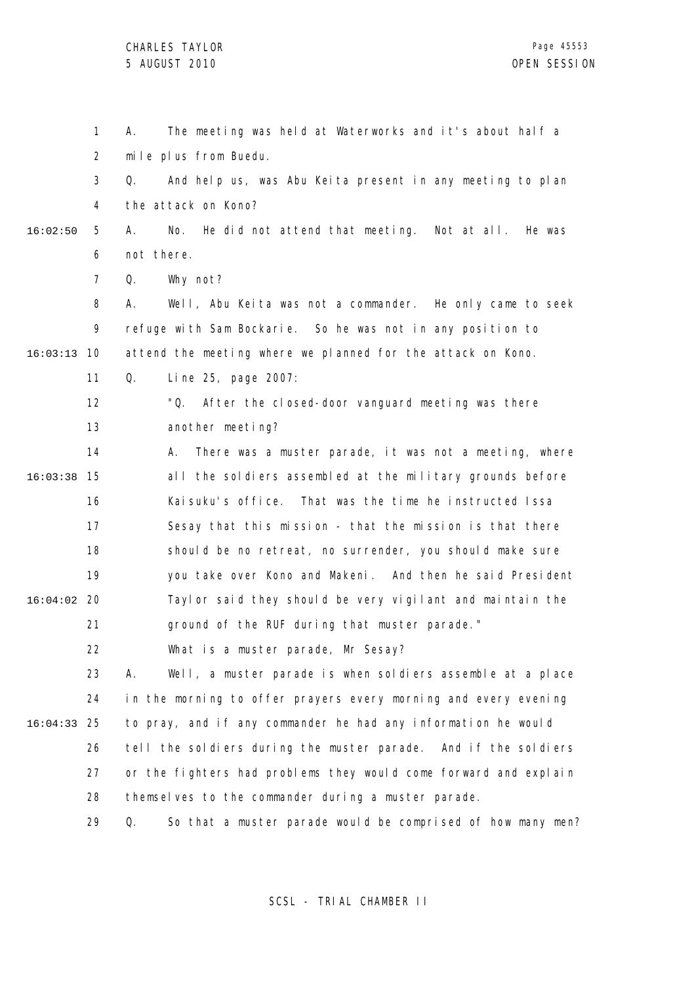1 2 3 4 5 6 7 8  $\mathsf{o}$ 10 16:03:13 11 12 13 14 15 16:03:38 16 17 18 19 20 16:04:02 21 22 23 24 25 16:04:33 26 27 28 16:02:50 A. The meeting was held at Waterworks and it's about half a mile plus from Buedu. Q. And help us, was Abu Keita present in any meeting to plan the attack on Kono? A. No. He did not attend that meeting. Not at all. He was not there. Q. Why not? A. Well, Abu Keita was not a commander. He only came to seek refuge with Sam Bockarie. So he was not in any position to attend the meeting where we planned for the attack on Kono. Q. Line 25, page 2007: "Q. After the closed-door vanguard meeting was there another meeting? A. There was a muster parade, it was not a meeting, where all the soldiers assembled at the military grounds before Kaisuku's office. That was the time he instructed Issa Sesay that this mission - that the mission is that there should be no retreat, no surrender, you should make sure you take over Kono and Makeni. And then he said President Taylor said they should be very vigilant and maintain the ground of the RUF during that muster parade." What is a muster parade, Mr Sesay? A. Well, a muster parade is when soldiers assemble at a place in the morning to offer prayers every morning and every evening to pray, and if any commander he had any information he would tell the soldiers during the muster parade. And if the soldiers or the fighters had problems they would come forward and explain themselves to the commander during a muster parade.

> 29 Q. So that a muster parade would be comprised of how many men?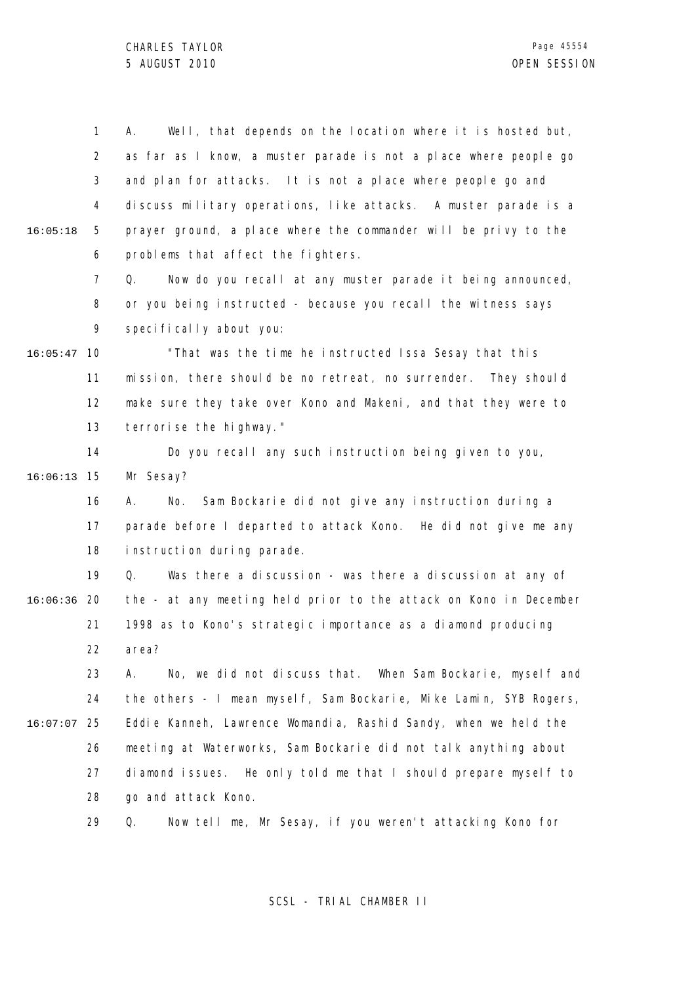1 2 3 4 5 6 7 8 9 10 16:05:47 11 12 13 14 15 16:06:13 16 17 18 19 20 16:06:36 21 22 23 24 25 16:07:07 26 27 28 29 16:05:18 A. Well, that depends on the location where it is hosted but, as far as I know, a muster parade is not a place where people go and plan for attacks. It is not a place where people go and discuss military operations, like attacks. A muster parade is a prayer ground, a place where the commander will be privy to the problems that affect the fighters. Q. Now do you recall at any muster parade it being announced, or you being instructed - because you recall the witness says specifically about you: "That was the time he instructed Issa Sesay that this mission, there should be no retreat, no surrender. They should make sure they take over Kono and Makeni, and that they were to terrorise the highway." Do you recall any such instruction being given to you, Mr Sesay? A. No. Sam Bockarie did not give any instruction during a parade before I departed to attack Kono. He did not give me any instruction during parade. Q. Was there a discussion - was there a discussion at any of the - at any meeting held prior to the attack on Kono in December 1998 as to Kono's strategic importance as a diamond producing area? A. No, we did not discuss that. When Sam Bockarie, myself and the others - I mean myself, Sam Bockarie, Mike Lamin, SYB Rogers, Eddie Kanneh, Lawrence Womandia, Rashid Sandy, when we held the meeting at Waterworks, Sam Bockarie did not talk anything about diamond issues. He only told me that I should prepare myself to go and attack Kono. Q. Now tell me, Mr Sesay, if you weren't attacking Kono for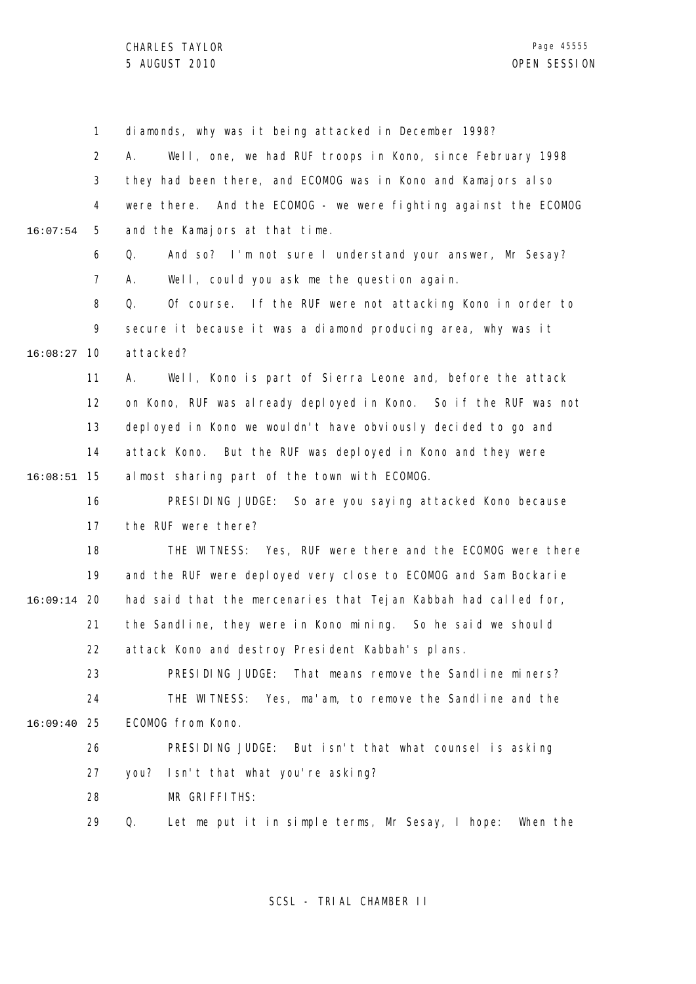1 2 3 4 5 6 7 8 9 10 16:08:27 11 12 13 14 15 16:08:51 16 17 18 19 20 16:09:14 21 22 23 24 25 16:09:40 26 27 28 29 16:07:54 diamonds, why was it being attacked in December 1998? A. Well, one, we had RUF troops in Kono, since February 1998 they had been there, and ECOMOG was in Kono and Kamajors also were there. And the ECOMOG - we were fighting against the ECOMOG and the Kamajors at that time. Q. And so? I'm not sure I understand your answer, Mr Sesay? A. Well, could you ask me the question again. Q. Of course. If the RUF were not attacking Kono in order to secure it because it was a diamond producing area, why was it attacked? A. Well, Kono is part of Sierra Leone and, before the attack on Kono, RUF was already deployed in Kono. So if the RUF was not deployed in Kono we wouldn't have obviously decided to go and attack Kono. But the RUF was deployed in Kono and they were almost sharing part of the town with ECOMOG. PRESIDING JUDGE: So are you saying attacked Kono because the RUF were there? THE WITNESS: Yes, RUF were there and the ECOMOG were there and the RUF were deployed very close to ECOMOG and Sam Bockarie had said that the mercenaries that Tejan Kabbah had called for, the Sandline, they were in Kono mining. So he said we should attack Kono and destroy President Kabbah's plans. PRESIDING JUDGE: That means remove the Sandline miners? THE WITNESS: Yes, ma'am, to remove the Sandline and the ECOMOG from Kono. PRESIDING JUDGE: But isn't that what counsel is asking you? Isn't that what you're asking? MR GRIFFITHS: Q. Let me put it in simple terms, Mr Sesay, I hope: When the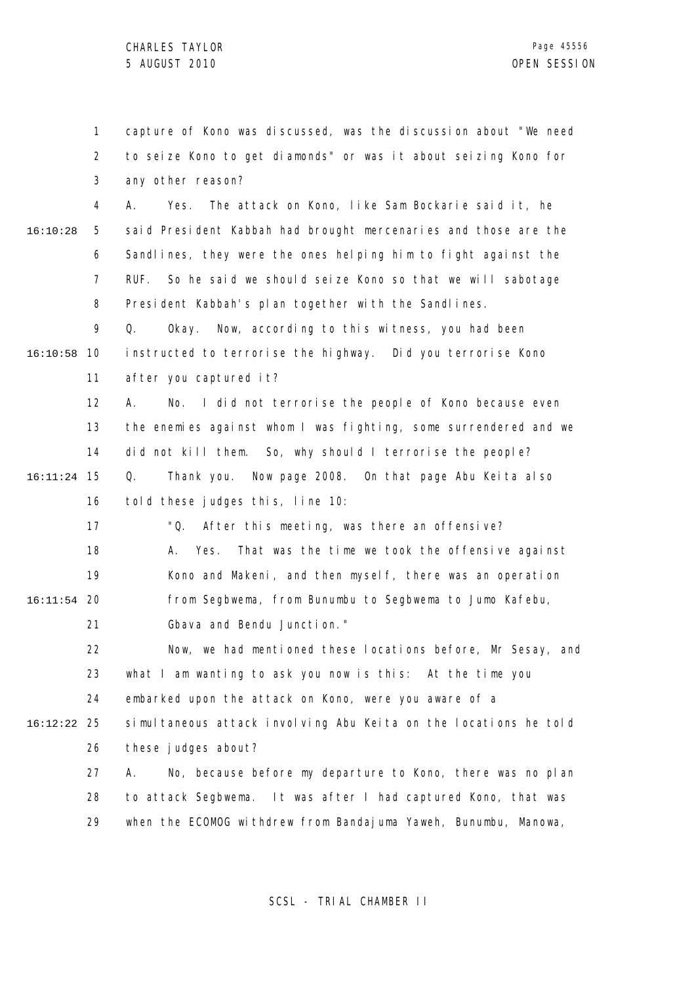1 2 3 4 5 6 7 8 9 10 16:10:58 11 12 13 14 15 16:11:24 16 17 18 19 20 16:11:54 21 22 23 24 25 16:12:22 26 27 28 29 16:10:28 capture of Kono was discussed, was the discussion about "We need to seize Kono to get diamonds" or was it about seizing Kono for any other reason? A. Yes. The attack on Kono, like Sam Bockarie said it, he said President Kabbah had brought mercenaries and those are the Sandlines, they were the ones helping him to fight against the RUF. So he said we should seize Kono so that we will sabotage President Kabbah's plan together with the Sandlines. Q. Okay. Now, according to this witness, you had been instructed to terrorise the highway. Did you terrorise Kono after you captured it? A. No. I did not terrorise the people of Kono because even the enemies against whom I was fighting, some surrendered and we did not kill them. So, why should I terrorise the people? Q. Thank you. Now page 2008. On that page Abu Keita also told these judges this, line 10: "Q. After this meeting, was there an offensive? A. Yes. That was the time we took the offensive against Kono and Makeni, and then myself, there was an operation from Segbwema, from Bunumbu to Segbwema to Jumo Kafebu, Gbava and Bendu Junction." Now, we had mentioned these locations before, Mr Sesay, and what I am wanting to ask you now is this: At the time you embarked upon the attack on Kono, were you aware of a simultaneous attack involving Abu Keita on the locations he told these judges about? A. No, because before my departure to Kono, there was no plan to attack Segbwema. It was after I had captured Kono, that was when the ECOMOG withdrew from Bandajuma Yaweh, Bunumbu, Manowa,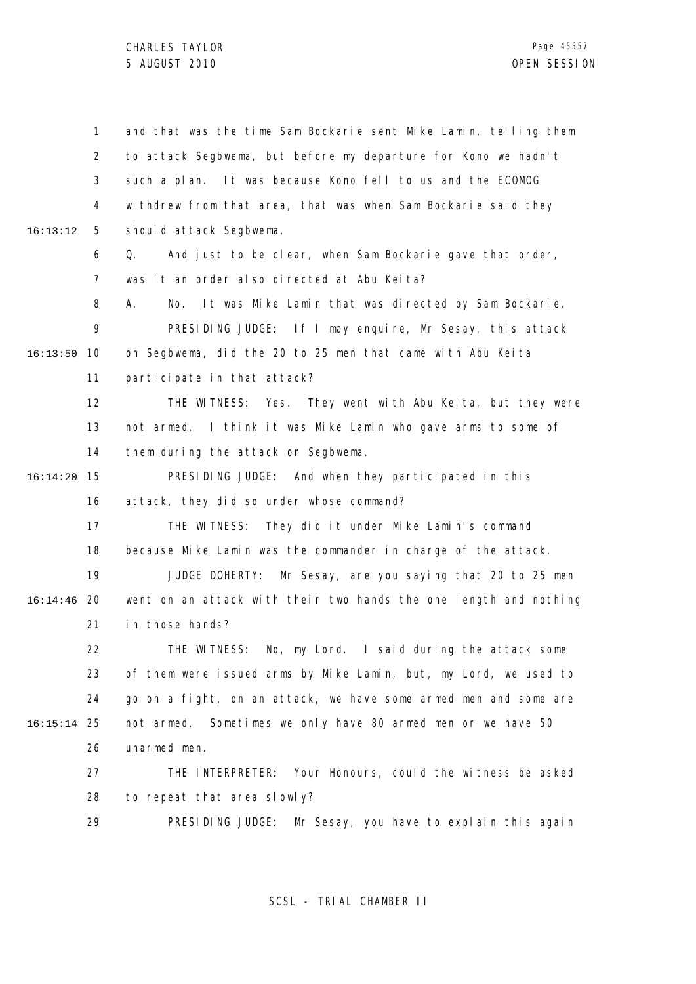1 2 3 4 5 6 7 8 9 10 16:13:50 11 12 13 14 15 16:14:20 16 17 18 19 20 16:14:46 21 22 23 24 25 16:15:14 26 27 28 29 16:13:12 and that was the time Sam Bockarie sent Mike Lamin, telling them to attack Segbwema, but before my departure for Kono we hadn't such a plan. It was because Kono fell to us and the ECOMOG withdrew from that area, that was when Sam Bockarie said they should attack Segbwema. Q. And just to be clear, when Sam Bockarie gave that order, was it an order also directed at Abu Keita? A. No. It was Mike Lamin that was directed by Sam Bockarie. PRESIDING JUDGE: If I may enquire, Mr Sesay, this attack on Segbwema, did the 20 to 25 men that came with Abu Keita participate in that attack? THE WITNESS: Yes. They went with Abu Keita, but they were not armed. I think it was Mike Lamin who gave arms to some of them during the attack on Segbwema. PRESIDING JUDGE: And when they participated in this attack, they did so under whose command? THE WITNESS: They did it under Mike Lamin's command because Mike Lamin was the commander in charge of the attack. JUDGE DOHERTY: Mr Sesay, are you saying that 20 to 25 men went on an attack with their two hands the one length and nothing in those hands? THE WITNESS: No, my Lord. I said during the attack some of them were issued arms by Mike Lamin, but, my Lord, we used to go on a fight, on an attack, we have some armed men and some are not armed. Sometimes we only have 80 armed men or we have 50 unarmed men. THE INTERPRETER: Your Honours, could the witness be asked to repeat that area slowly? PRESIDING JUDGE: Mr Sesay, you have to explain this again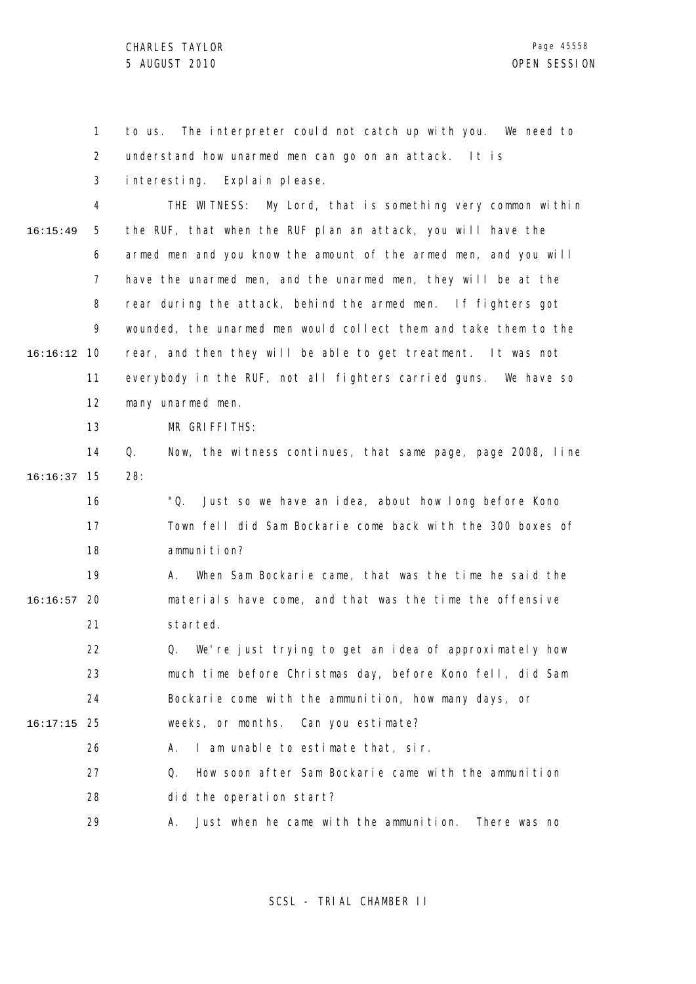1 2 3 4 5 6 7 8  $\mathsf{o}$ 10 16:16:12 11 12 13 14 15 16:16:37 16 17 18 19 20 16:16:57 21 22 23 24 25 16:17:15 26 27 28 16:15:49 to us. The interpreter could not catch up with you. We need to understand how unarmed men can go on an attack. It is interesting. Explain please. THE WITNESS: My Lord, that is something very common within the RUF, that when the RUF plan an attack, you will have the armed men and you know the amount of the armed men, and you will have the unarmed men, and the unarmed men, they will be at the rear during the attack, behind the armed men. If fighters got wounded, the unarmed men would collect them and take them to the rear, and then they will be able to get treatment. It was not everybody in the RUF, not all fighters carried guns. We have so many unarmed men. MR GRIFFITHS: Q. Now, the witness continues, that same page, page 2008, line 28: "Q. Just so we have an idea, about how long before Kono Town fell did Sam Bockarie come back with the 300 boxes of ammunition? A. When Sam Bockarie came, that was the time he said the materials have come, and that was the time the offensive started. Q. We're just trying to get an idea of approximately how much time before Christmas day, before Kono fell, did Sam Bockarie come with the ammunition, how many days, or weeks, or months. Can you estimate? A. I am unable to estimate that, sir. Q. How soon after Sam Bockarie came with the ammunition did the operation start?

> 29 A. Just when he came with the ammunition. There was no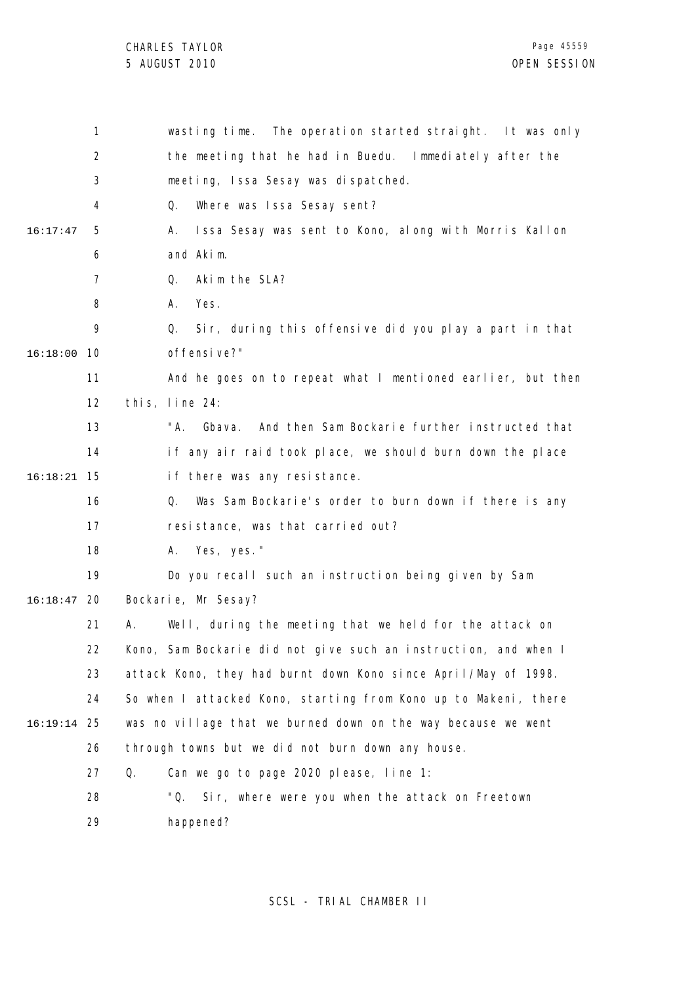|          | 1   | wasting time. The operation started straight. It was only       |
|----------|-----|-----------------------------------------------------------------|
|          | 2   | the meeting that he had in Buedu. Immediately after the         |
|          | 3   | meeting, Issa Sesay was dispatched.                             |
|          | 4   | Where was Issa Sesay sent?<br>Q.                                |
| 16:17:47 | 5   | Issa Sesay was sent to Kono, along with Morris Kallon<br>А.     |
|          | 6   | and Akim.                                                       |
|          | 7   | Akim the SLA?<br>Q.                                             |
|          | 8   | Yes.<br>А.                                                      |
|          | 9   | Sir, during this offensive did you play a part in that<br>Q.    |
| 16:18:00 | 10  | offensive?"                                                     |
|          | 11  | And he goes on to repeat what I mentioned earlier, but then     |
|          | 12  | this, line 24:                                                  |
|          | 13  | "A.<br>Gbava. And then Sam Bockarie further instructed that     |
|          | 14  | if any air raid took place, we should burn down the place       |
| 16:18:21 | -15 | if there was any resistance.                                    |
|          | 16  | Was Sam Bockarie's order to burn down if there is any<br>Q.     |
|          | 17  | resistance, was that carried out?                               |
|          | 18  | A. Yes, yes."                                                   |
|          | 19  | Do you recall such an instruction being given by Sam            |
| 16:18:47 | 20  | Bockarie, Mr Sesay?                                             |
|          | 21  | Well, during the meeting that we held for the attack on<br>А.   |
|          | 22  | Kono, Sam Bockarie did not give such an instruction, and when I |
|          | 23  | attack Kono, they had burnt down Kono since April/May of 1998.  |
|          | 24  | So when I attacked Kono, starting from Kono up to Makeni, there |
| 16:19:14 | 25  | was no village that we burned down on the way because we went   |
|          | 26  | through towns but we did not burn down any house.               |
|          | 27  | Q.<br>Can we go to page 2020 please, line 1:                    |
|          | 28  | "Q. Sir, where were you when the attack on Freetown             |
|          | 29  | happened?                                                       |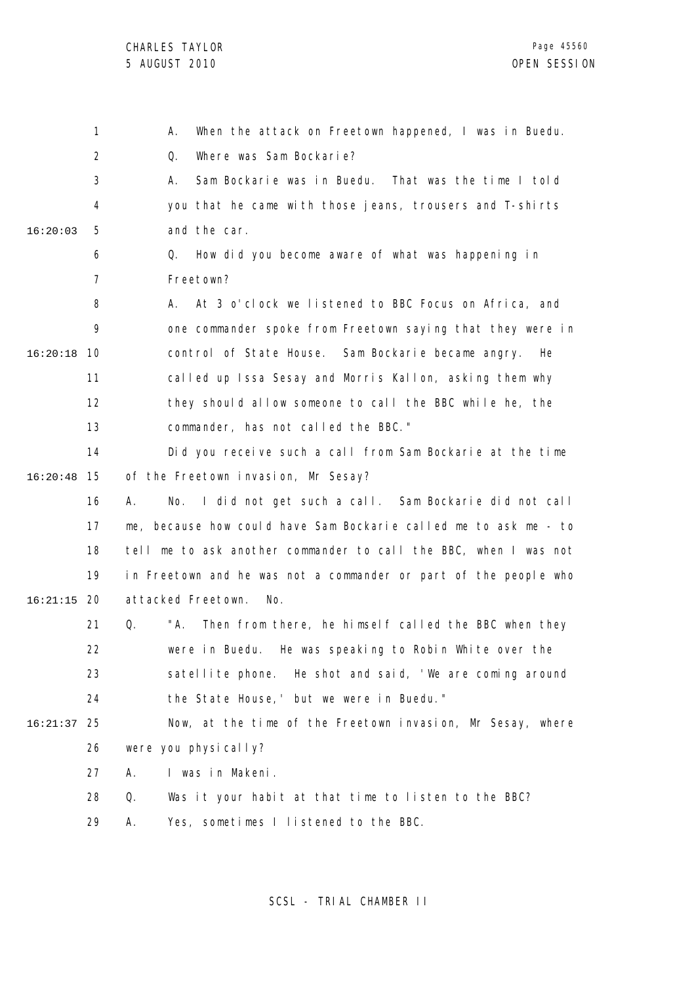|          | 1              | When the attack on Freetown happened, I was in Buedu.<br>А.       |
|----------|----------------|-------------------------------------------------------------------|
|          | $\overline{2}$ | Where was Sam Bockarie?<br>Q.                                     |
|          | 3              | Sam Bockarie was in Buedu. That was the time I told<br>Α.         |
|          | 4              | you that he came with those jeans, trousers and T-shirts          |
| 16:20:03 | 5              | and the car.                                                      |
|          | 6              | How did you become aware of what was happening in<br>Q.           |
|          | $\overline{7}$ | Freetown?                                                         |
|          | 8              | At 3 o'clock we listened to BBC Focus on Africa, and<br>А.        |
|          | 9              | one commander spoke from Freetown saying that they were in        |
| 16:20:18 | 10             | control of State House. Sam Bockarie became angry.<br>He          |
|          | 11             | called up Issa Sesay and Morris Kallon, asking them why           |
|          | 12             | they should allow someone to call the BBC while he, the           |
|          | 13             | commander, has not called the BBC."                               |
|          | 14             | Did you receive such a call from Sam Bockarie at the time         |
| 16:20:48 | 15             | of the Freetown invasion, Mr Sesay?                               |
|          | 16             | No. I did not get such a call. Sam Bockarie did not call<br>А.    |
|          | 17             | me, because how could have Sam Bockarie called me to ask me - to  |
|          | 18             | tell me to ask another commander to call the BBC, when I was not  |
|          | 19             | in Freetown and he was not a commander or part of the people who  |
| 16:21:15 | -20            | attacked Freetown.<br>No.                                         |
|          | 21             | "A.<br>Q.<br>Then from there, he himself called the BBC when they |
|          | 22             | were in Buedu. He was speaking to Robin White over the            |
|          | 23             | satellite phone. He shot and said, 'We are coming around          |
|          | 24             | the State House,' but we were in Buedu."                          |
| 16:21:37 | 25             | Now, at the time of the Freetown invasion, Mr Sesay, where        |
|          | 26             | were you physically?                                              |
|          | 27             | I was in Makeni.<br>А.                                            |
|          | 28             | Q.<br>Was it your habit at that time to listen to the BBC?        |
|          | 29             | Yes, sometimes I listened to the BBC.<br>А.                       |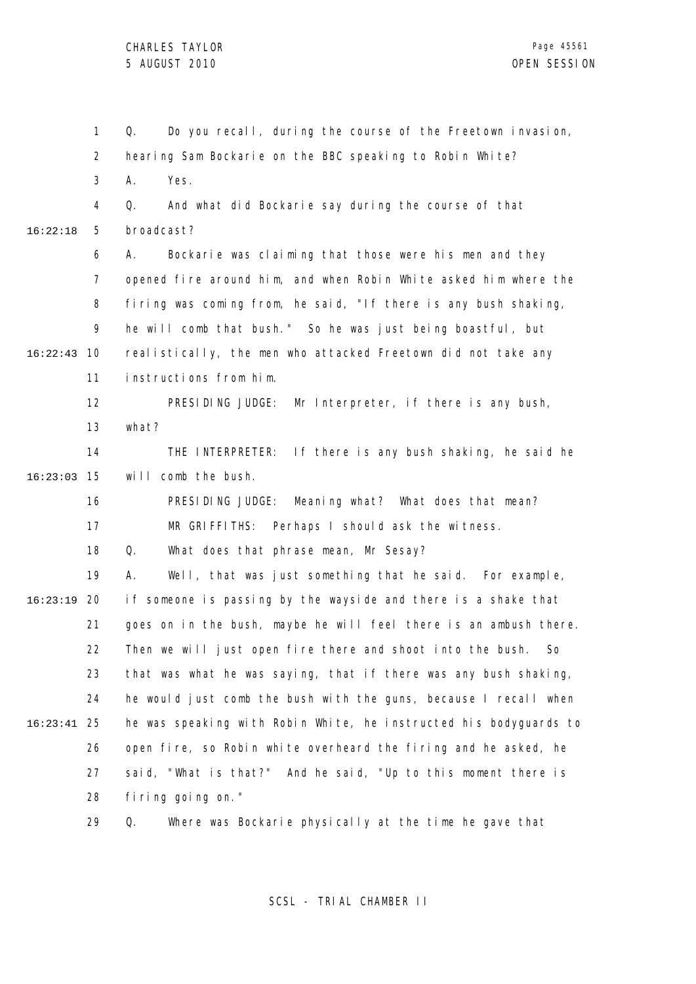1 2 3 4 5 6 7 8 9 10 16:22:43 11 12 13 14 15 16:23:03 16 17 18 19 20 16:23:19 21 22 23 24 25 16:23:41 26 27 28 29 16:22:18 Q. Do you recall, during the course of the Freetown invasion, hearing Sam Bockarie on the BBC speaking to Robin White? A. Yes. Q. And what did Bockarie say during the course of that broadcast? A. Bockarie was claiming that those were his men and they opened fire around him, and when Robin White asked him where the firing was coming from, he said, "If there is any bush shaking, he will comb that bush." So he was just being boastful, but realistically, the men who attacked Freetown did not take any instructions from him. PRESIDING JUDGE: Mr Interpreter, if there is any bush, what? THE INTERPRETER: If there is any bush shaking, he said he will comb the bush. PRESIDING JUDGE: Meaning what? What does that mean? MR GRIFFITHS: Perhaps I should ask the witness. Q. What does that phrase mean, Mr Sesay? A. Well, that was just something that he said. For example, if someone is passing by the wayside and there is a shake that goes on in the bush, maybe he will feel there is an ambush there. Then we will just open fire there and shoot into the bush. So that was what he was saying, that if there was any bush shaking, he would just comb the bush with the guns, because I recall when he was speaking with Robin White, he instructed his bodyguards to open fire, so Robin white overheard the firing and he asked, he said, "What is that?" And he said, "Up to this moment there is firing going on." Q. Where was Bockarie physically at the time he gave that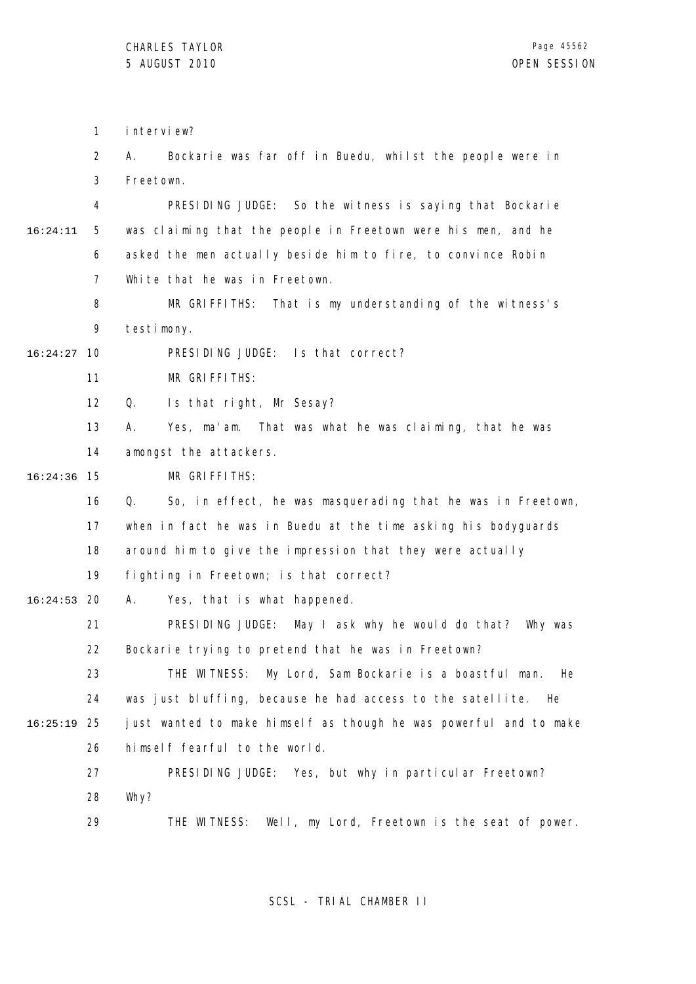1 2 3 4 5 6 7 8 9 10 16:24:27 11 12 13 14 15 16:24:36 16 17 18 19 20 16:24:53 21 22 23 24 25 16:25:19 26 27 28 29 16:24:11 interview? A. Bockarie was far off in Buedu, whilst the people were in Freetown. PRESIDING JUDGE: So the witness is saying that Bockarie was claiming that the people in Freetown were his men, and he asked the men actually beside him to fire, to convince Robin White that he was in Freetown. MR GRIFFITHS: That is my understanding of the witness's testimony. PRESIDING JUDGE: Is that correct? MR GRIFFITHS: Q. Is that right, Mr Sesay? A. Yes, ma'am. That was what he was claiming, that he was amongst the attackers. MR GRIFFITHS: Q. So, in effect, he was masquerading that he was in Freetown, when in fact he was in Buedu at the time asking his bodyguards around him to give the impression that they were actually fighting in Freetown; is that correct? A. Yes, that is what happened. PRESIDING JUDGE: May I ask why he would do that? Why was Bockarie trying to pretend that he was in Freetown? THE WITNESS: My Lord, Sam Bockarie is a boastful man. He was just bluffing, because he had access to the satellite. He just wanted to make himself as though he was powerful and to make himself fearful to the world. PRESIDING JUDGE: Yes, but why in particular Freetown? Why? THE WITNESS: Well, my Lord, Freetown is the seat of power.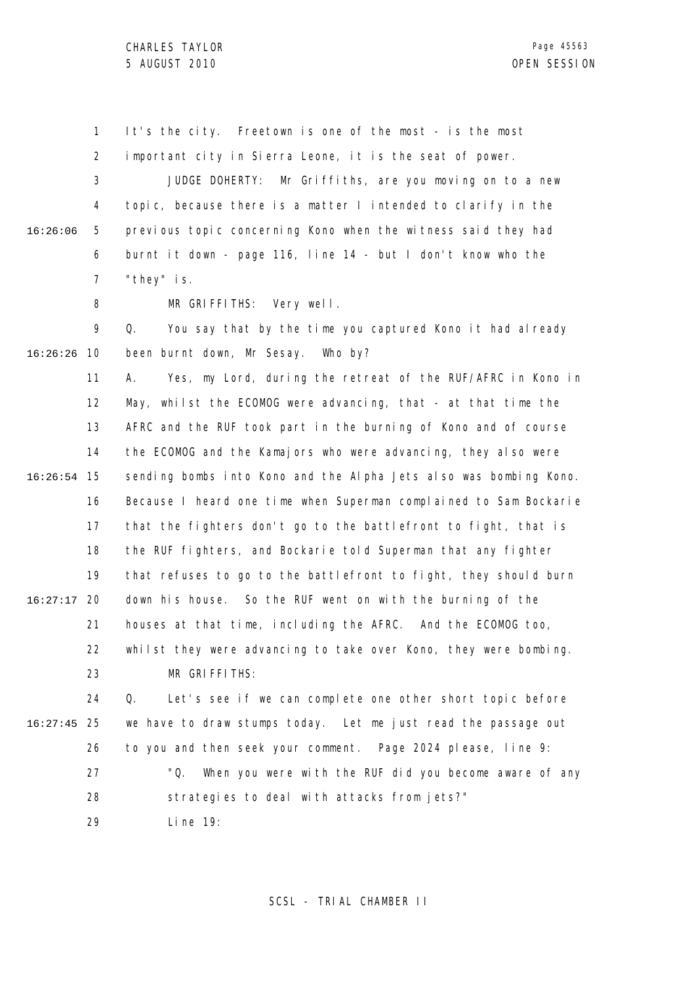1 It's the city. Freetown is one of the most - is the most

2 important city in Sierra Leone, it is the seat of power.

3 4 5 6 7 16:26:06 JUDGE DOHERTY: Mr Griffiths, are you moving on to a new topic, because there is a matter I intended to clarify in the previous topic concerning Kono when the witness said they had burnt it down - page 116, line 14 - but I don't know who the "they" is.

> 8 MR GRIFFITHS: Very well.

9 10 16:26:26 Q. You say that by the time you captured Kono it had already been burnt down, Mr Sesay. Who by?

11 12 13 14 15 16:26:54 16 17 18 19 20 16:27:17 21 22 23 A. Yes, my Lord, during the retreat of the RUF/AFRC in Kono in May, whilst the ECOMOG were advancing, that - at that time the AFRC and the RUF took part in the burning of Kono and of course the ECOMOG and the Kamajors who were advancing, they also were sending bombs into Kono and the Alpha Jets also was bombing Kono. Because I heard one time when Superman complained to Sam Bockarie that the fighters don't go to the battlefront to fight, that is the RUF fighters, and Bockarie told Superman that any fighter that refuses to go to the battlefront to fight, they should burn down his house. So the RUF went on with the burning of the houses at that time, including the AFRC. And the ECOMOG too, whilst they were advancing to take over Kono, they were bombing. MR GRIFFITHS:

24 25 16:27:45 26 27 28 Q. Let's see if we can complete one other short topic before we have to draw stumps today. Let me just read the passage out to you and then seek your comment. Page 2024 please, line 9: "Q. When you were with the RUF did you become aware of any strategies to deal with attacks from jets?"

> 29 Line 19: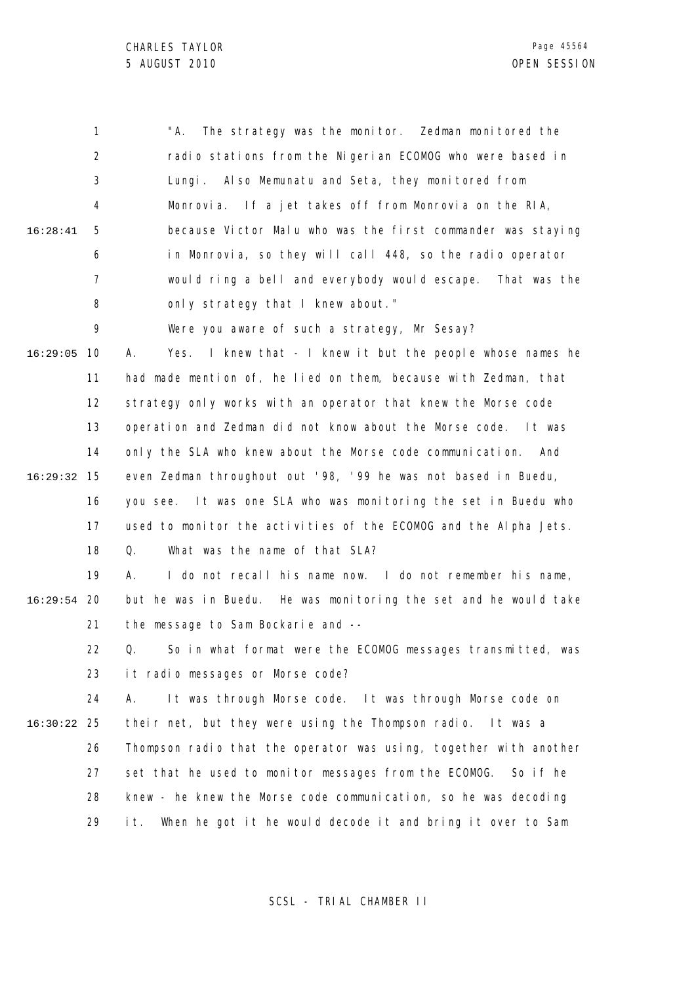1 2 3 4 5 6 7 8 9 10 16:29:05 11 12 13 14 15 16:29:32 16 17 18 19 20 16:29:54 21 22 23 24 25 16:30:22 26 27 28 29 16:28:41 "A. The strategy was the monitor. Zedman monitored the radio stations from the Nigerian ECOMOG who were based in Lungi. Also Memunatu and Seta, they monitored from Monrovia. If a jet takes off from Monrovia on the RIA, because Victor Malu who was the first commander was staying in Monrovia, so they will call 448, so the radio operator would ring a bell and everybody would escape. That was the only strategy that I knew about." Were you aware of such a strategy, Mr Sesay? A. Yes. I knew that - I knew it but the people whose names he had made mention of, he lied on them, because with Zedman, that strategy only works with an operator that knew the Morse code operation and Zedman did not know about the Morse code. It was only the SLA who knew about the Morse code communication. And even Zedman throughout out '98, '99 he was not based in Buedu, you see. It was one SLA who was monitoring the set in Buedu who used to monitor the activities of the ECOMOG and the Alpha Jets. Q. What was the name of that SLA? A. I do not recall his name now. I do not remember his name, but he was in Buedu. He was monitoring the set and he would take the message to Sam Bockarie and -- Q. So in what format were the ECOMOG messages transmitted, was it radio messages or Morse code? A. It was through Morse code. It was through Morse code on their net, but they were using the Thompson radio. It was a Thompson radio that the operator was using, together with another set that he used to monitor messages from the ECOMOG. So if he knew - he knew the Morse code communication, so he was decoding it. When he got it he would decode it and bring it over to Sam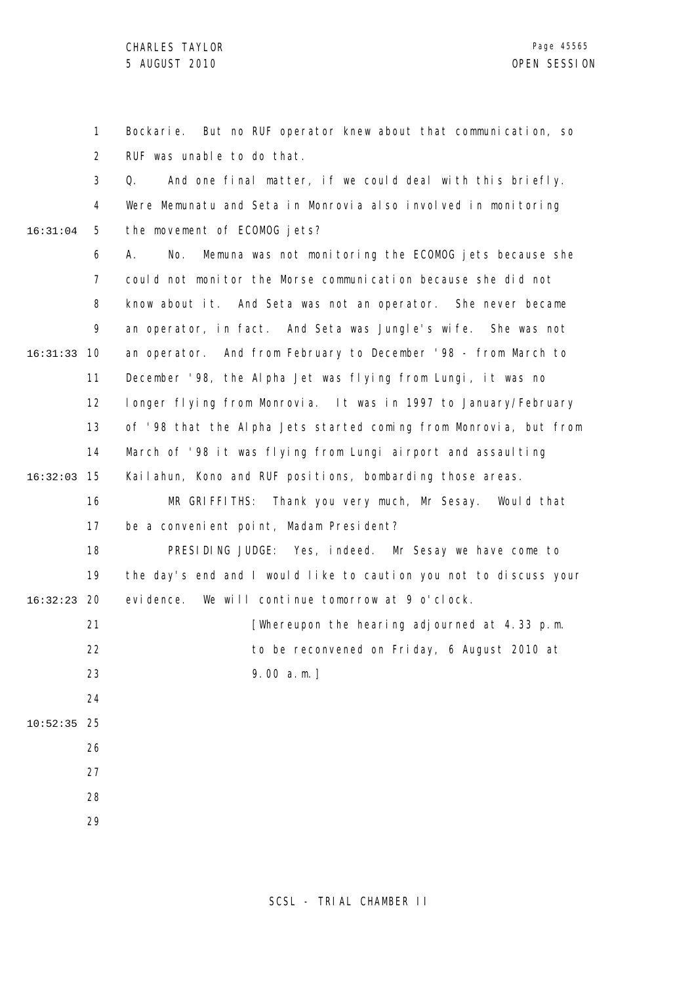1 2 3 4 5 6 7 8 9 10 16:31:33 11 12 13 14 15 16:32:03 16 17 18 19 20 16:32:23 16:31:04 Bockarie. But no RUF operator knew about that communication, so RUF was unable to do that. Q. And one final matter, if we could deal with this briefly. Were Memunatu and Seta in Monrovia also involved in monitoring the movement of ECOMOG jets? A. No. Memuna was not monitoring the ECOMOG jets because she could not monitor the Morse communication because she did not know about it. And Seta was not an operator. She never became an operator, in fact. And Seta was Jungle's wife. She was not an operator. And from February to December '98 - from March to December '98, the Alpha Jet was flying from Lungi, it was no longer flying from Monrovia. It was in 1997 to January/February of '98 that the Alpha Jets started coming from Monrovia, but from March of '98 it was flying from Lungi airport and assaulting Kailahun, Kono and RUF positions, bombarding those areas. MR GRIFFITHS: Thank you very much, Mr Sesay. Would that be a convenient point, Madam President? PRESIDING JUDGE: Yes, indeed. Mr Sesay we have come to the day's end and I would like to caution you not to discuss your evidence. We will continue tomorrow at 9 o'clock.

21 22 23 [Whereupon the hearing adjourned at 4.33 p.m. to be reconvened on Friday, 6 August 2010 at 9.00 a.m.]

25 10:52:35

26 27

24

28

29